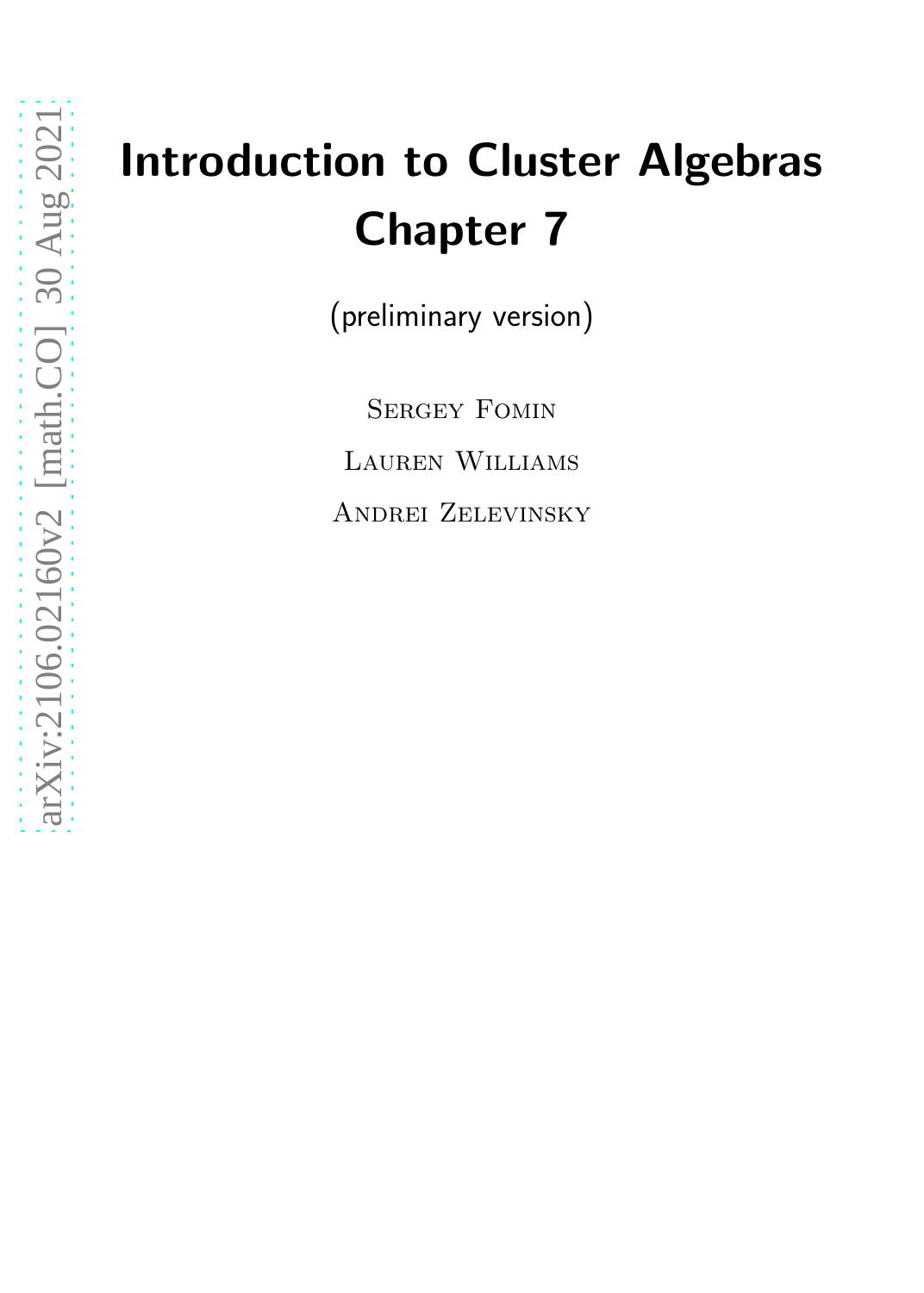# Introduction to Cluster Algebras Chapter 7

(preliminary version)

SERGEY FOMIN Lauren Williams Andrei Zelevinsky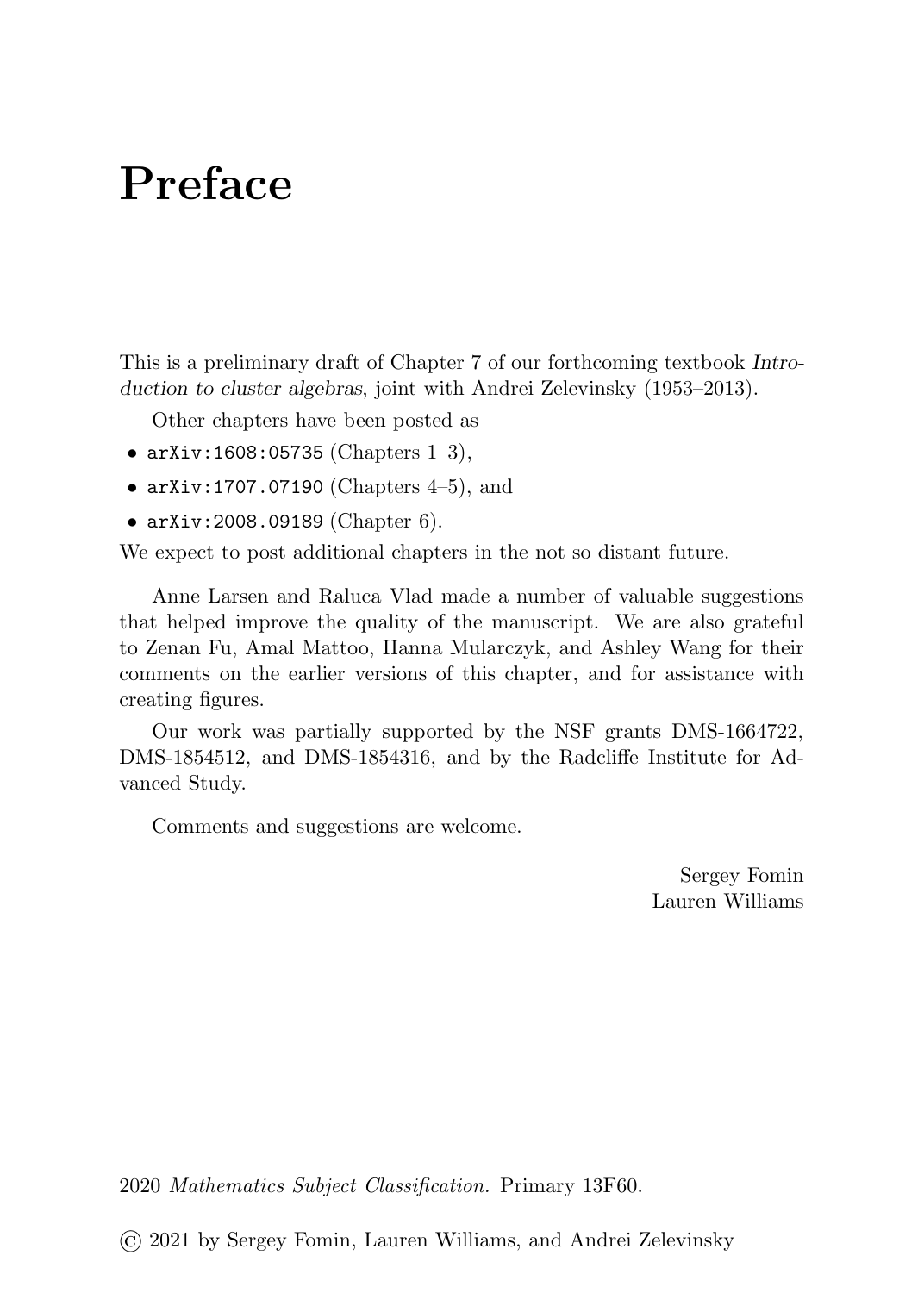### Preface

This is a preliminary draft of Chapter 7 of our forthcoming textbook Introduction to cluster algebras, joint with Andrei Zelevinsky (1953–2013).

Other chapters have been posted as

- arXiv:1608:05735 (Chapters 1-3),
- arXiv:1707.07190 (Chapters  $4-5$ ), and
- arXiv:2008.09189 (Chapter 6).

We expect to post additional chapters in the not so distant future.

Anne Larsen and Raluca Vlad made a number of valuable suggestions that helped improve the quality of the manuscript. We are also grateful to Zenan Fu, Amal Mattoo, Hanna Mularczyk, and Ashley Wang for their comments on the earlier versions of this chapter, and for assistance with creating figures.

Our work was partially supported by the NSF grants DMS-1664722, DMS-1854512, and DMS-1854316, and by the Radcliffe Institute for Advanced Study.

Comments and suggestions are welcome.

Sergey Fomin Lauren Williams

2020 Mathematics Subject Classification. Primary 13F60.

© 2021 by Sergey Fomin, Lauren Williams, and Andrei Zelevinsky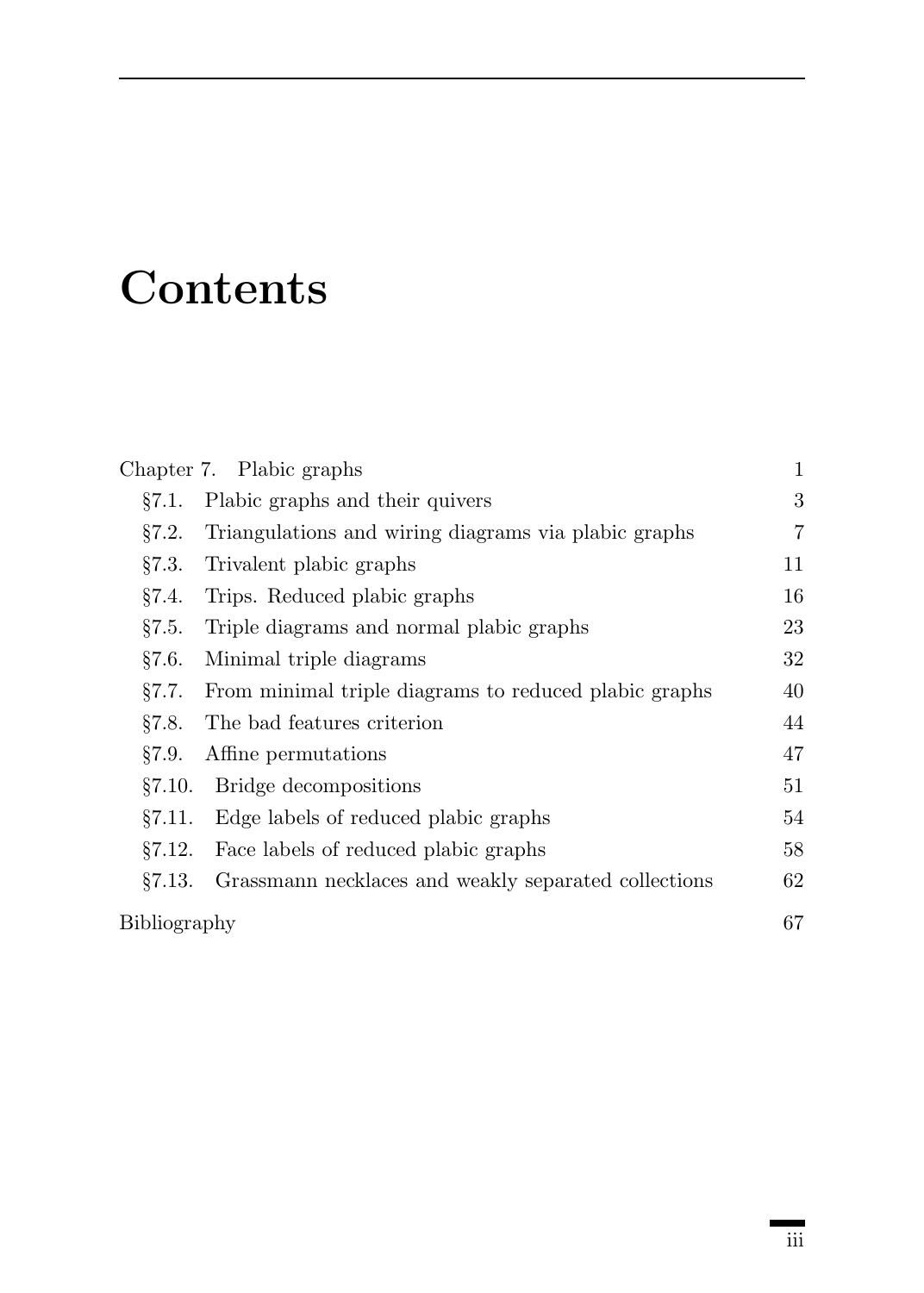## **Contents**

|              | Chapter 7. Plabic graphs                              | 1  |
|--------------|-------------------------------------------------------|----|
| 87.1.        | Plabic graphs and their quivers                       | 3  |
| 87.2.        | Triangulations and wiring diagrams via plabic graphs  | 7  |
| §7.3.        | Trivalent plabic graphs                               | 11 |
| §7.4.        | Trips. Reduced plabic graphs                          | 16 |
| §7.5.        | Triple diagrams and normal plabic graphs              | 23 |
| §7.6.        | Minimal triple diagrams                               | 32 |
| §7.7.        | From minimal triple diagrams to reduced plabic graphs | 40 |
| 87.8.        | The bad features criterion                            | 44 |
| §7.9.        | Affine permutations                                   | 47 |
| §7.10.       | Bridge decompositions                                 | 51 |
| 87.11.       | Edge labels of reduced plabic graphs                  | 54 |
| §7.12.       | Face labels of reduced plabic graphs                  | 58 |
| 87.13.       | Grassmann necklaces and weakly separated collections  | 62 |
| Bibliography |                                                       | 67 |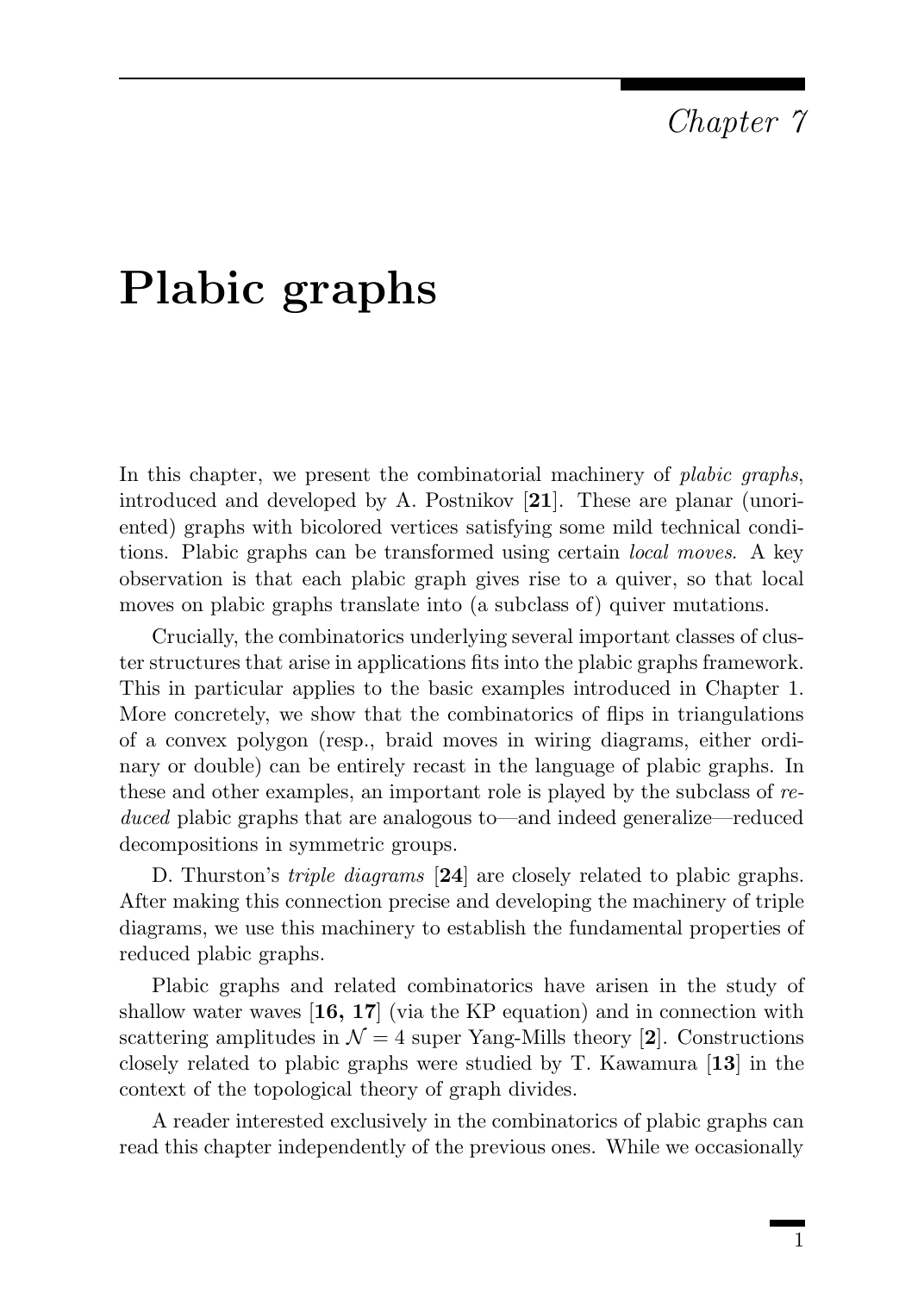### Chapter 7

### Plabic graphs

In this chapter, we present the combinatorial machinery of *plabic graphs*, introduced and developed by A. Postnikov [21]. These are planar (unoriented) graphs with bicolored vertices satisfying some mild technical conditions. Plabic graphs can be transformed using certain local moves. A key observation is that each plabic graph gives rise to a quiver, so that local moves on plabic graphs translate into (a subclass of) quiver mutations.

Crucially, the combinatorics underlying several important classes of cluster structures that arise in applications fits into the plabic graphs framework. This in particular applies to the basic examples introduced in Chapter 1. More concretely, we show that the combinatorics of flips in triangulations of a convex polygon (resp., braid moves in wiring diagrams, either ordinary or double) can be entirely recast in the language of plabic graphs. In these and other examples, an important role is played by the subclass of reduced plabic graphs that are analogous to—and indeed generalize—reduced decompositions in symmetric groups.

D. Thurston's *triple diagrams* [24] are closely related to plabic graphs. After making this connection precise and developing the machinery of triple diagrams, we use this machinery to establish the fundamental properties of reduced plabic graphs.

Plabic graphs and related combinatorics have arisen in the study of shallow water waves  $\left[16, 17\right]$  (via the KP equation) and in connection with scattering amplitudes in  $\mathcal{N} = 4$  super Yang-Mills theory [2]. Constructions closely related to plabic graphs were studied by T. Kawamura [13] in the context of the topological theory of graph divides.

A reader interested exclusively in the combinatorics of plabic graphs can read this chapter independently of the previous ones. While we occasionally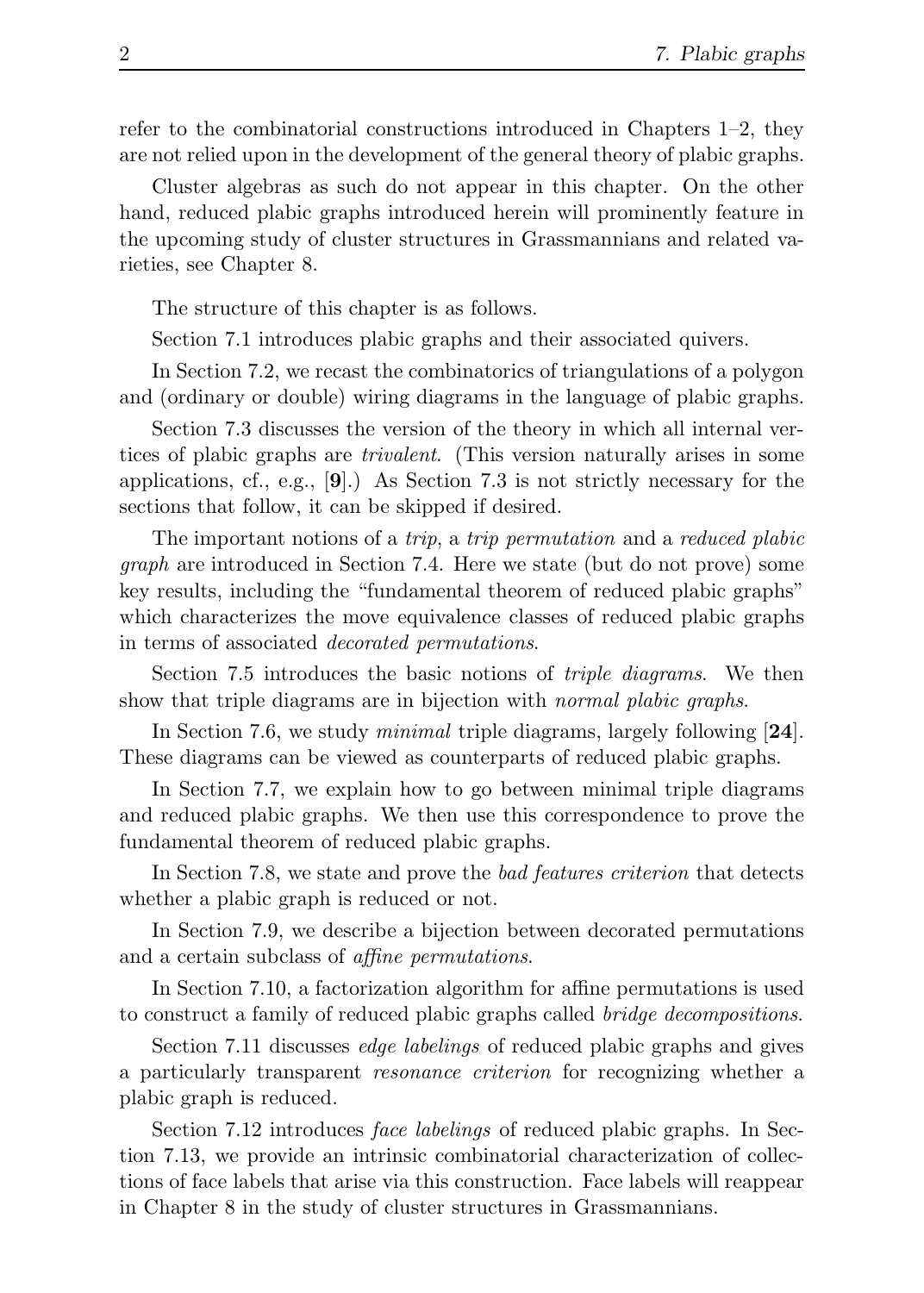refer to the combinatorial constructions introduced in Chapters 1–2, they are not relied upon in the development of the general theory of plabic graphs.

Cluster algebras as such do not appear in this chapter. On the other hand, reduced plabic graphs introduced herein will prominently feature in the upcoming study of cluster structures in Grassmannians and related varieties, see Chapter 8.

The structure of this chapter is as follows.

Section 7.1 introduces plabic graphs and their associated quivers.

In Section 7.2, we recast the combinatorics of triangulations of a polygon and (ordinary or double) wiring diagrams in the language of plabic graphs.

Section 7.3 discusses the version of the theory in which all internal vertices of plabic graphs are trivalent. (This version naturally arises in some applications, cf., e.g.,  $[9]$ .) As Section 7.3 is not strictly necessary for the sections that follow, it can be skipped if desired.

The important notions of a *trip*, a *trip permutation* and a *reduced plabic* graph are introduced in Section 7.4. Here we state (but do not prove) some key results, including the "fundamental theorem of reduced plabic graphs" which characterizes the move equivalence classes of reduced plabic graphs in terms of associated decorated permutations.

Section 7.5 introduces the basic notions of triple diagrams. We then show that triple diagrams are in bijection with *normal plabic graphs*.

In Section 7.6, we study *minimal* triple diagrams, largely following [24]. These diagrams can be viewed as counterparts of reduced plabic graphs.

In Section 7.7, we explain how to go between minimal triple diagrams and reduced plabic graphs. We then use this correspondence to prove the fundamental theorem of reduced plabic graphs.

In Section 7.8, we state and prove the *bad features criterion* that detects whether a plabic graph is reduced or not.

In Section 7.9, we describe a bijection between decorated permutations and a certain subclass of affine permutations.

In Section 7.10, a factorization algorithm for affine permutations is used to construct a family of reduced plabic graphs called bridge decompositions.

Section 7.11 discusses edge labelings of reduced plabic graphs and gives a particularly transparent resonance criterion for recognizing whether a plabic graph is reduced.

Section 7.12 introduces face labelings of reduced plabic graphs. In Section 7.13, we provide an intrinsic combinatorial characterization of collections of face labels that arise via this construction. Face labels will reappear in Chapter 8 in the study of cluster structures in Grassmannians.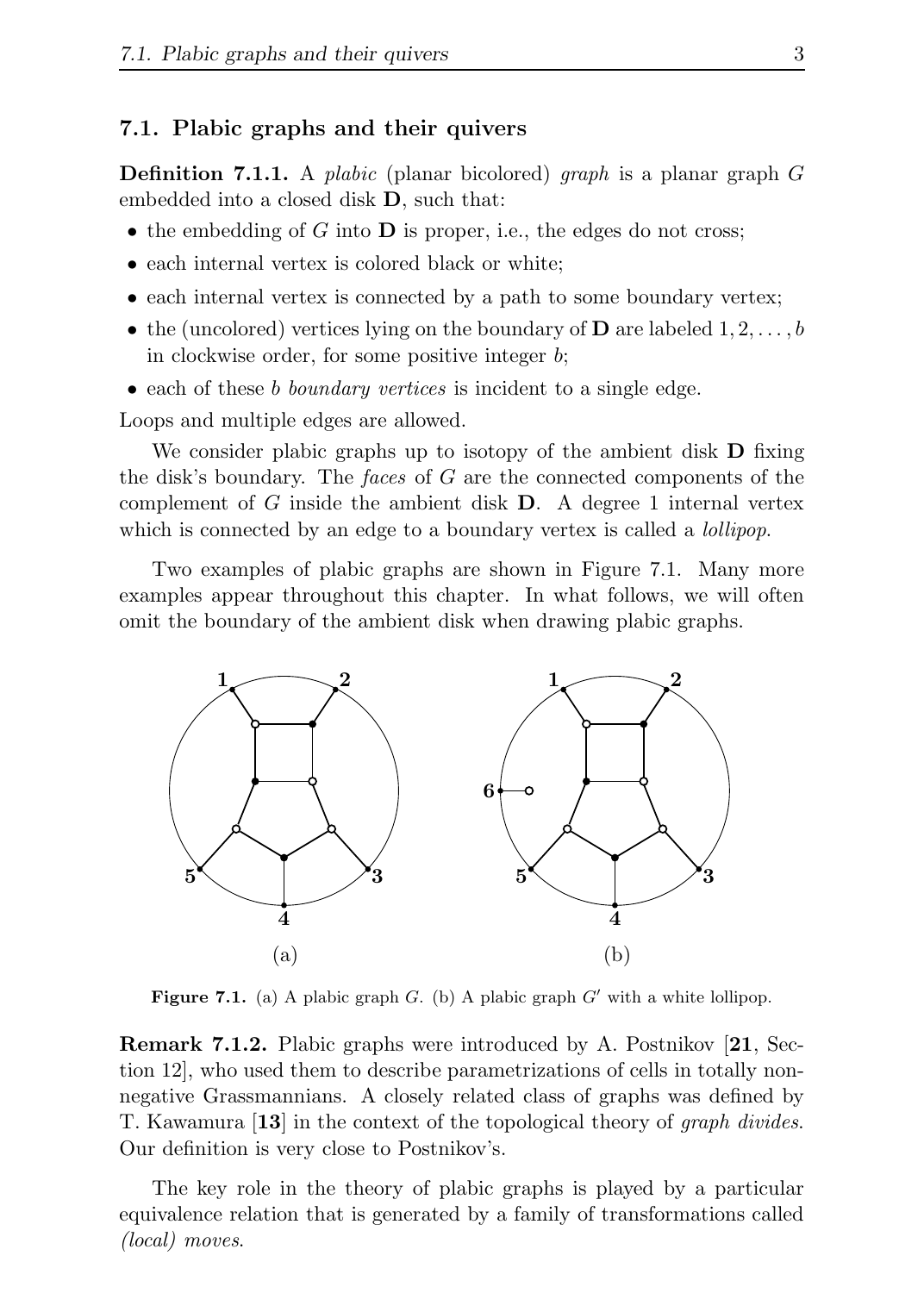#### 7.1. Plabic graphs and their quivers

**Definition 7.1.1.** A plabic (planar bicolored) graph is a planar graph  $G$ embedded into a closed disk D, such that:

- the embedding of G into  $\bf{D}$  is proper, i.e., the edges do not cross;
- each internal vertex is colored black or white;
- each internal vertex is connected by a path to some boundary vertex;
- the (uncolored) vertices lying on the boundary of **D** are labeled  $1, 2, \ldots, b$ in clockwise order, for some positive integer b;
- each of these b boundary vertices is incident to a single edge.

Loops and multiple edges are allowed.

We consider plabic graphs up to isotopy of the ambient disk **D** fixing the disk's boundary. The *faces* of G are the connected components of the complement of G inside the ambient disk  $D$ . A degree 1 internal vertex which is connected by an edge to a boundary vertex is called a *lollipop*.

Two examples of plabic graphs are shown in Figure 7.1. Many more examples appear throughout this chapter. In what follows, we will often omit the boundary of the ambient disk when drawing plabic graphs.



Figure 7.1. (a) A plabic graph G. (b) A plabic graph  $G'$  with a white lollipop.

Remark 7.1.2. Plabic graphs were introduced by A. Postnikov [21, Section 12], who used them to describe parametrizations of cells in totally nonnegative Grassmannians. A closely related class of graphs was defined by T. Kawamura [13] in the context of the topological theory of graph divides. Our definition is very close to Postnikov's.

The key role in the theory of plabic graphs is played by a particular equivalence relation that is generated by a family of transformations called (local) moves.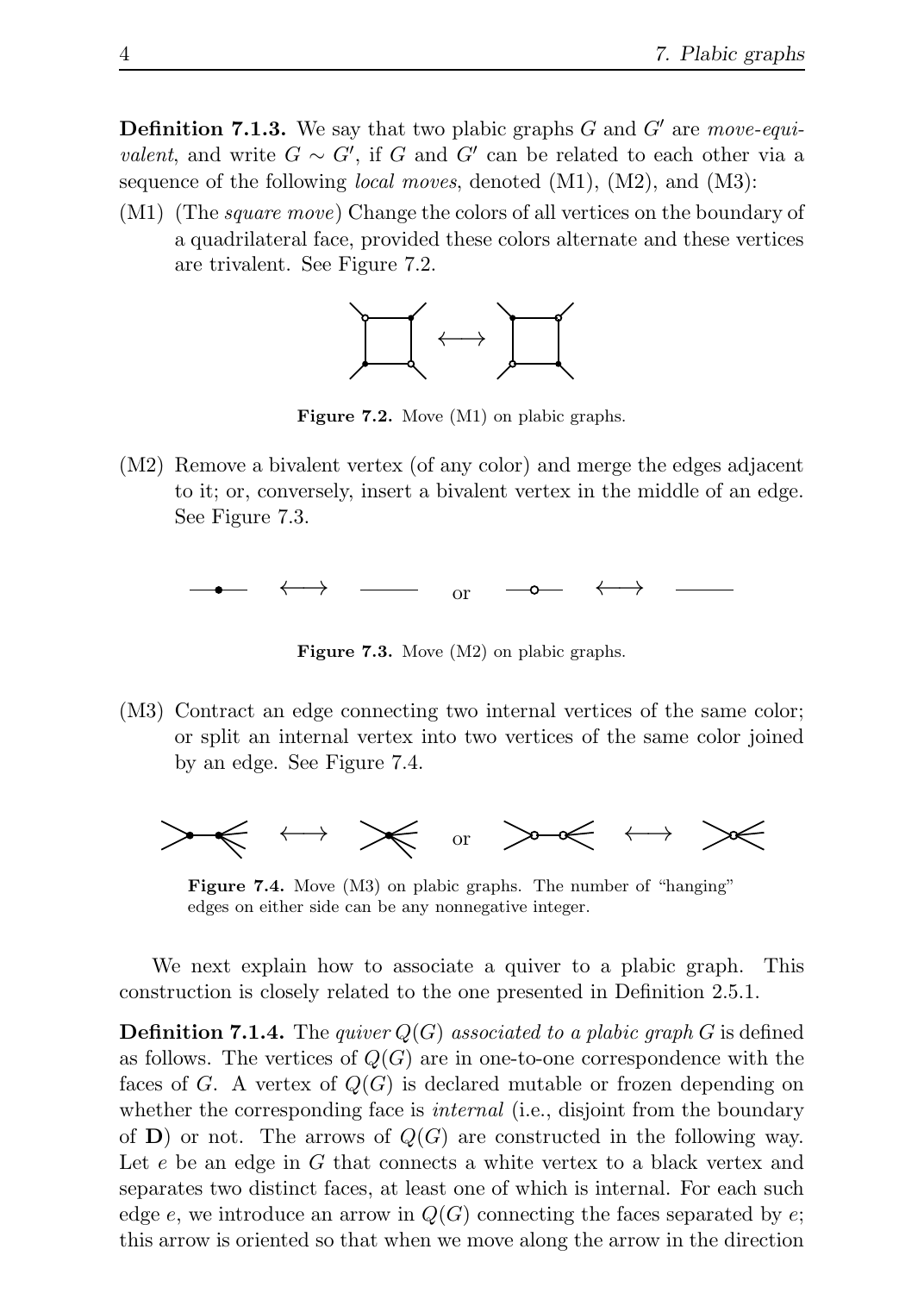**Definition 7.1.3.** We say that two plabic graphs  $G$  and  $G'$  are move-equivalent, and write  $G \sim G'$ , if G and G' can be related to each other via a sequence of the following *local moves*, denoted (M1), (M2), and (M3):

(M1) (The *square move*) Change the colors of all vertices on the boundary of a quadrilateral face, provided these colors alternate and these vertices are trivalent. See Figure 7.2.



Figure 7.2. Move (M1) on plabic graphs.

(M2) Remove a bivalent vertex (of any color) and merge the edges adjacent to it; or, conversely, insert a bivalent vertex in the middle of an edge. See Figure 7.3.

 $\longleftrightarrow$   $\longrightarrow$  or  $\longrightarrow$   $\longleftrightarrow$ 

Figure 7.3. Move (M2) on plabic graphs.

(M3) Contract an edge connecting two internal vertices of the same color; or split an internal vertex into two vertices of the same color joined by an edge. See Figure 7.4.



Figure 7.4. Move (M3) on plabic graphs. The number of "hanging" edges on either side can be any nonnegative integer.

We next explain how to associate a quiver to a plabic graph. This construction is closely related to the one presented in Definition 2.5.1.

**Definition 7.1.4.** The quiver  $Q(G)$  associated to a plabic graph G is defined as follows. The vertices of  $Q(G)$  are in one-to-one correspondence with the faces of G. A vertex of  $Q(G)$  is declared mutable or frozen depending on whether the corresponding face is *internal* (i.e., disjoint from the boundary of **) or not. The arrows of**  $Q(G)$  **are constructed in the following way.** Let e be an edge in G that connects a white vertex to a black vertex and separates two distinct faces, at least one of which is internal. For each such edge e, we introduce an arrow in  $Q(G)$  connecting the faces separated by e; this arrow is oriented so that when we move along the arrow in the direction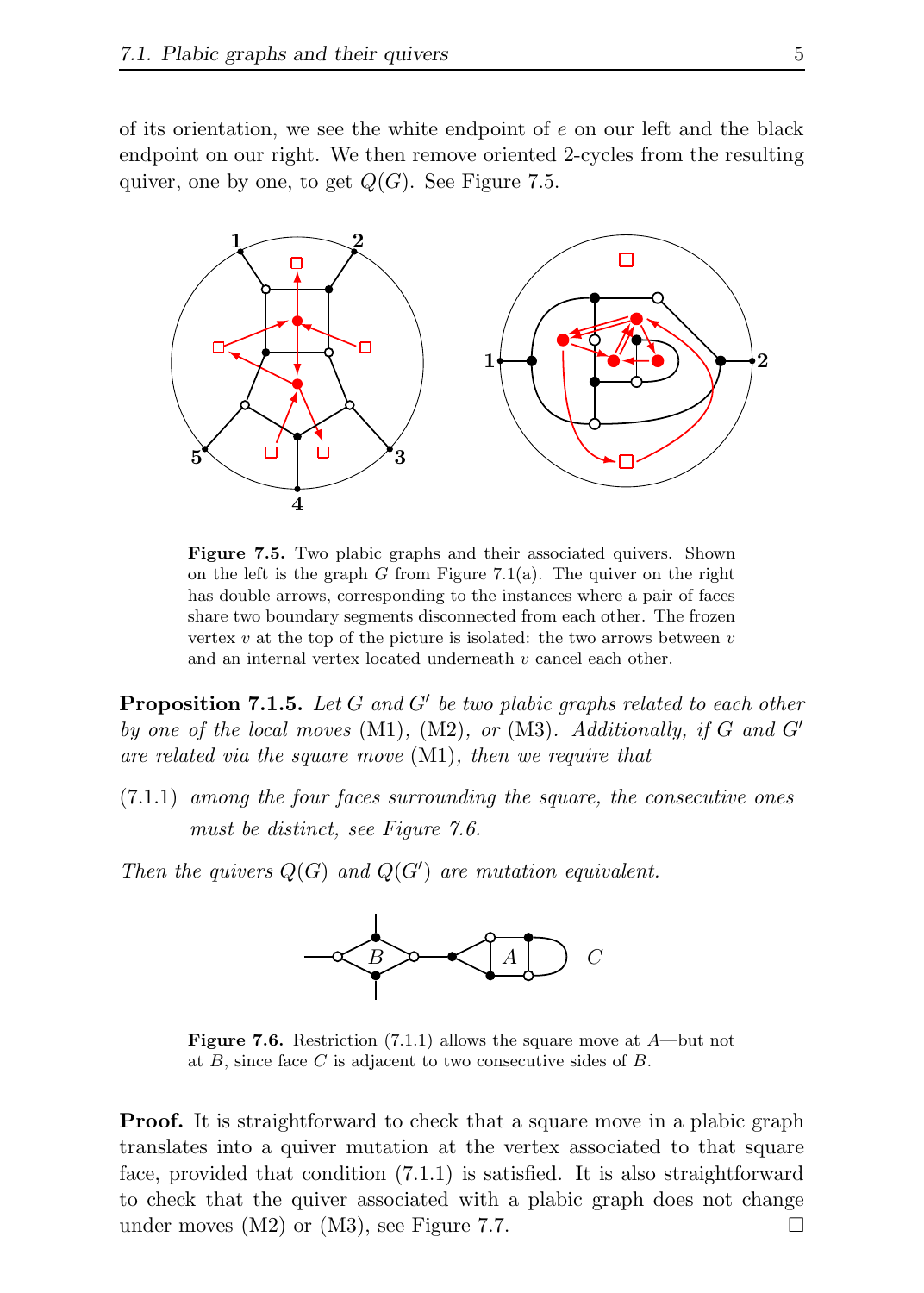of its orientation, we see the white endpoint of  $e$  on our left and the black endpoint on our right. We then remove oriented 2-cycles from the resulting quiver, one by one, to get  $Q(G)$ . See Figure 7.5.



Figure 7.5. Two plabic graphs and their associated quivers. Shown on the left is the graph G from Figure 7.1(a). The quiver on the right has double arrows, corresponding to the instances where a pair of faces share two boundary segments disconnected from each other. The frozen vertex  $v$  at the top of the picture is isolated: the two arrows between  $v$ and an internal vertex located underneath v cancel each other.

**Proposition 7.1.5.** Let  $G$  and  $G'$  be two plabic graphs related to each other by one of the local moves  $(M1)$ ,  $(M2)$ , or  $(M3)$ . Additionally, if G and G' are related via the square move (M1), then we require that

(7.1.1) among the four faces surrounding the square, the consecutive ones must be distinct, see Figure 7.6.

Then the quivers  $Q(G)$  and  $Q(G')$  are mutation equivalent.



**Figure 7.6.** Restriction  $(7.1.1)$  allows the square move at  $A$ —but not at  $B$ , since face  $C$  is adjacent to two consecutive sides of  $B$ .

**Proof.** It is straightforward to check that a square move in a plabic graph translates into a quiver mutation at the vertex associated to that square face, provided that condition (7.1.1) is satisfied. It is also straightforward to check that the quiver associated with a plabic graph does not change under moves  $(M2)$  or  $(M3)$ , see Figure 7.7.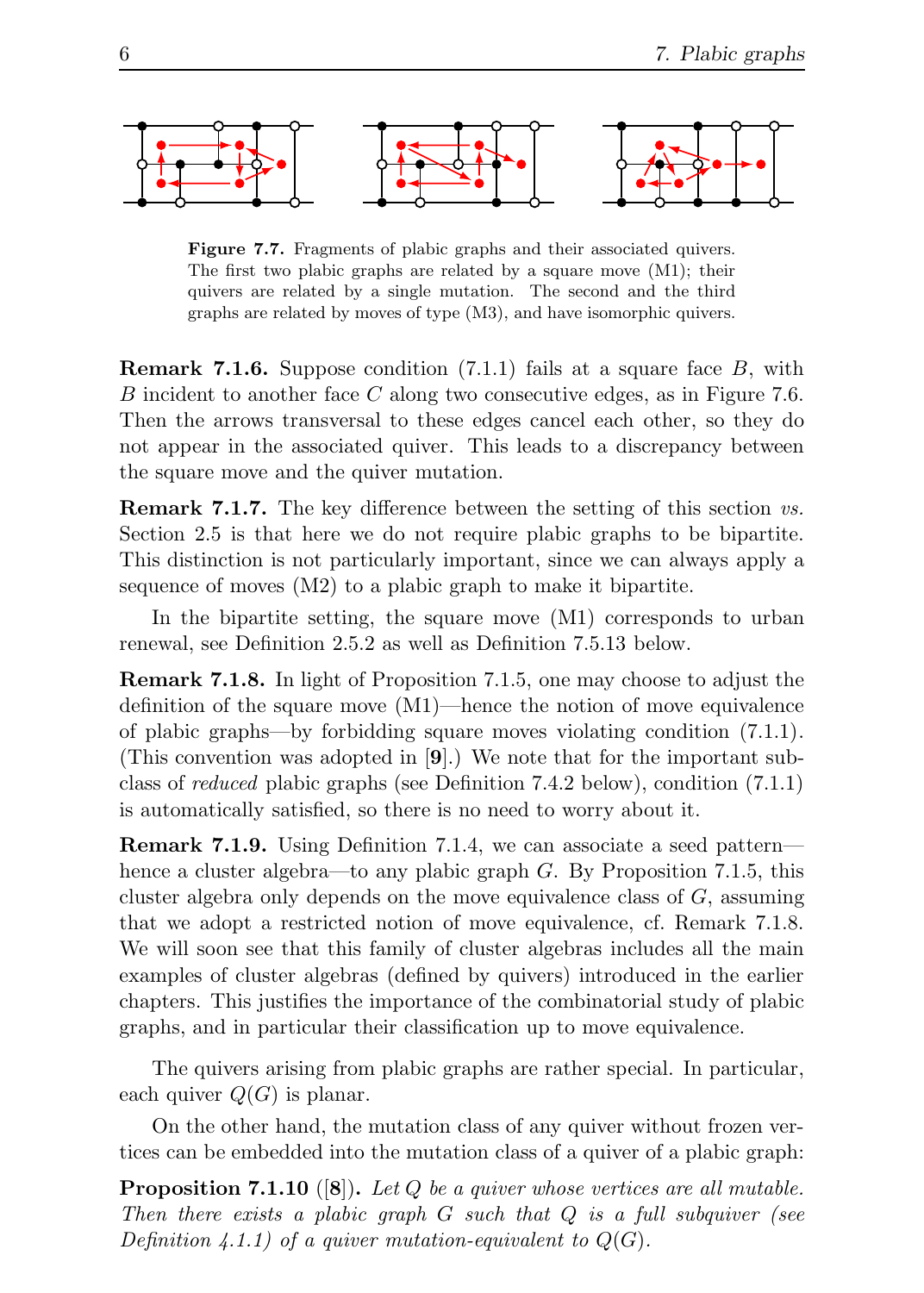

Figure 7.7. Fragments of plabic graphs and their associated quivers. The first two plabic graphs are related by a square move (M1); their quivers are related by a single mutation. The second and the third graphs are related by moves of type (M3), and have isomorphic quivers.

**Remark 7.1.6.** Suppose condition  $(7.1.1)$  fails at a square face B, with B incident to another face C along two consecutive edges, as in Figure 7.6. Then the arrows transversal to these edges cancel each other, so they do not appear in the associated quiver. This leads to a discrepancy between the square move and the quiver mutation.

Remark 7.1.7. The key difference between the setting of this section vs. Section 2.5 is that here we do not require plabic graphs to be bipartite. This distinction is not particularly important, since we can always apply a sequence of moves (M2) to a plabic graph to make it bipartite.

In the bipartite setting, the square move (M1) corresponds to urban renewal, see Definition 2.5.2 as well as Definition 7.5.13 below.

Remark 7.1.8. In light of Proposition 7.1.5, one may choose to adjust the definition of the square move (M1)—hence the notion of move equivalence of plabic graphs—by forbidding square moves violating condition (7.1.1). (This convention was adopted in [9].) We note that for the important subclass of reduced plabic graphs (see Definition 7.4.2 below), condition (7.1.1) is automatically satisfied, so there is no need to worry about it.

Remark 7.1.9. Using Definition 7.1.4, we can associate a seed pattern hence a cluster algebra—to any plabic graph  $G$ . By Proposition 7.1.5, this cluster algebra only depends on the move equivalence class of  $G$ , assuming that we adopt a restricted notion of move equivalence, cf. Remark 7.1.8. We will soon see that this family of cluster algebras includes all the main examples of cluster algebras (defined by quivers) introduced in the earlier chapters. This justifies the importance of the combinatorial study of plabic graphs, and in particular their classification up to move equivalence.

The quivers arising from plabic graphs are rather special. In particular, each quiver  $Q(G)$  is planar.

On the other hand, the mutation class of any quiver without frozen vertices can be embedded into the mutation class of a quiver of a plabic graph:

**Proposition 7.1.10** ([8]). Let Q be a quiver whose vertices are all mutable. Then there exists a plabic graph  $G$  such that  $Q$  is a full subquiver (see Definition 4.1.1) of a quiver mutation-equivalent to  $Q(G)$ .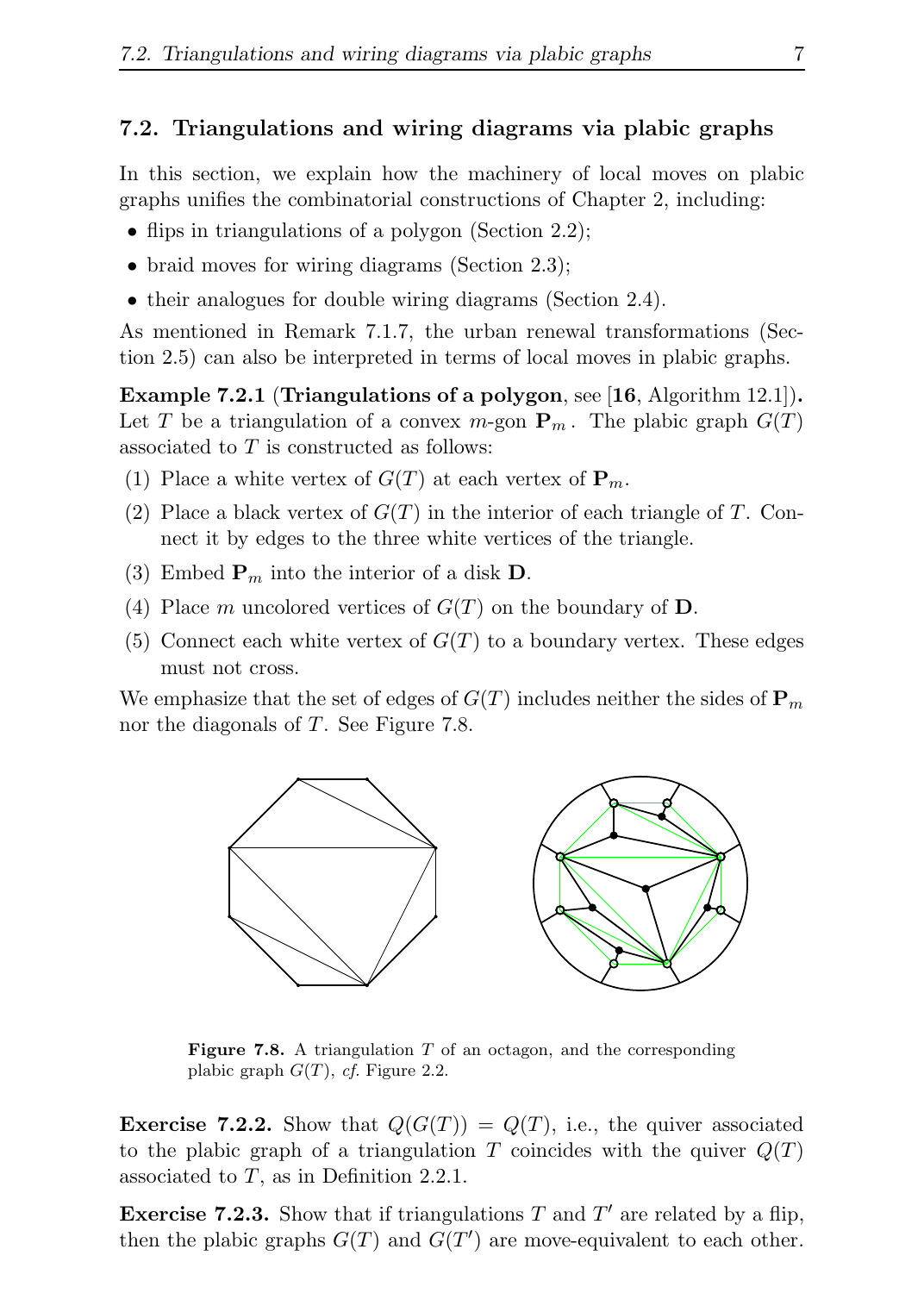#### 7.2. Triangulations and wiring diagrams via plabic graphs

In this section, we explain how the machinery of local moves on plabic graphs unifies the combinatorial constructions of Chapter 2, including:

- flips in triangulations of a polygon (Section 2.2);
- braid moves for wiring diagrams (Section 2.3);
- their analogues for double wiring diagrams (Section 2.4).

As mentioned in Remark 7.1.7, the urban renewal transformations (Section 2.5) can also be interpreted in terms of local moves in plabic graphs.

Example 7.2.1 (Triangulations of a polygon, see [16, Algorithm 12.1]). Let T be a triangulation of a convex  $m$ -gon  $P_m$ . The plabic graph  $G(T)$ associated to T is constructed as follows:

- (1) Place a white vertex of  $G(T)$  at each vertex of  $\mathbf{P}_m$ .
- (2) Place a black vertex of  $G(T)$  in the interior of each triangle of T. Connect it by edges to the three white vertices of the triangle.
- (3) Embed  $P_m$  into the interior of a disk D.
- (4) Place m uncolored vertices of  $G(T)$  on the boundary of **D**.
- (5) Connect each white vertex of  $G(T)$  to a boundary vertex. These edges must not cross.

We emphasize that the set of edges of  $G(T)$  includes neither the sides of  $\mathbf{P}_m$ nor the diagonals of T. See Figure 7.8.



**Figure 7.8.** A triangulation  $T$  of an octagon, and the corresponding plabic graph  $G(T)$ , cf. Figure 2.2.

**Exercise 7.2.2.** Show that  $Q(G(T)) = Q(T)$ , i.e., the quiver associated to the plabic graph of a triangulation T coincides with the quiver  $Q(T)$ associated to  $T$ , as in Definition 2.2.1.

**Exercise 7.2.3.** Show that if triangulations T and  $T'$  are related by a flip, then the plabic graphs  $G(T)$  and  $G(T')$  are move-equivalent to each other.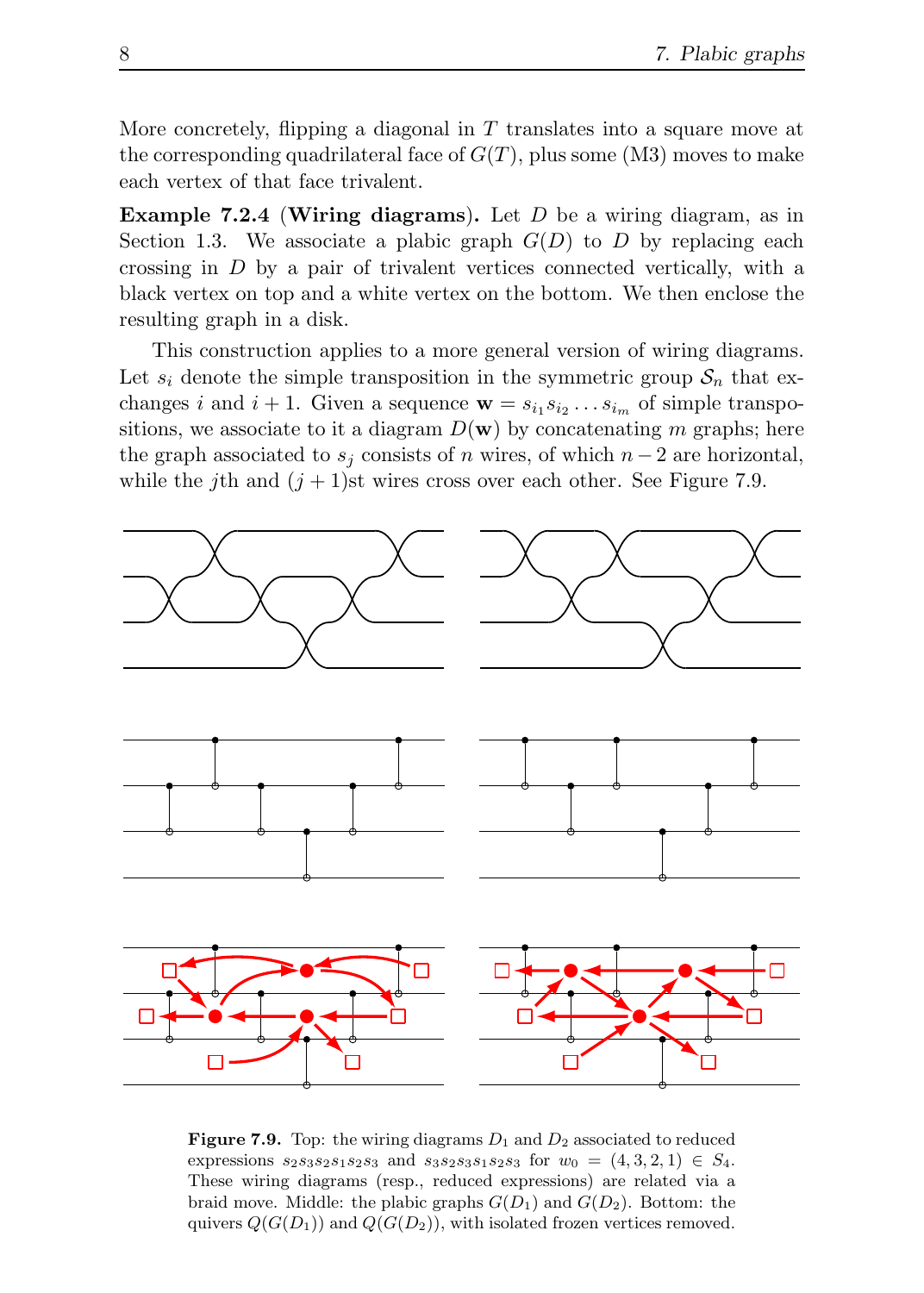More concretely, flipping a diagonal in  $T$  translates into a square move at the corresponding quadrilateral face of  $G(T)$ , plus some (M3) moves to make each vertex of that face trivalent.

**Example 7.2.4 (Wiring diagrams).** Let  $D$  be a wiring diagram, as in Section 1.3. We associate a plabic graph  $G(D)$  to D by replacing each crossing in D by a pair of trivalent vertices connected vertically, with a black vertex on top and a white vertex on the bottom. We then enclose the resulting graph in a disk.

This construction applies to a more general version of wiring diagrams. Let  $s_i$  denote the simple transposition in the symmetric group  $S_n$  that exchanges *i* and  $i + 1$ . Given a sequence  $\mathbf{w} = s_{i_1} s_{i_2} \dots s_{i_m}$  of simple transpositions, we associate to it a diagram  $D(\mathbf{w})$  by concatenating m graphs; here the graph associated to  $s_i$  consists of n wires, of which  $n-2$  are horizontal, while the j<sup>th</sup> and  $(j + 1)$ st wires cross over each other. See Figure 7.9.



**Figure 7.9.** Top: the wiring diagrams  $D_1$  and  $D_2$  associated to reduced expressions  $s_2s_3s_2s_1s_2s_3$  and  $s_3s_2s_3s_1s_2s_3$  for  $w_0 = (4, 3, 2, 1) \in S_4$ . These wiring diagrams (resp., reduced expressions) are related via a braid move. Middle: the plabic graphs  $G(D_1)$  and  $G(D_2)$ . Bottom: the quivers  $Q(G(D_1))$  and  $Q(G(D_2))$ , with isolated frozen vertices removed.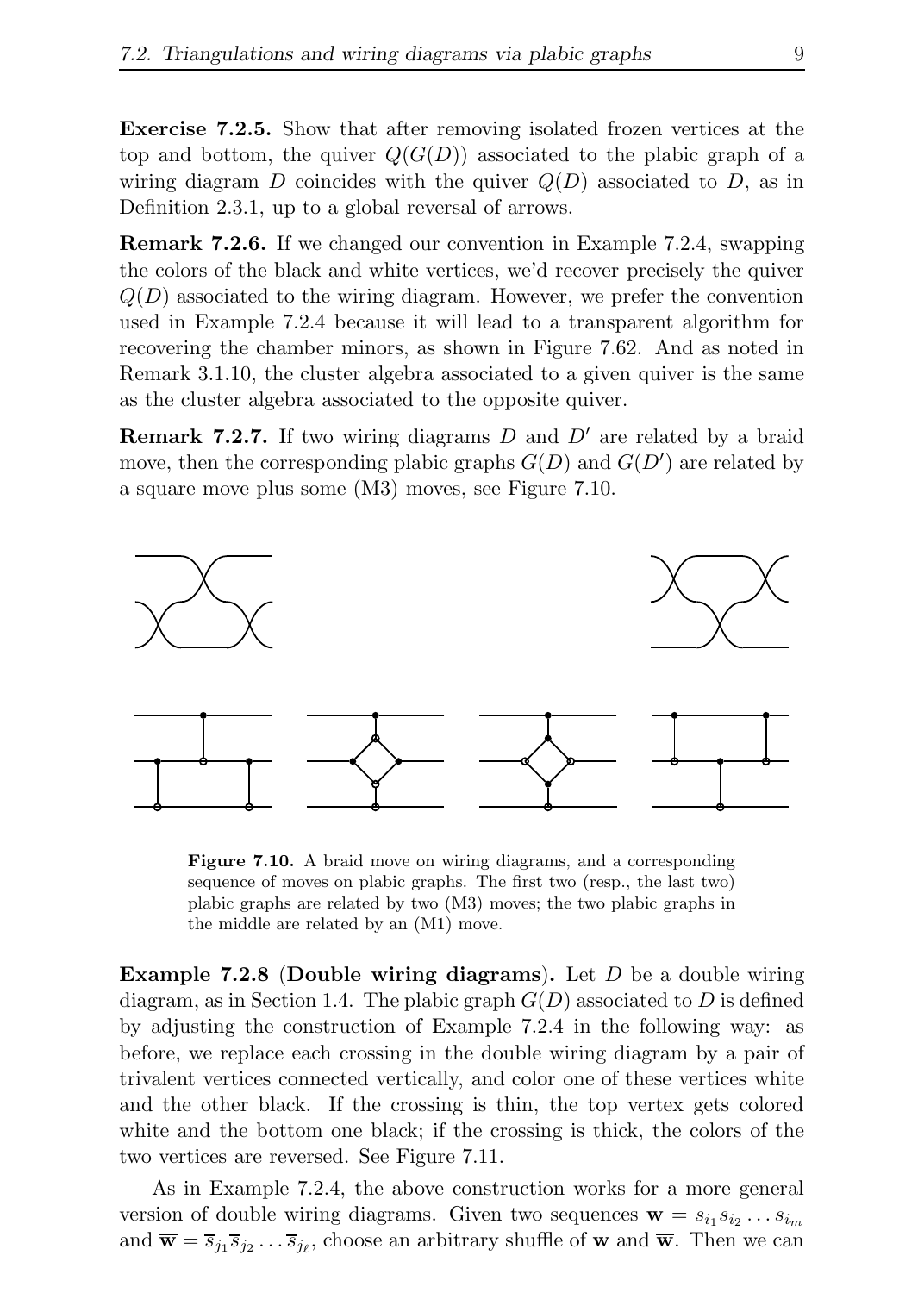Exercise 7.2.5. Show that after removing isolated frozen vertices at the top and bottom, the quiver  $Q(G(D))$  associated to the plabic graph of a wiring diagram D coincides with the quiver  $Q(D)$  associated to D, as in Definition 2.3.1, up to a global reversal of arrows.

Remark 7.2.6. If we changed our convention in Example 7.2.4, swapping the colors of the black and white vertices, we'd recover precisely the quiver  $Q(D)$  associated to the wiring diagram. However, we prefer the convention used in Example 7.2.4 because it will lead to a transparent algorithm for recovering the chamber minors, as shown in Figure 7.62. And as noted in Remark 3.1.10, the cluster algebra associated to a given quiver is the same as the cluster algebra associated to the opposite quiver.

**Remark 7.2.7.** If two wiring diagrams  $D$  and  $D'$  are related by a braid move, then the corresponding plabic graphs  $G(D)$  and  $G(D')$  are related by a square move plus some (M3) moves, see Figure 7.10.



Figure 7.10. A braid move on wiring diagrams, and a corresponding sequence of moves on plabic graphs. The first two (resp., the last two) plabic graphs are related by two (M3) moves; the two plabic graphs in the middle are related by an (M1) move.

**Example 7.2.8 (Double wiring diagrams).** Let  $D$  be a double wiring diagram, as in Section 1.4. The plabic graph  $G(D)$  associated to D is defined by adjusting the construction of Example 7.2.4 in the following way: as before, we replace each crossing in the double wiring diagram by a pair of trivalent vertices connected vertically, and color one of these vertices white and the other black. If the crossing is thin, the top vertex gets colored white and the bottom one black; if the crossing is thick, the colors of the two vertices are reversed. See Figure 7.11.

As in Example 7.2.4, the above construction works for a more general version of double wiring diagrams. Given two sequences  $\mathbf{w} = s_{i_1} s_{i_2} \dots s_{i_m}$ and  $\overline{\mathbf{w}} = \overline{s}_{j_1} \overline{s}_{j_2} \dots \overline{s}_{j_\ell}$ , choose an arbitrary shuffle of **w** and  $\overline{\mathbf{w}}$ . Then we can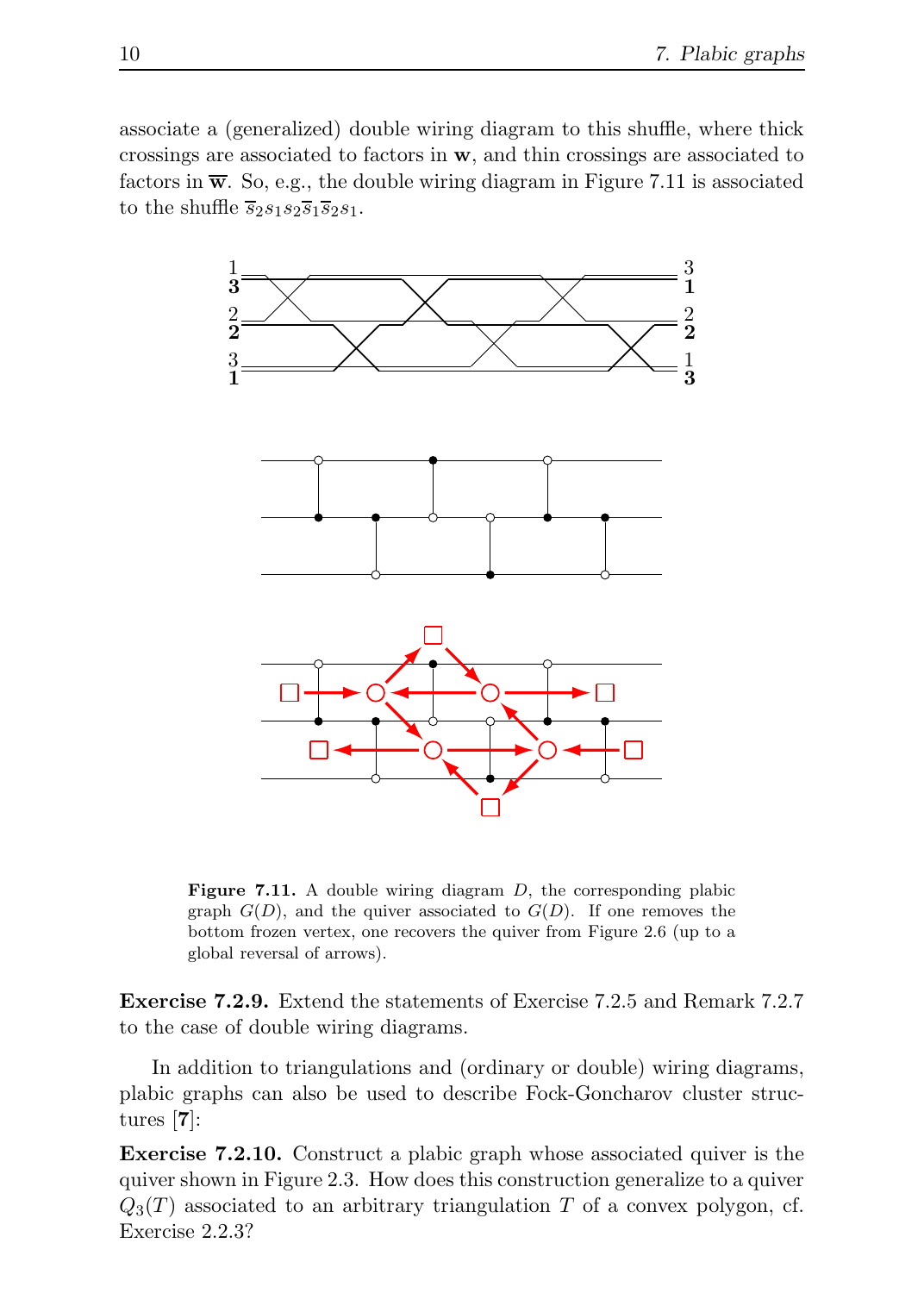associate a (generalized) double wiring diagram to this shuffle, where thick crossings are associated to factors in w, and thin crossings are associated to factors in  $\overline{\mathbf{w}}$ . So, e.g., the double wiring diagram in Figure 7.11 is associated to the shuffle  $\overline{s}_2s_1s_2\overline{s}_1\overline{s}_2s_1$ .



**Figure 7.11.** A double wiring diagram  $D$ , the corresponding plabic graph  $G(D)$ , and the quiver associated to  $G(D)$ . If one removes the bottom frozen vertex, one recovers the quiver from Figure 2.6 (up to a global reversal of arrows).

Exercise 7.2.9. Extend the statements of Exercise 7.2.5 and Remark 7.2.7 to the case of double wiring diagrams.

In addition to triangulations and (ordinary or double) wiring diagrams, plabic graphs can also be used to describe Fock-Goncharov cluster structures [7]:

Exercise 7.2.10. Construct a plabic graph whose associated quiver is the quiver shown in Figure 2.3. How does this construction generalize to a quiver  $Q_3(T)$  associated to an arbitrary triangulation T of a convex polygon, cf. Exercise 2.2.3?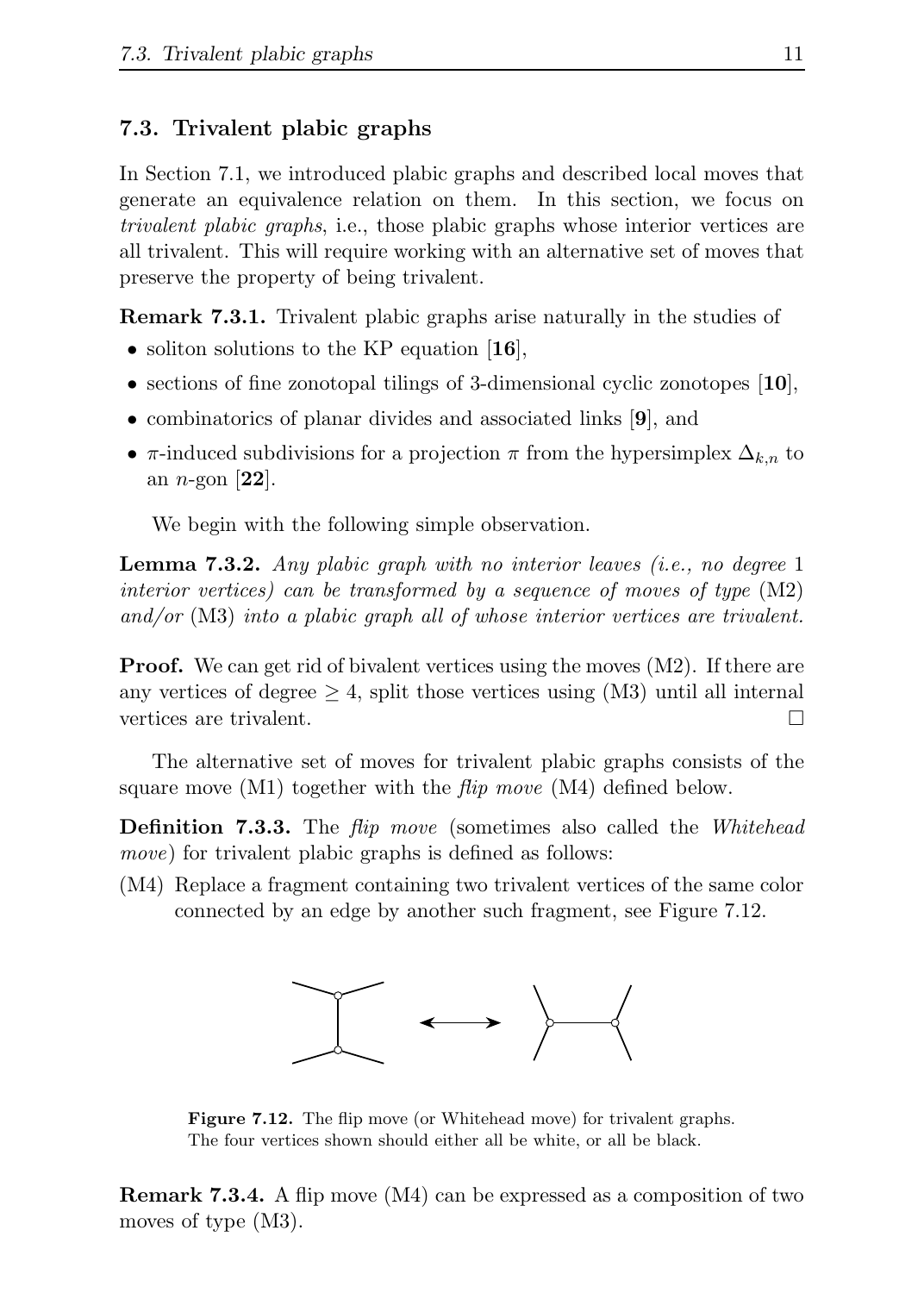#### 7.3. Trivalent plabic graphs

In Section 7.1, we introduced plabic graphs and described local moves that generate an equivalence relation on them. In this section, we focus on trivalent plabic graphs, i.e., those plabic graphs whose interior vertices are all trivalent. This will require working with an alternative set of moves that preserve the property of being trivalent.

Remark 7.3.1. Trivalent plabic graphs arise naturally in the studies of

- soliton solutions to the KP equation [16],
- sections of fine zonotopal tilings of 3-dimensional cyclic zonotopes  $[10]$ ,
- combinatorics of planar divides and associated links [9], and
- π-induced subdivisions for a projection  $\pi$  from the hypersimplex  $\Delta_{k,n}$  to an *n*-gon  $[22]$ .

We begin with the following simple observation.

**Lemma 7.3.2.** Any plabic graph with no interior leaves (i.e., no degree 1) interior vertices) can be transformed by a sequence of moves of type (M2) and/or (M3) into a plabic graph all of whose interior vertices are trivalent.

**Proof.** We can get rid of bivalent vertices using the moves  $(M2)$ . If there are any vertices of degree  $\geq 4$ , split those vertices using (M3) until all internal vertices are trivalent.

The alternative set of moves for trivalent plabic graphs consists of the square move  $(M1)$  together with the *flip move*  $(M4)$  defined below.

**Definition 7.3.3.** The *flip move* (sometimes also called the *Whitehead* move) for trivalent plabic graphs is defined as follows:

(M4) Replace a fragment containing two trivalent vertices of the same color connected by an edge by another such fragment, see Figure 7.12.



Figure 7.12. The flip move (or Whitehead move) for trivalent graphs. The four vertices shown should either all be white, or all be black.

Remark 7.3.4. A flip move (M4) can be expressed as a composition of two moves of type (M3).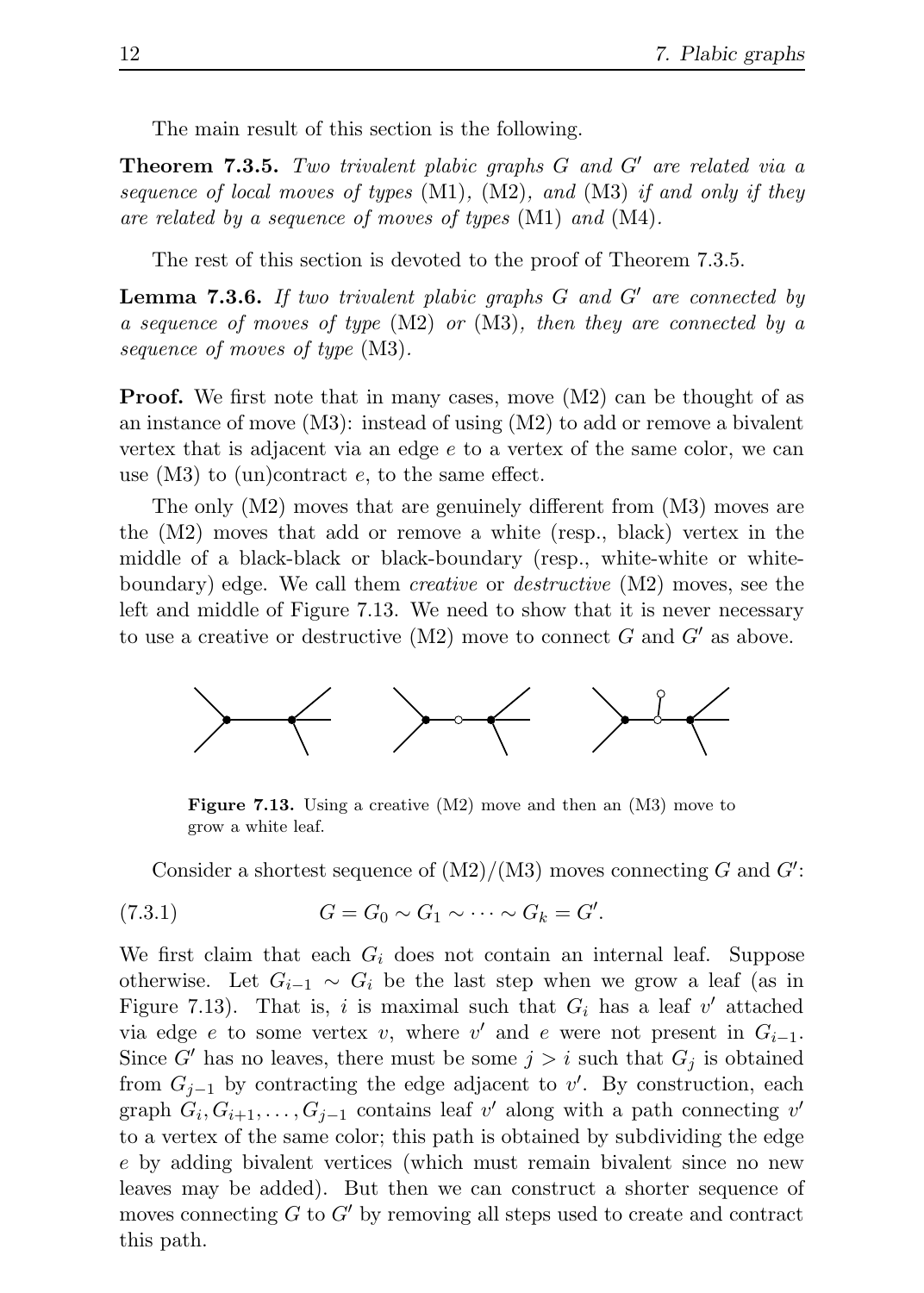The main result of this section is the following.

Theorem 7.3.5. Two trivalent plabic graphs G and G′ are related via a sequence of local moves of types  $(M1)$ ,  $(M2)$ , and  $(M3)$  if and only if they are related by a sequence of moves of types (M1) and (M4).

The rest of this section is devoted to the proof of Theorem 7.3.5.

**Lemma 7.3.6.** If two trivalent plabic graphs  $G$  and  $G'$  are connected by a sequence of moves of type  $(M2)$  or  $(M3)$ , then they are connected by a sequence of moves of type (M3).

**Proof.** We first note that in many cases, move  $(M2)$  can be thought of as an instance of move  $(M3)$ : instead of using  $(M2)$  to add or remove a bivalent vertex that is adjacent via an edge e to a vertex of the same color, we can use  $(M3)$  to  $(un)$ contract  $e$ , to the same effect.

The only (M2) moves that are genuinely different from (M3) moves are the (M2) moves that add or remove a white (resp., black) vertex in the middle of a black-black or black-boundary (resp., white-white or whiteboundary) edge. We call them *creative* or *destructive* (M2) moves, see the left and middle of Figure 7.13. We need to show that it is never necessary to use a creative or destructive  $(M2)$  move to connect G and G' as above.



Figure 7.13. Using a creative (M2) move and then an (M3) move to grow a white leaf.

Consider a shortest sequence of  $(M2)/(M3)$  moves connecting G and  $G'$ :

$$
(7.3.1) \tG = G_0 \sim G_1 \sim \cdots \sim G_k = G'.
$$

We first claim that each  $G_i$  does not contain an internal leaf. Suppose otherwise. Let  $G_{i-1} \sim G_i$  be the last step when we grow a leaf (as in Figure 7.13). That is, i is maximal such that  $G_i$  has a leaf v' attached via edge e to some vertex v, where v' and e were not present in  $G_{i-1}$ . Since G' has no leaves, there must be some  $j > i$  such that  $G_i$  is obtained from  $G_{j-1}$  by contracting the edge adjacent to v'. By construction, each graph  $G_i, G_{i+1}, \ldots, G_{j-1}$  contains leaf v' along with a path connecting v' to a vertex of the same color; this path is obtained by subdividing the edge e by adding bivalent vertices (which must remain bivalent since no new leaves may be added). But then we can construct a shorter sequence of moves connecting  $G$  to  $G'$  by removing all steps used to create and contract this path.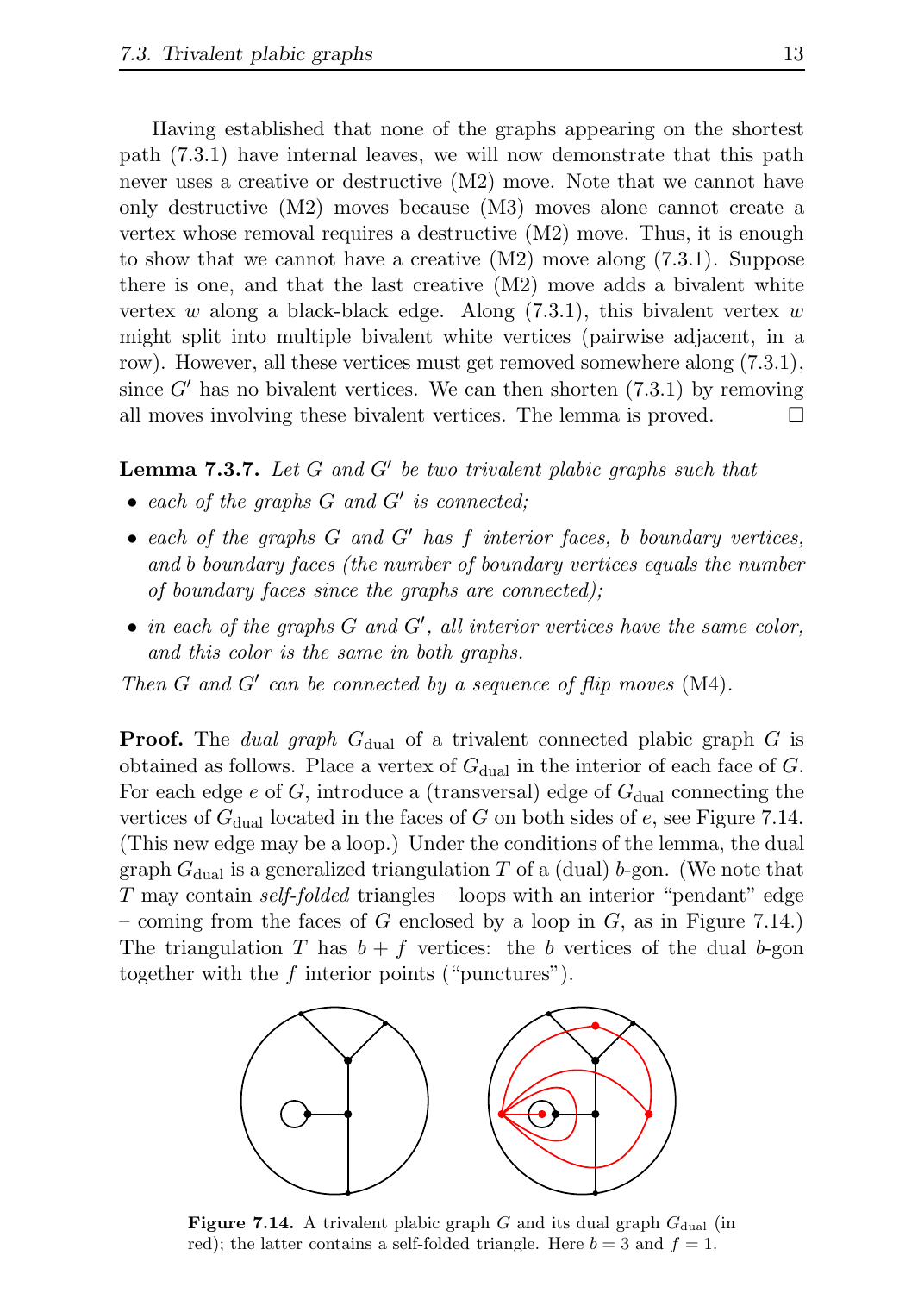Having established that none of the graphs appearing on the shortest path (7.3.1) have internal leaves, we will now demonstrate that this path never uses a creative or destructive (M2) move. Note that we cannot have only destructive (M2) moves because (M3) moves alone cannot create a vertex whose removal requires a destructive (M2) move. Thus, it is enough to show that we cannot have a creative (M2) move along (7.3.1). Suppose there is one, and that the last creative (M2) move adds a bivalent white vertex w along a black-black edge. Along  $(7.3.1)$ , this bivalent vertex w might split into multiple bivalent white vertices (pairwise adjacent, in a row). However, all these vertices must get removed somewhere along (7.3.1), since  $G'$  has no bivalent vertices. We can then shorten (7.3.1) by removing all moves involving these bivalent vertices. The lemma is proved.  $\Box$ 

#### **Lemma 7.3.7.** Let  $G$  and  $G'$  be two trivalent plabic graphs such that

- $\bullet$  each of the graphs  $G$  and  $G'$  is connected;
- each of the graphs G and G′ has f interior faces, b boundary vertices, and b boundary faces (the number of boundary vertices equals the number of boundary faces since the graphs are connected);
- $\bullet$  in each of the graphs  $G$  and  $G'$ , all interior vertices have the same color, and this color is the same in both graphs.

Then  $G$  and  $G'$  can be connected by a sequence of flip moves (M4).

**Proof.** The *dual graph*  $G_{\text{dual}}$  of a trivalent connected plabic graph G is obtained as follows. Place a vertex of  $G_{\text{dual}}$  in the interior of each face of G. For each edge e of G, introduce a (transversal) edge of  $G_{\text{dual}}$  connecting the vertices of  $G_{\text{dual}}$  located in the faces of G on both sides of e, see Figure 7.14. (This new edge may be a loop.) Under the conditions of the lemma, the dual graph  $G_{\text{dual}}$  is a generalized triangulation T of a (dual) b-gon. (We note that T may contain self-folded triangles – loops with an interior "pendant" edge – coming from the faces of G enclosed by a loop in  $G$ , as in Figure 7.14.) The triangulation T has  $b + f$  vertices: the b vertices of the dual b-gon together with the f interior points ("punctures").



Figure 7.14. A trivalent plabic graph  $G$  and its dual graph  $G_{\text{dual}}$  (in red); the latter contains a self-folded triangle. Here  $b = 3$  and  $f = 1$ .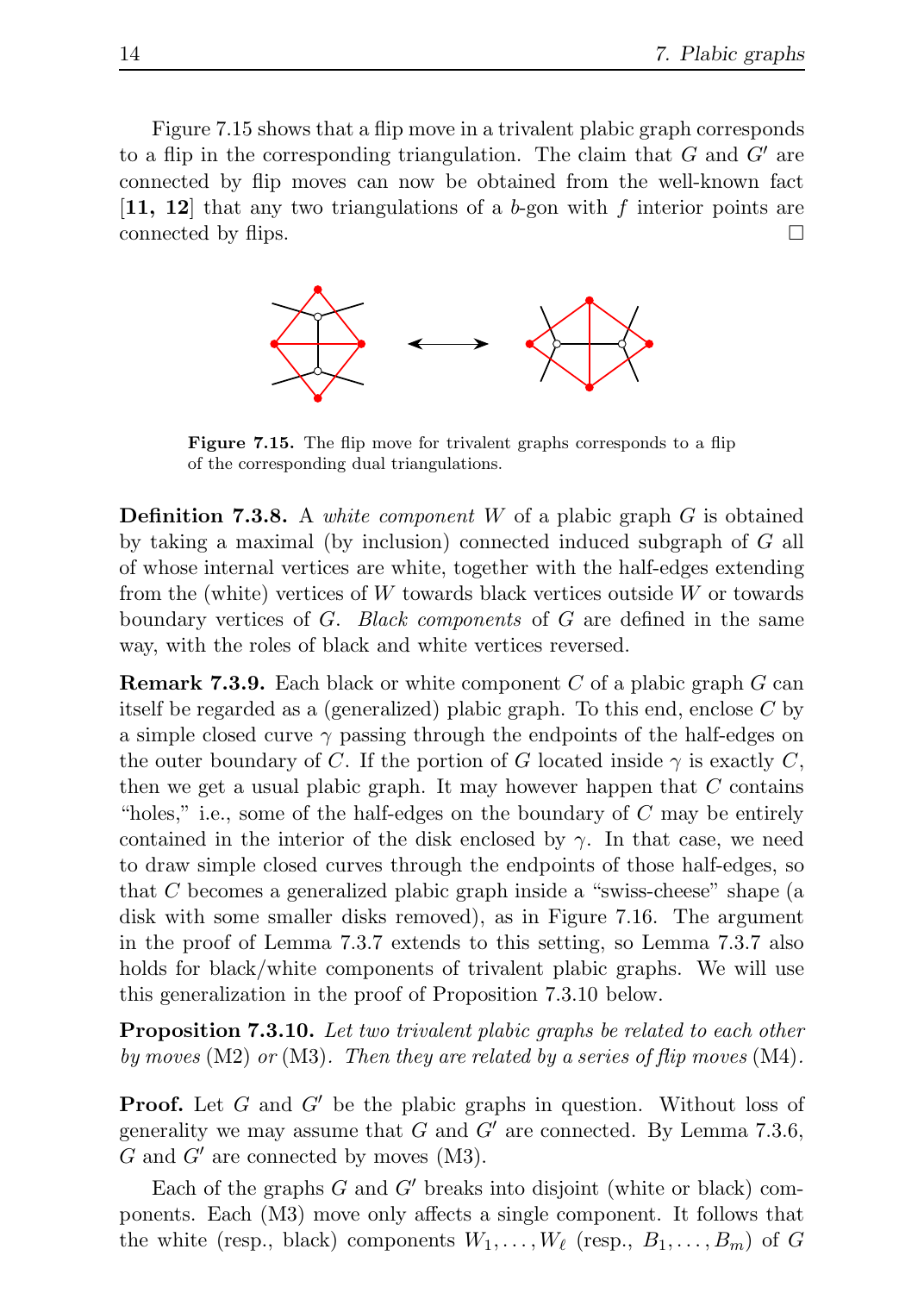Figure 7.15 shows that a flip move in a trivalent plabic graph corresponds to a flip in the corresponding triangulation. The claim that  $G$  and  $G'$  are connected by flip moves can now be obtained from the well-known fact  $[11, 12]$  that any two triangulations of a b-gon with f interior points are connected by flips.



Figure 7.15. The flip move for trivalent graphs corresponds to a flip of the corresponding dual triangulations.

**Definition 7.3.8.** A *white component*  $W$  of a plabic graph  $G$  is obtained by taking a maximal (by inclusion) connected induced subgraph of G all of whose internal vertices are white, together with the half-edges extending from the (white) vertices of  $W$  towards black vertices outside  $W$  or towards boundary vertices of  $G$ . Black components of  $G$  are defined in the same way, with the roles of black and white vertices reversed.

**Remark 7.3.9.** Each black or white component  $C$  of a plabic graph  $G$  can itself be regarded as a (generalized) plabic graph. To this end, enclose C by a simple closed curve  $\gamma$  passing through the endpoints of the half-edges on the outer boundary of C. If the portion of G located inside  $\gamma$  is exactly C, then we get a usual plabic graph. It may however happen that  $C$  contains "holes," i.e., some of the half-edges on the boundary of  $C$  may be entirely contained in the interior of the disk enclosed by  $\gamma$ . In that case, we need to draw simple closed curves through the endpoints of those half-edges, so that C becomes a generalized plabic graph inside a "swiss-cheese" shape (a disk with some smaller disks removed), as in Figure 7.16. The argument in the proof of Lemma 7.3.7 extends to this setting, so Lemma 7.3.7 also holds for black/white components of trivalent plabic graphs. We will use this generalization in the proof of Proposition 7.3.10 below.

**Proposition 7.3.10.** Let two trivalent plabic graphs be related to each other by moves  $(M2)$  or  $(M3)$ . Then they are related by a series of flip moves  $(M4)$ .

**Proof.** Let G and G' be the plabic graphs in question. Without loss of generality we may assume that  $G$  and  $G'$  are connected. By Lemma 7.3.6,  $G$  and  $G'$  are connected by moves (M3).

Each of the graphs  $G$  and  $G'$  breaks into disjoint (white or black) components. Each (M3) move only affects a single component. It follows that the white (resp., black) components  $W_1, \ldots, W_\ell$  (resp.,  $B_1, \ldots, B_m$ ) of G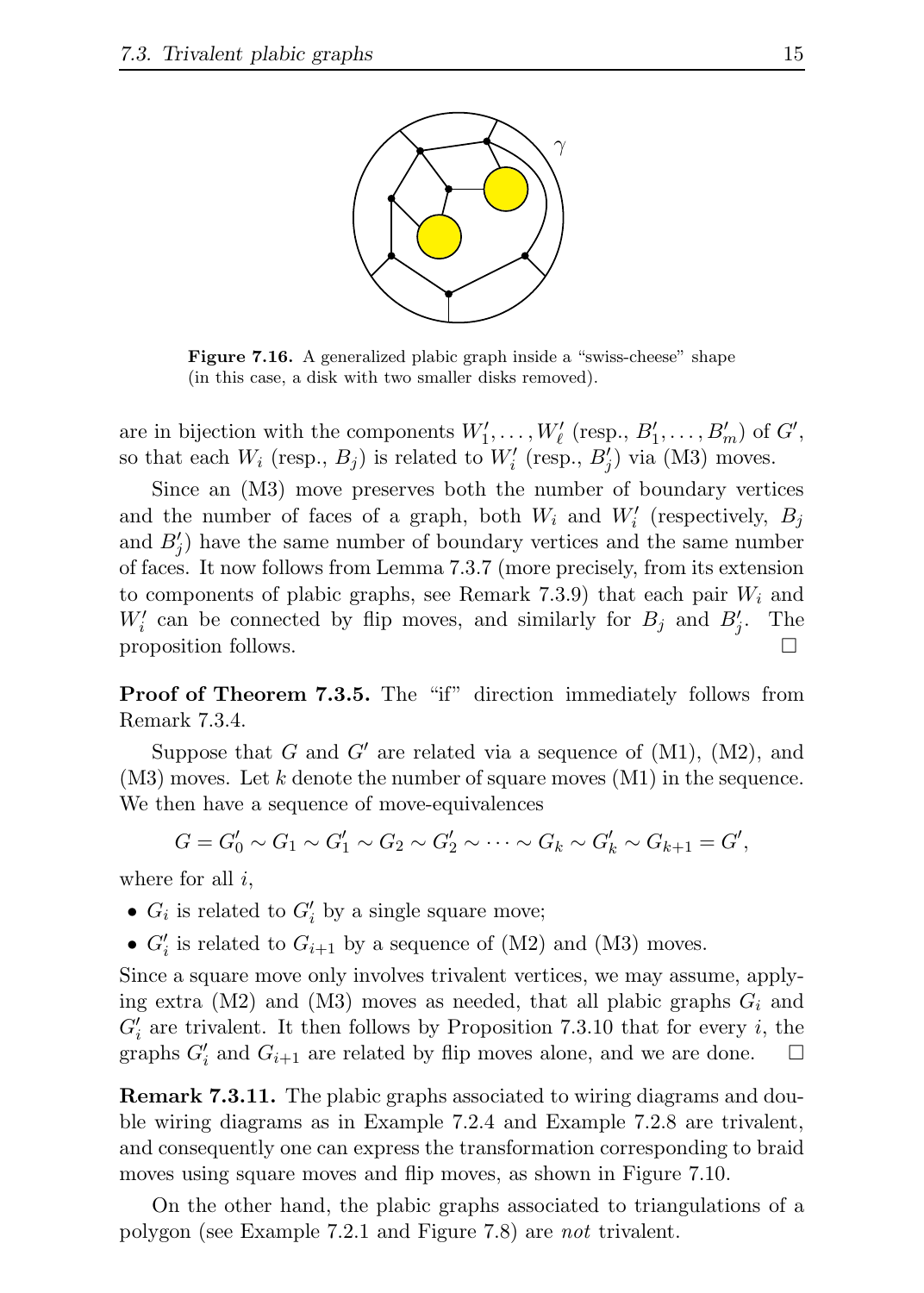

Figure 7.16. A generalized plabic graph inside a "swiss-cheese" shape (in this case, a disk with two smaller disks removed).

are in bijection with the components  $W'_1, \ldots, W'_{\ell}$  (resp.,  $B'_1, \ldots, B'_m$ ) of  $G'$ , so that each  $W_i$  (resp.,  $B_j$ ) is related to  $W'_i$  (resp.,  $B'_j$ ) via (M3) moves.

Since an (M3) move preserves both the number of boundary vertices and the number of faces of a graph, both  $W_i$  and  $W'_i$  (respectively,  $B_j$ and  $B'_{j}$ ) have the same number of boundary vertices and the same number of faces. It now follows from Lemma 7.3.7 (more precisely, from its extension to components of plabic graphs, see Remark 7.3.9) that each pair  $W_i$  and  $W_i'$  can be connected by flip moves, and similarly for  $B_j$  and  $B_j'$ . The proposition follows.

Proof of Theorem 7.3.5. The "if" direction immediately follows from Remark 7.3.4.

Suppose that G and G' are related via a sequence of  $(M1)$ ,  $(M2)$ , and  $(M3)$  moves. Let k denote the number of square moves  $(M1)$  in the sequence. We then have a sequence of move-equivalences

$$
G = G'_0 \sim G_1 \sim G'_1 \sim G_2 \sim G'_2 \sim \cdots \sim G_k \sim G'_k \sim G_{k+1} = G',
$$

where for all  $i$ ,

- $G_i$  is related to  $G'_i$  by a single square move;
- $G'_{i}$  is related to  $G_{i+1}$  by a sequence of (M2) and (M3) moves.

Since a square move only involves trivalent vertices, we may assume, applying extra (M2) and (M3) moves as needed, that all plabic graphs  $G_i$  and  $G'_{i}$  are trivalent. It then follows by Proposition 7.3.10 that for every i, the graphs  $G'_{i}$  and  $G_{i+1}$  are related by flip moves alone, and we are done.  $\Box$ 

Remark 7.3.11. The plabic graphs associated to wiring diagrams and double wiring diagrams as in Example 7.2.4 and Example 7.2.8 are trivalent, and consequently one can express the transformation corresponding to braid moves using square moves and flip moves, as shown in Figure 7.10.

On the other hand, the plabic graphs associated to triangulations of a polygon (see Example 7.2.1 and Figure 7.8) are not trivalent.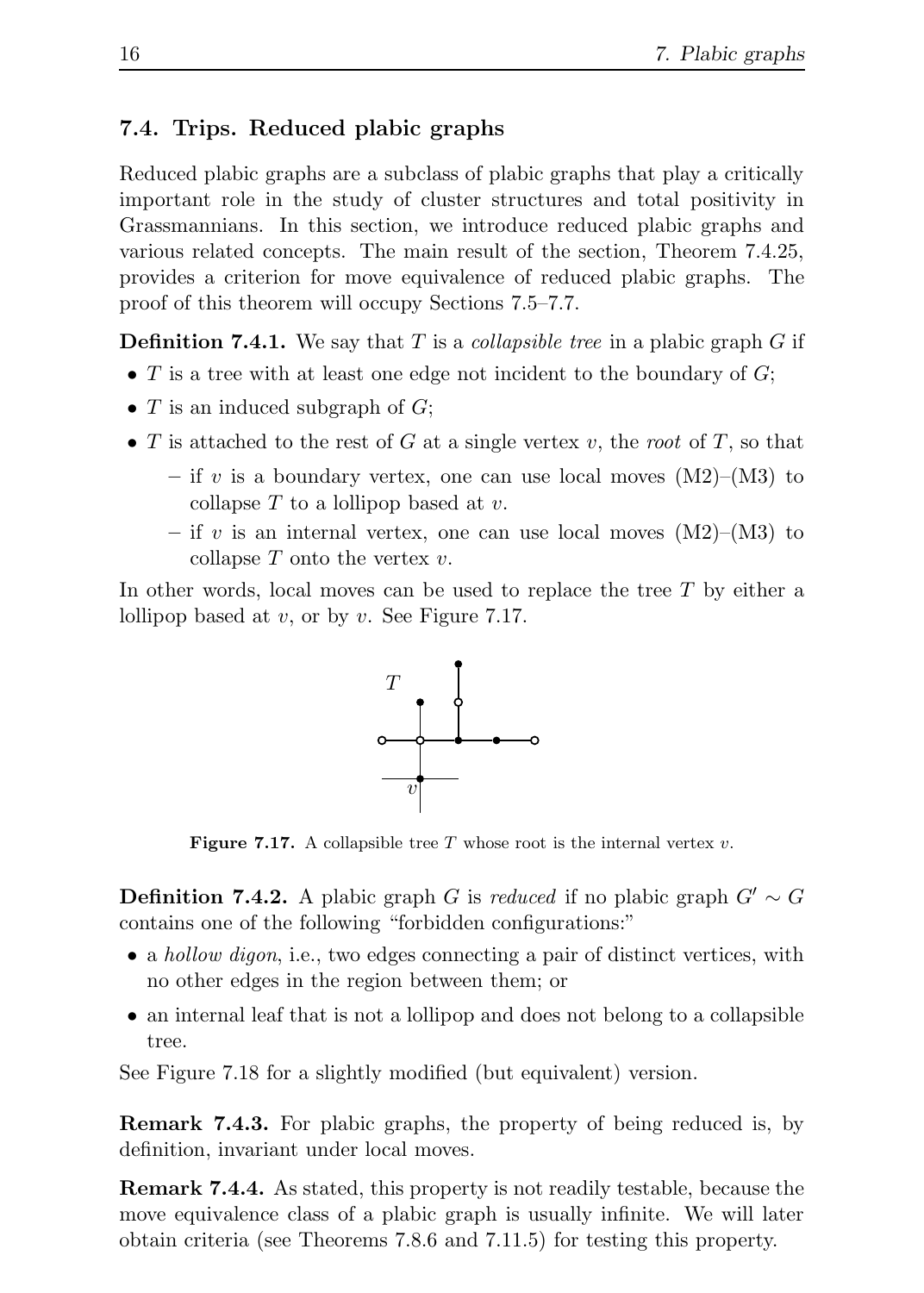#### 7.4. Trips. Reduced plabic graphs

Reduced plabic graphs are a subclass of plabic graphs that play a critically important role in the study of cluster structures and total positivity in Grassmannians. In this section, we introduce reduced plabic graphs and various related concepts. The main result of the section, Theorem 7.4.25, provides a criterion for move equivalence of reduced plabic graphs. The proof of this theorem will occupy Sections 7.5–7.7.

**Definition 7.4.1.** We say that T is a *collapsible tree* in a plabic graph G if

- T is a tree with at least one edge not incident to the boundary of  $G$ ;
- $T$  is an induced subgraph of  $G$ ;
- T is attached to the rest of G at a single vertex v, the root of T, so that
	- if v is a boundary vertex, one can use local moves  $(M2)$ – $(M3)$  to collapse  $T$  to a lollipop based at  $v$ .
	- if v is an internal vertex, one can use local moves  $(M2)$ – $(M3)$  to collapse  $T$  onto the vertex  $v$ .

In other words, local moves can be used to replace the tree  $T$  by either a lollipop based at  $v$ , or by  $v$ . See Figure 7.17.



**Figure 7.17.** A collapsible tree  $T$  whose root is the internal vertex  $v$ .

**Definition 7.4.2.** A plabic graph G is reduced if no plabic graph  $G' \sim G$ contains one of the following "forbidden configurations:"

- a *hollow digon*, i.e., two edges connecting a pair of distinct vertices, with no other edges in the region between them; or
- an internal leaf that is not a lollipop and does not belong to a collapsible tree.

See Figure 7.18 for a slightly modified (but equivalent) version.

Remark 7.4.3. For plabic graphs, the property of being reduced is, by definition, invariant under local moves.

Remark 7.4.4. As stated, this property is not readily testable, because the move equivalence class of a plabic graph is usually infinite. We will later obtain criteria (see Theorems 7.8.6 and 7.11.5) for testing this property.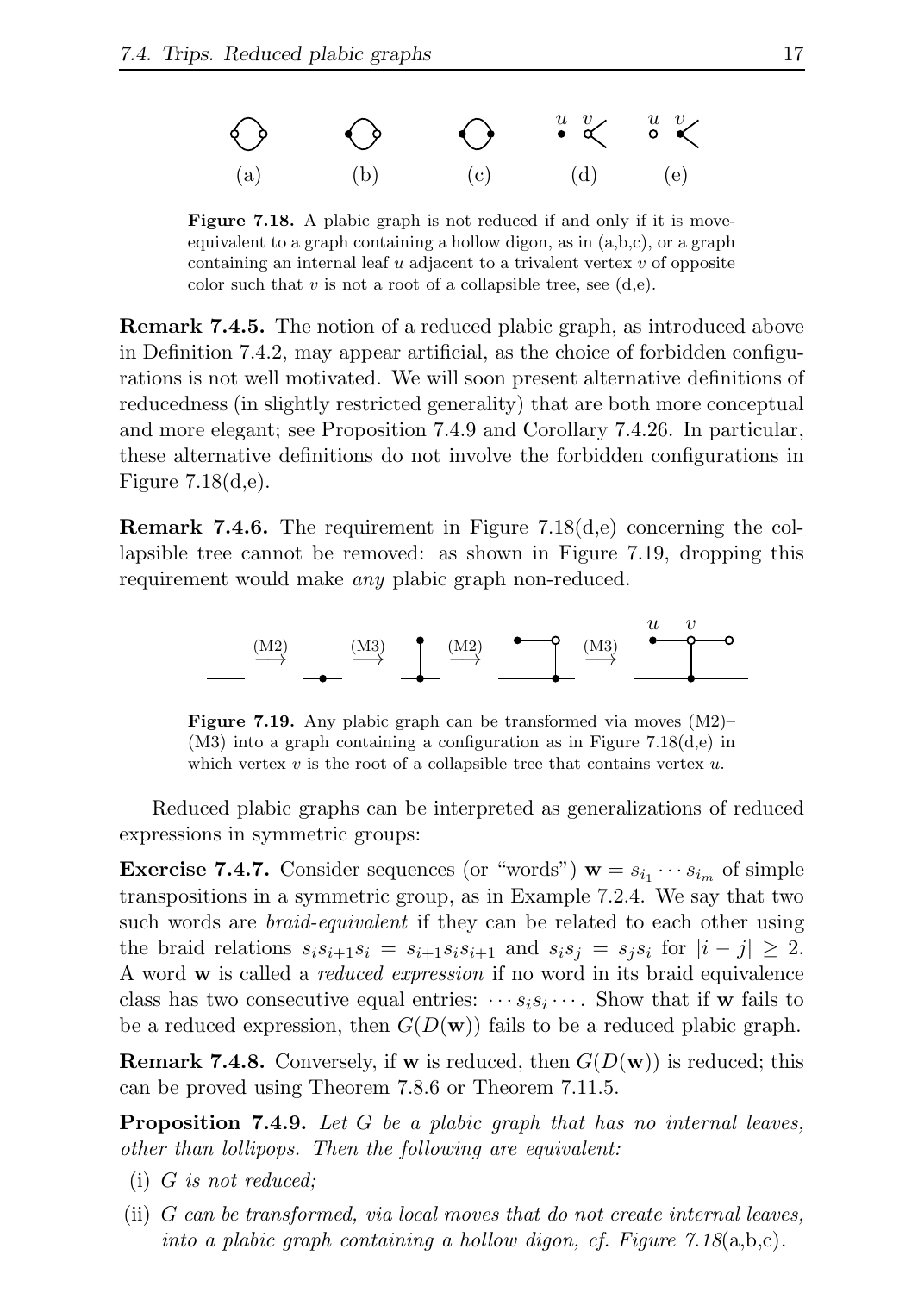

**Figure 7.18.** A plabic graph is not reduced if and only if it is moveequivalent to a graph containing a hollow digon, as in  $(a,b,c)$ , or a graph containing an internal leaf u adjacent to a trivalent vertex v of opposite color such that  $v$  is not a root of a collapsible tree, see  $(d,e)$ .

Remark 7.4.5. The notion of a reduced plabic graph, as introduced above in Definition 7.4.2, may appear artificial, as the choice of forbidden configurations is not well motivated. We will soon present alternative definitions of reducedness (in slightly restricted generality) that are both more conceptual and more elegant; see Proposition 7.4.9 and Corollary 7.4.26. In particular, these alternative definitions do not involve the forbidden configurations in Figure 7.18(d,e).

**Remark 7.4.6.** The requirement in Figure 7.18 $(d,e)$  concerning the collapsible tree cannot be removed: as shown in Figure 7.19, dropping this requirement would make *any* plabic graph non-reduced.



**Figure 7.19.** Any plabic graph can be transformed via moves  $(M2)$ – (M3) into a graph containing a configuration as in Figure 7.18(d,e) in which vertex  $v$  is the root of a collapsible tree that contains vertex  $u$ .

Reduced plabic graphs can be interpreted as generalizations of reduced expressions in symmetric groups:

**Exercise 7.4.7.** Consider sequences (or "words")  $\mathbf{w} = s_{i_1} \cdots s_{i_m}$  of simple transpositions in a symmetric group, as in Example 7.2.4. We say that two such words are *braid-equivalent* if they can be related to each other using the braid relations  $s_i s_{i+1} s_i = s_{i+1} s_i s_{i+1}$  and  $s_i s_j = s_j s_i$  for  $|i - j| \geq 2$ . A word w is called a *reduced expression* if no word in its braid equivalence class has two consecutive equal entries:  $\cdots s_i s_i \cdots$ . Show that if **w** fails to be a reduced expression, then  $G(D(\mathbf{w}))$  fails to be a reduced plabic graph.

**Remark 7.4.8.** Conversely, if **w** is reduced, then  $G(D(\mathbf{w}))$  is reduced; this can be proved using Theorem 7.8.6 or Theorem 7.11.5.

**Proposition 7.4.9.** Let  $G$  be a plabic graph that has no internal leaves, other than lollipops. Then the following are equivalent:

- (i) G is not reduced;
- (ii) G can be transformed, via local moves that do not create internal leaves, into a plabic graph containing a hollow digon, cf. Figure  $7.18(a,b,c)$ .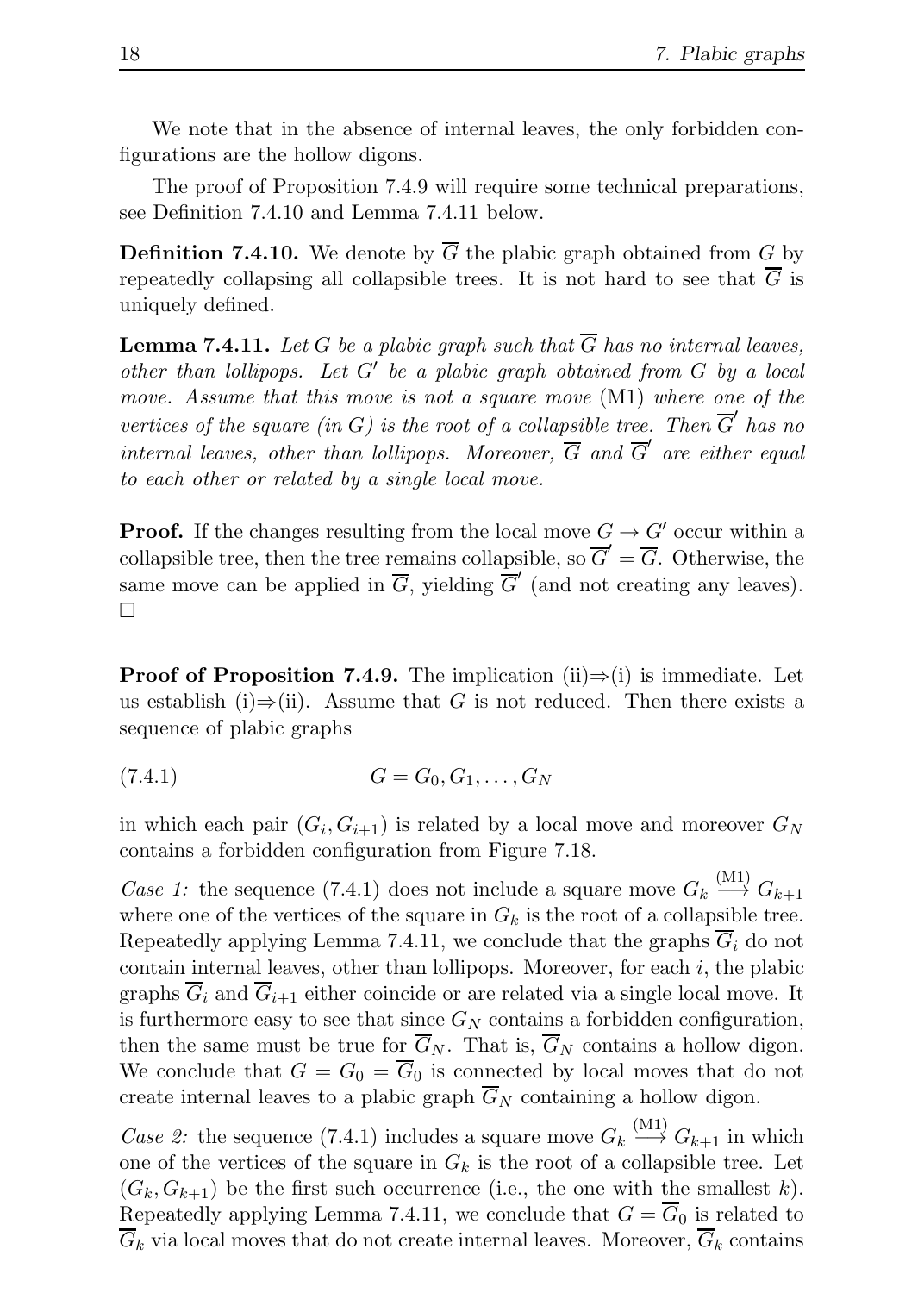We note that in the absence of internal leaves, the only forbidden configurations are the hollow digons.

The proof of Proposition 7.4.9 will require some technical preparations, see Definition 7.4.10 and Lemma 7.4.11 below.

**Definition 7.4.10.** We denote by  $\overline{G}$  the plabic graph obtained from G by repeatedly collapsing all collapsible trees. It is not hard to see that  $\overline{G}$  is uniquely defined.

**Lemma 7.4.11.** Let G be a plabic graph such that  $\overline{G}$  has no internal leaves, other than lollipops. Let G′ be a plabic graph obtained from G by a local move. Assume that this move is not a square move (M1) where one of the vertices of the square (in G) is the root of a collapsible tree. Then  $\overline{G}'$  has no internal leaves, other than lollipops. Moreover,  $\overline{G}$  and  $\overline{G}'$  are either equal to each other or related by a single local move.

**Proof.** If the changes resulting from the local move  $G \to G'$  occur within a collapsible tree, then the tree remains collapsible, so  $\overline{G}' = \overline{G}$ . Otherwise, the same move can be applied in  $\overline{G}$ , yielding  $\overline{G}'$  (and not creating any leaves).  $\Box$ 

**Proof of Proposition 7.4.9.** The implication (ii) $\Rightarrow$ (i) is immediate. Let us establish (i)⇒(ii). Assume that G is not reduced. Then there exists a sequence of plabic graphs

$$
(7.4.1) \t G = G_0, G_1, \dots, G_N
$$

in which each pair  $(G_i, G_{i+1})$  is related by a local move and moreover  $G_N$ contains a forbidden configuration from Figure 7.18.

Case 1: the sequence (7.4.1) does not include a square move  $G_k \stackrel{\text{(M1)}}{\longrightarrow} G_{k+1}$ where one of the vertices of the square in  $G_k$  is the root of a collapsible tree. Repeatedly applying Lemma 7.4.11, we conclude that the graphs  $\overline{G}_i$  do not contain internal leaves, other than lollipops. Moreover, for each  $i$ , the plabic graphs  $\overline{G}_i$  and  $\overline{G}_{i+1}$  either coincide or are related via a single local move. It is furthermore easy to see that since  $G_N$  contains a forbidden configuration, then the same must be true for  $\overline{G}_N$ . That is,  $\overline{G}_N$  contains a hollow digon. We conclude that  $G = G_0 = \overline{G}_0$  is connected by local moves that do not create internal leaves to a plabic graph  $\overline{G}_N$  containing a hollow digon.

*Case 2*: the sequence (7.4.1) includes a square move  $G_k \stackrel{(M1)}{\longrightarrow} G_{k+1}$  in which one of the vertices of the square in  $G_k$  is the root of a collapsible tree. Let  $(G_k, G_{k+1})$  be the first such occurrence (i.e., the one with the smallest k). Repeatedly applying Lemma 7.4.11, we conclude that  $G = \overline{G}_0$  is related to  $\overline{G}_k$  via local moves that do not create internal leaves. Moreover,  $\overline{G}_k$  contains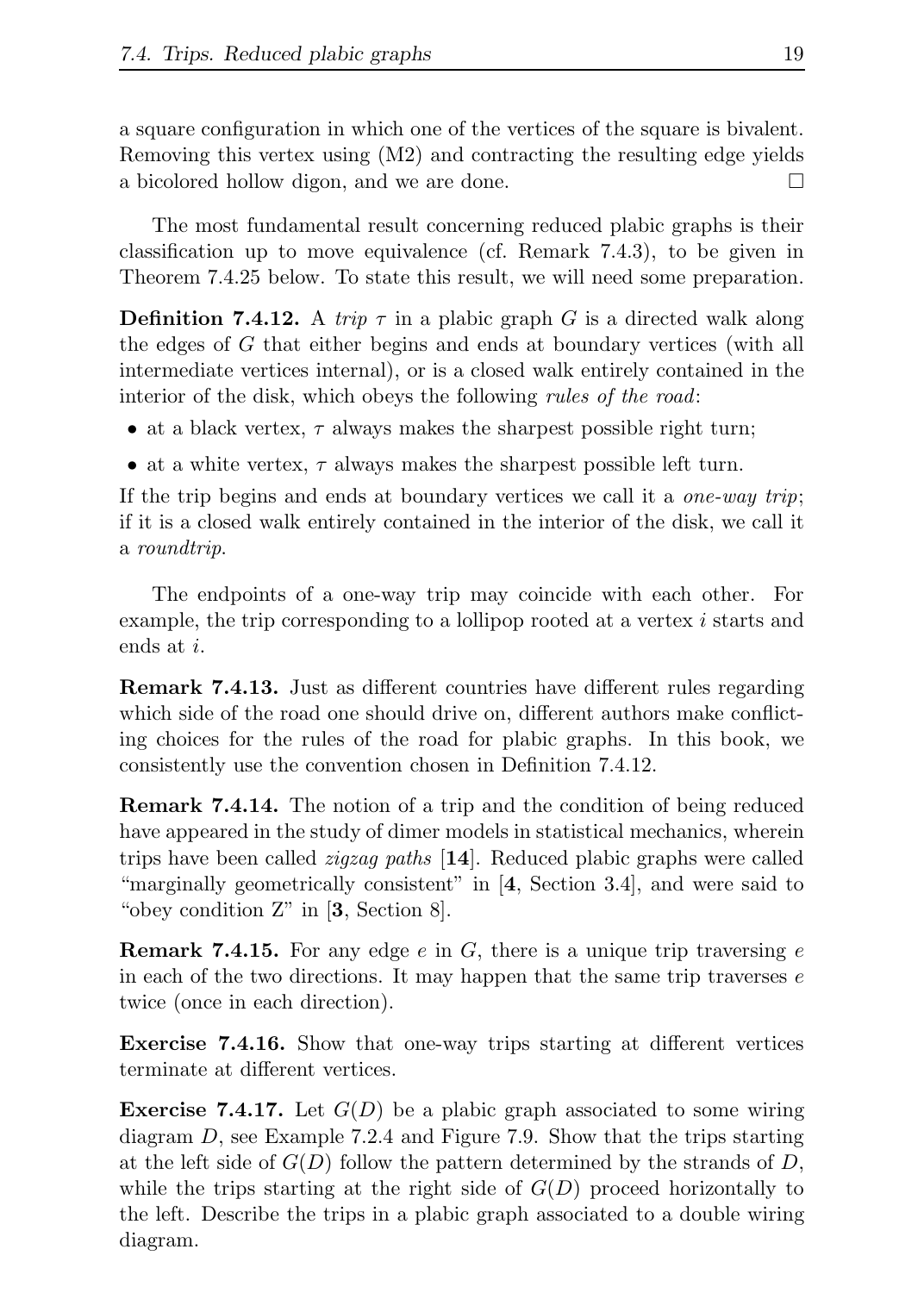a square configuration in which one of the vertices of the square is bivalent. Removing this vertex using (M2) and contracting the resulting edge yields a bicolored hollow digon, and we are done.

The most fundamental result concerning reduced plabic graphs is their classification up to move equivalence (cf. Remark 7.4.3), to be given in Theorem 7.4.25 below. To state this result, we will need some preparation.

**Definition 7.4.12.** A trip  $\tau$  in a plabic graph G is a directed walk along the edges of G that either begins and ends at boundary vertices (with all intermediate vertices internal), or is a closed walk entirely contained in the interior of the disk, which obeys the following *rules of the road*:

- at a black vertex,  $\tau$  always makes the sharpest possible right turn;
- at a white vertex,  $\tau$  always makes the sharpest possible left turn.

If the trip begins and ends at boundary vertices we call it a *one-way trip*; if it is a closed walk entirely contained in the interior of the disk, we call it a roundtrip.

The endpoints of a one-way trip may coincide with each other. For example, the trip corresponding to a lollipop rooted at a vertex i starts and ends at i.

Remark 7.4.13. Just as different countries have different rules regarding which side of the road one should drive on, different authors make conflicting choices for the rules of the road for plabic graphs. In this book, we consistently use the convention chosen in Definition 7.4.12.

Remark 7.4.14. The notion of a trip and the condition of being reduced have appeared in the study of dimer models in statistical mechanics, wherein trips have been called *zigzag paths*  $[14]$ . Reduced plabic graphs were called "marginally geometrically consistent" in [4, Section 3.4], and were said to "obey condition  $Z$ " in  $[3, Section 8]$ .

**Remark 7.4.15.** For any edge e in  $G$ , there is a unique trip traversing e in each of the two directions. It may happen that the same trip traverses  $e$ twice (once in each direction).

Exercise 7.4.16. Show that one-way trips starting at different vertices terminate at different vertices.

**Exercise 7.4.17.** Let  $G(D)$  be a plabic graph associated to some wiring diagram D, see Example 7.2.4 and Figure 7.9. Show that the trips starting at the left side of  $G(D)$  follow the pattern determined by the strands of D, while the trips starting at the right side of  $G(D)$  proceed horizontally to the left. Describe the trips in a plabic graph associated to a double wiring diagram.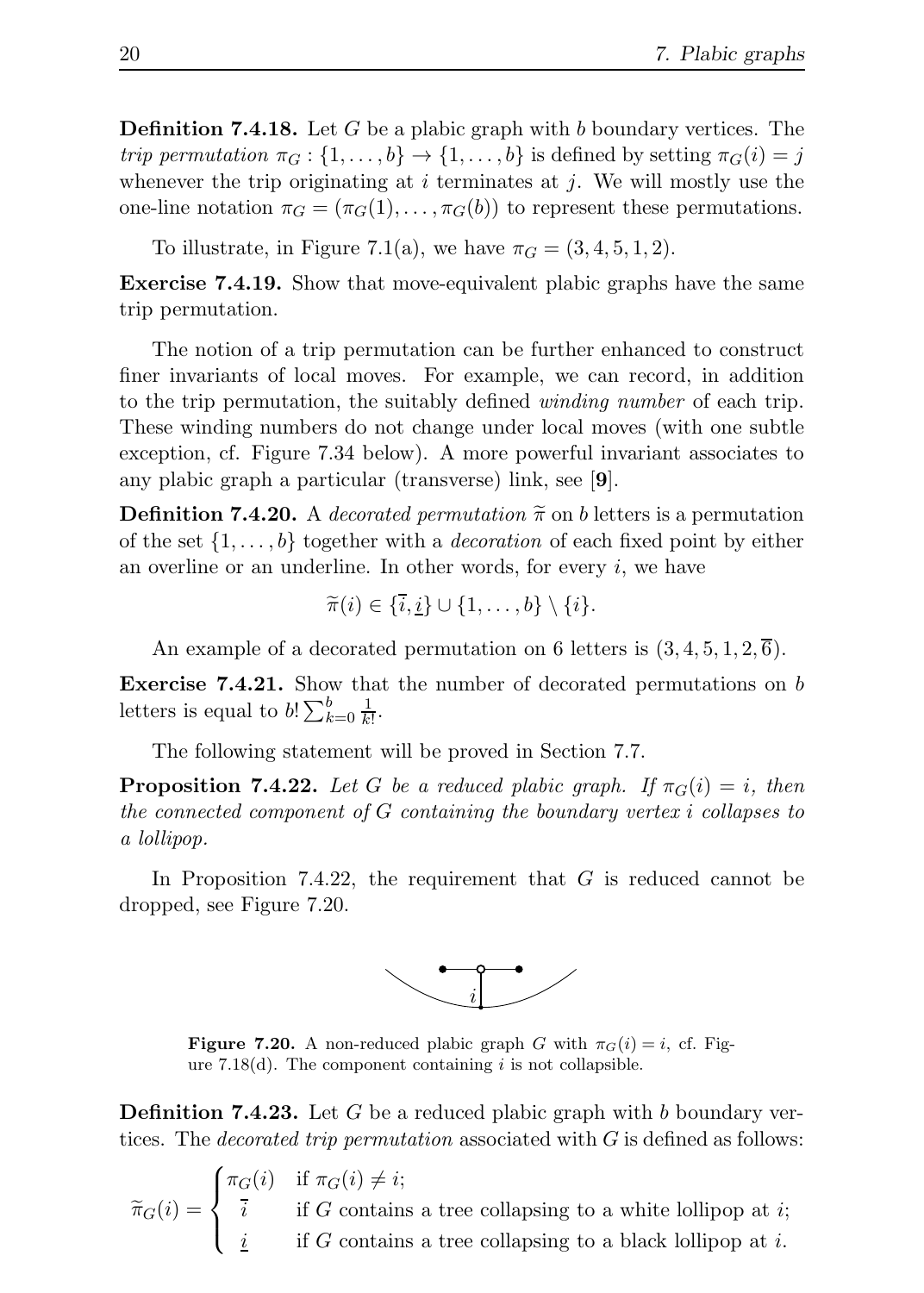**Definition 7.4.18.** Let G be a plabic graph with b boundary vertices. The trip permutation  $\pi_G : \{1, \ldots, b\} \to \{1, \ldots, b\}$  is defined by setting  $\pi_G(i) = j$ whenever the trip originating at  $i$  terminates at  $j$ . We will mostly use the one-line notation  $\pi_G = (\pi_G(1), \ldots, \pi_G(b))$  to represent these permutations.

To illustrate, in Figure 7.1(a), we have  $\pi_G = (3, 4, 5, 1, 2)$ .

Exercise 7.4.19. Show that move-equivalent plabic graphs have the same trip permutation.

The notion of a trip permutation can be further enhanced to construct finer invariants of local moves. For example, we can record, in addition to the trip permutation, the suitably defined *winding number* of each trip. These winding numbers do not change under local moves (with one subtle exception, cf. Figure 7.34 below). A more powerful invariant associates to any plabic graph a particular (transverse) link, see [9].

**Definition 7.4.20.** A decorated permutation  $\tilde{\pi}$  on b letters is a permutation of the set  $\{1, \ldots, b\}$  together with a *decoration* of each fixed point by either an overline or an underline. In other words, for every  $i$ , we have

$$
\widetilde{\pi}(i) \in \{\overline{i},\underline{i}\} \cup \{1,\ldots,b\} \setminus \{i\}.
$$

An example of a decorated permutation on 6 letters is  $(3, 4, 5, 1, 2, \overline{6})$ .

Exercise 7.4.21. Show that the number of decorated permutations on b letters is equal to  $b! \sum_{k=0}^{b} \frac{1}{k!}$ .

The following statement will be proved in Section 7.7.

**Proposition 7.4.22.** Let G be a reduced plabic graph. If  $\pi_G(i) = i$ , then the connected component of G containing the boundary vertex i collapses to a lollipop.

In Proposition 7.4.22, the requirement that  $G$  is reduced cannot be dropped, see Figure 7.20.



**Figure 7.20.** A non-reduced plabic graph G with  $\pi_G(i) = i$ , cf. Figure 7.18 $(d)$ . The component containing i is not collapsible.

**Definition 7.4.23.** Let G be a reduced plabic graph with b boundary vertices. The *decorated trip permutation* associated with  $G$  is defined as follows:

 $\widetilde{\pi}_G(i) =$  $\sqrt{ }$  $\int$  $\overline{1}$  $\pi_G(i)$  if  $\pi_G(i) \neq i;$ i if G contains a tree collapsing to a white lollipop at i;  $i$  if G contains a tree collapsing to a black lollipop at i.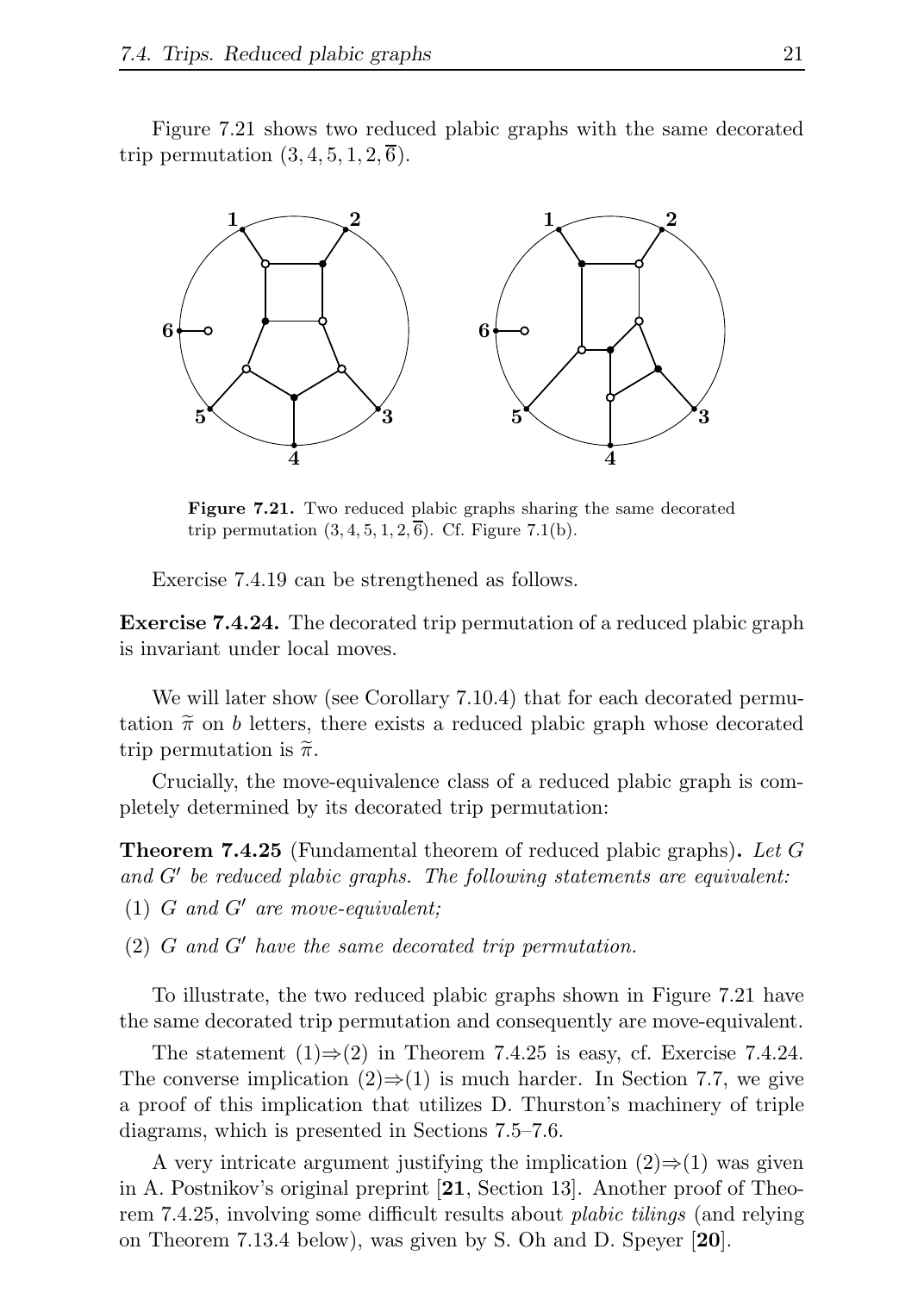Figure 7.21 shows two reduced plabic graphs with the same decorated trip permutation  $(3, 4, 5, 1, 2, \overline{6})$ .



Figure 7.21. Two reduced plabic graphs sharing the same decorated trip permutation  $(3, 4, 5, 1, 2, \overline{6})$ . Cf. Figure 7.1(b).

Exercise 7.4.19 can be strengthened as follows.

Exercise 7.4.24. The decorated trip permutation of a reduced plabic graph is invariant under local moves.

We will later show (see Corollary 7.10.4) that for each decorated permutation  $\tilde{\pi}$  on b letters, there exists a reduced plabic graph whose decorated trip permutation is  $\tilde{\pi}$ .

Crucially, the move-equivalence class of a reduced plabic graph is completely determined by its decorated trip permutation:

**Theorem 7.4.25** (Fundamental theorem of reduced plabic graphs). Let G and G′ be reduced plabic graphs. The following statements are equivalent:

(1)  $G$  and  $G'$  are move-equivalent:

 $(2)$  G and G' have the same decorated trip permutation.

To illustrate, the two reduced plabic graphs shown in Figure 7.21 have the same decorated trip permutation and consequently are move-equivalent.

The statement  $(1) \Rightarrow (2)$  in Theorem 7.4.25 is easy, cf. Exercise 7.4.24. The converse implication  $(2) \Rightarrow (1)$  is much harder. In Section 7.7, we give a proof of this implication that utilizes D. Thurston's machinery of triple diagrams, which is presented in Sections 7.5–7.6.

A very intricate argument justifying the implication  $(2) \Rightarrow (1)$  was given in A. Postnikov's original preprint [21, Section 13]. Another proof of Theorem 7.4.25, involving some difficult results about plabic tilings (and relying on Theorem 7.13.4 below), was given by S. Oh and D. Speyer [20].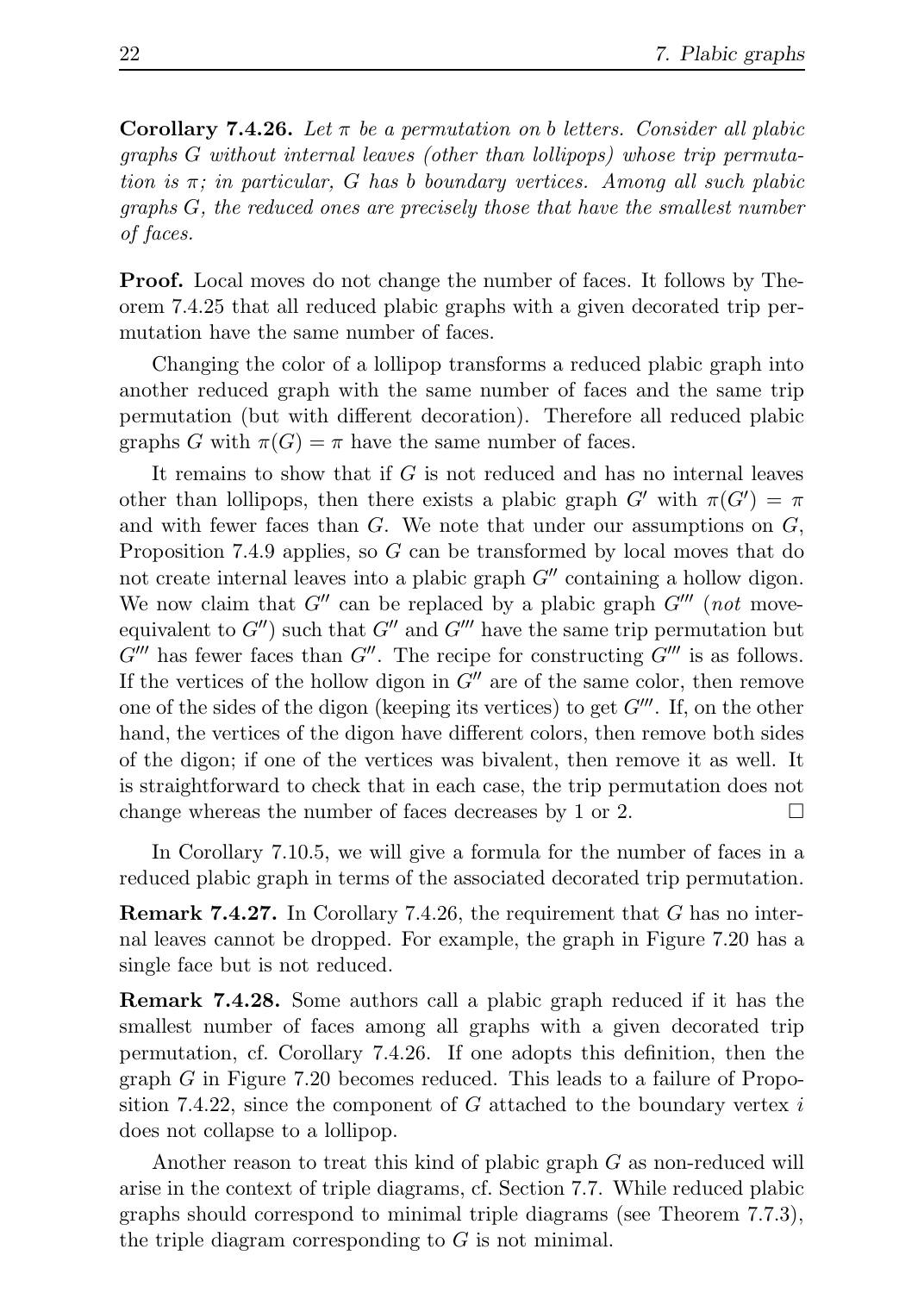**Corollary 7.4.26.** Let  $\pi$  be a permutation on b letters. Consider all plabic graphs G without internal leaves (other than lollipops) whose trip permutation is  $\pi$ ; in particular, G has b boundary vertices. Among all such plabic graphs G, the reduced ones are precisely those that have the smallest number of faces.

Proof. Local moves do not change the number of faces. It follows by Theorem 7.4.25 that all reduced plabic graphs with a given decorated trip permutation have the same number of faces.

Changing the color of a lollipop transforms a reduced plabic graph into another reduced graph with the same number of faces and the same trip permutation (but with different decoration). Therefore all reduced plabic graphs G with  $\pi(G) = \pi$  have the same number of faces.

It remains to show that if  $G$  is not reduced and has no internal leaves other than lollipops, then there exists a plabic graph  $G'$  with  $\pi(G') = \pi$ and with fewer faces than  $G$ . We note that under our assumptions on  $G$ , Proposition 7.4.9 applies, so G can be transformed by local moves that do not create internal leaves into a plabic graph  $G''$  containing a hollow digon. We now claim that  $G''$  can be replaced by a plabic graph  $G'''$  (not moveequivalent to  $G''$  such that  $G''$  and  $G'''$  have the same trip permutation but  $G'''$  has fewer faces than  $G''$ . The recipe for constructing  $G'''$  is as follows. If the vertices of the hollow digon in  $G''$  are of the same color, then remove one of the sides of the digon (keeping its vertices) to get  $G'''$ . If, on the other hand, the vertices of the digon have different colors, then remove both sides of the digon; if one of the vertices was bivalent, then remove it as well. It is straightforward to check that in each case, the trip permutation does not change whereas the number of faces decreases by 1 or 2.  $\Box$ 

In Corollary 7.10.5, we will give a formula for the number of faces in a reduced plabic graph in terms of the associated decorated trip permutation.

**Remark 7.4.27.** In Corollary 7.4.26, the requirement that  $G$  has no internal leaves cannot be dropped. For example, the graph in Figure 7.20 has a single face but is not reduced.

Remark 7.4.28. Some authors call a plabic graph reduced if it has the smallest number of faces among all graphs with a given decorated trip permutation, cf. Corollary 7.4.26. If one adopts this definition, then the graph G in Figure 7.20 becomes reduced. This leads to a failure of Proposition 7.4.22, since the component of  $G$  attached to the boundary vertex  $i$ does not collapse to a lollipop.

Another reason to treat this kind of plabic graph G as non-reduced will arise in the context of triple diagrams, cf. Section 7.7. While reduced plabic graphs should correspond to minimal triple diagrams (see Theorem 7.7.3), the triple diagram corresponding to  $G$  is not minimal.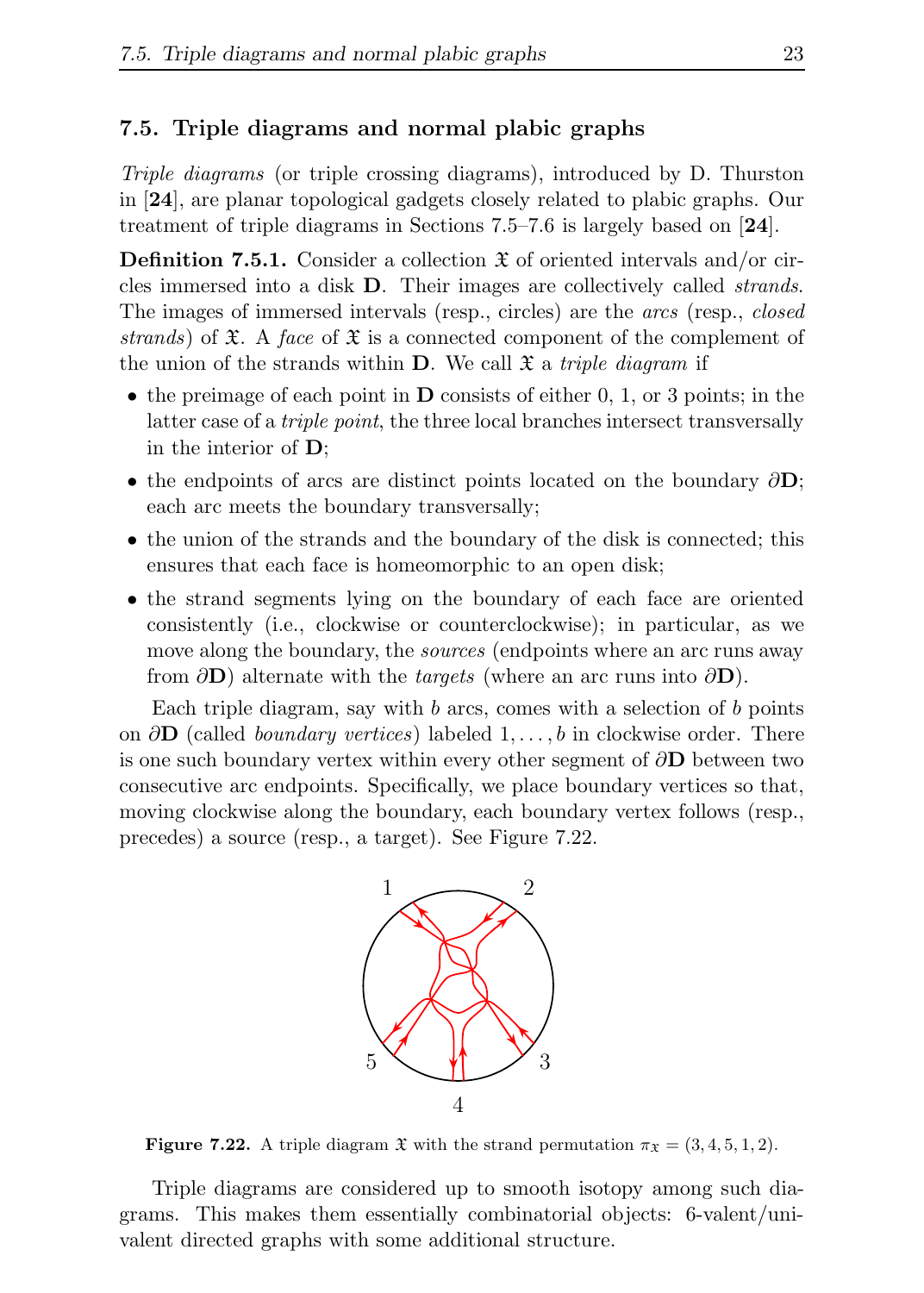#### 7.5. Triple diagrams and normal plabic graphs

Triple diagrams (or triple crossing diagrams), introduced by D. Thurston in [24], are planar topological gadgets closely related to plabic graphs. Our treatment of triple diagrams in Sections 7.5–7.6 is largely based on [24].

**Definition 7.5.1.** Consider a collection  $\mathfrak{X}$  of oriented intervals and/or circles immersed into a disk D. Their images are collectively called strands. The images of immersed intervals (resp., circles) are the arcs (resp., closed strands) of  $\mathfrak{X}$ . A face of  $\mathfrak{X}$  is a connected component of the complement of the union of the strands within **D**. We call  $\mathfrak{X}$  a *triple diagram* if

- the preimage of each point in  $\bf{D}$  consists of either 0, 1, or 3 points; in the latter case of a triple point, the three local branches intersect transversally in the interior of D;
- the endpoints of arcs are distinct points located on the boundary  $\partial D$ ; each arc meets the boundary transversally;
- the union of the strands and the boundary of the disk is connected; this ensures that each face is homeomorphic to an open disk;
- the strand segments lying on the boundary of each face are oriented consistently (i.e., clockwise or counterclockwise); in particular, as we move along the boundary, the *sources* (endpoints where an arc runs away from  $\partial$ D) alternate with the *targets* (where an arc runs into  $\partial$ D).

Each triple diagram, say with  $b$  arcs, comes with a selection of  $b$  points on  $\partial$ **D** (called *boundary vertices*) labeled 1, ..., *b* in clockwise order. There is one such boundary vertex within every other segment of  $\partial$ **D** between two consecutive arc endpoints. Specifically, we place boundary vertices so that, moving clockwise along the boundary, each boundary vertex follows (resp., precedes) a source (resp., a target). See Figure 7.22.



**Figure 7.22.** A triple diagram  $\mathfrak{X}$  with the strand permutation  $\pi_{\mathfrak{X}} = (3, 4, 5, 1, 2)$ .

Triple diagrams are considered up to smooth isotopy among such diagrams. This makes them essentially combinatorial objects: 6-valent/univalent directed graphs with some additional structure.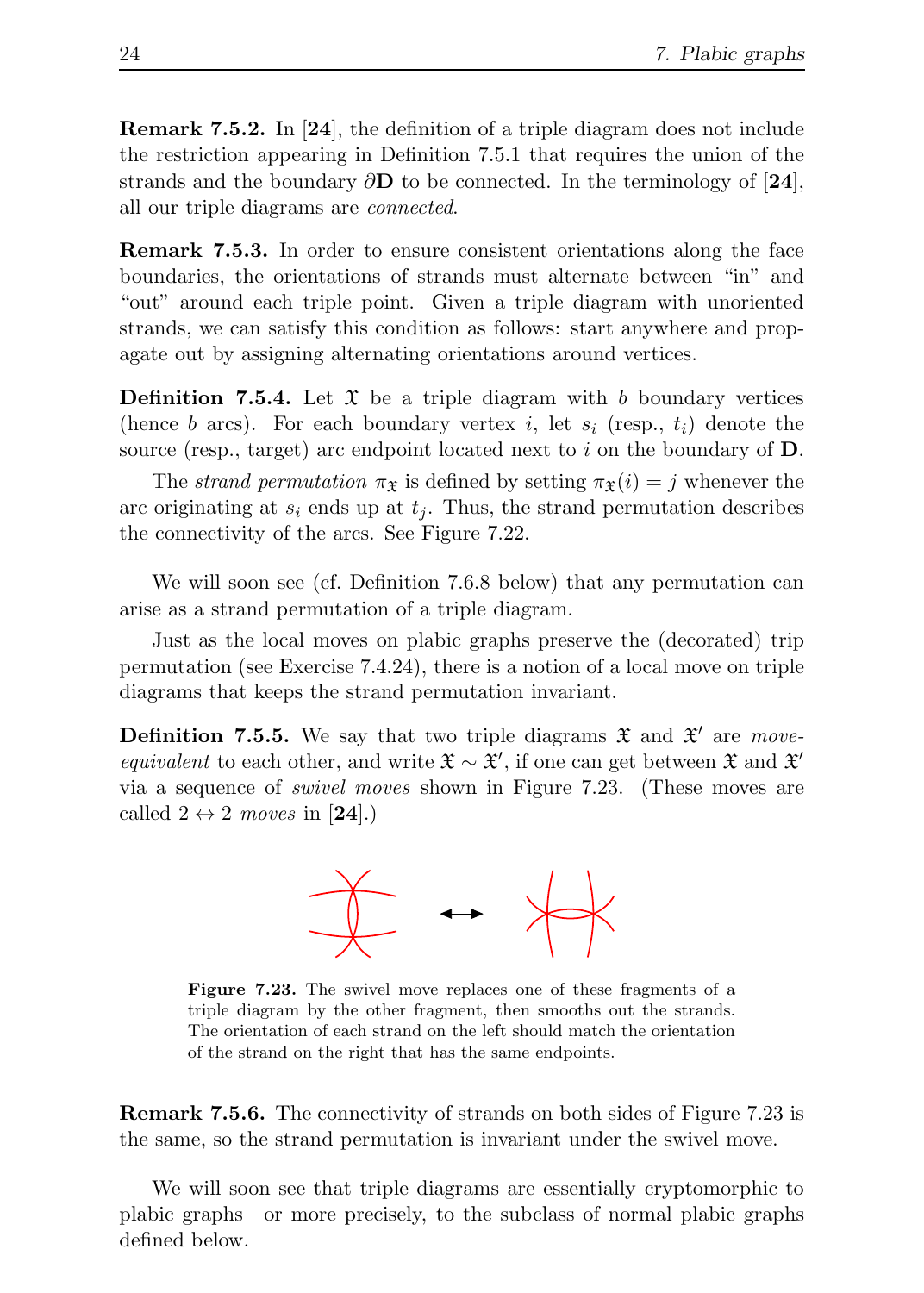Remark 7.5.2. In [24], the definition of a triple diagram does not include the restriction appearing in Definition 7.5.1 that requires the union of the strands and the boundary  $\partial$ **D** to be connected. In the terminology of [24], all our triple diagrams are connected.

Remark 7.5.3. In order to ensure consistent orientations along the face boundaries, the orientations of strands must alternate between "in" and "out" around each triple point. Given a triple diagram with unoriented strands, we can satisfy this condition as follows: start anywhere and propagate out by assigning alternating orientations around vertices.

**Definition 7.5.4.** Let  $\mathfrak{X}$  be a triple diagram with b boundary vertices (hence b arcs). For each boundary vertex i, let  $s_i$  (resp.,  $t_i$ ) denote the source (resp., target) arc endpoint located next to i on the boundary of  $D$ .

The strand permutation  $\pi_{\mathfrak{X}}$  is defined by setting  $\pi_{\mathfrak{X}}(i) = j$  whenever the arc originating at  $s_i$  ends up at  $t_i$ . Thus, the strand permutation describes the connectivity of the arcs. See Figure 7.22.

We will soon see (cf. Definition 7.6.8 below) that any permutation can arise as a strand permutation of a triple diagram.

Just as the local moves on plabic graphs preserve the (decorated) trip permutation (see Exercise 7.4.24), there is a notion of a local move on triple diagrams that keeps the strand permutation invariant.

**Definition 7.5.5.** We say that two triple diagrams  $\mathfrak{X}$  and  $\mathfrak{X}'$  are moveequivalent to each other, and write  $\mathfrak{X} \sim \mathfrak{X}'$ , if one can get between  $\mathfrak{X}$  and  $\mathfrak{X}'$ via a sequence of swivel moves shown in Figure 7.23. (These moves are called  $2 \leftrightarrow 2$  moves in [24].)



Figure 7.23. The swivel move replaces one of these fragments of a triple diagram by the other fragment, then smooths out the strands. The orientation of each strand on the left should match the orientation of the strand on the right that has the same endpoints.

Remark 7.5.6. The connectivity of strands on both sides of Figure 7.23 is the same, so the strand permutation is invariant under the swivel move.

We will soon see that triple diagrams are essentially cryptomorphic to plabic graphs—or more precisely, to the subclass of normal plabic graphs defined below.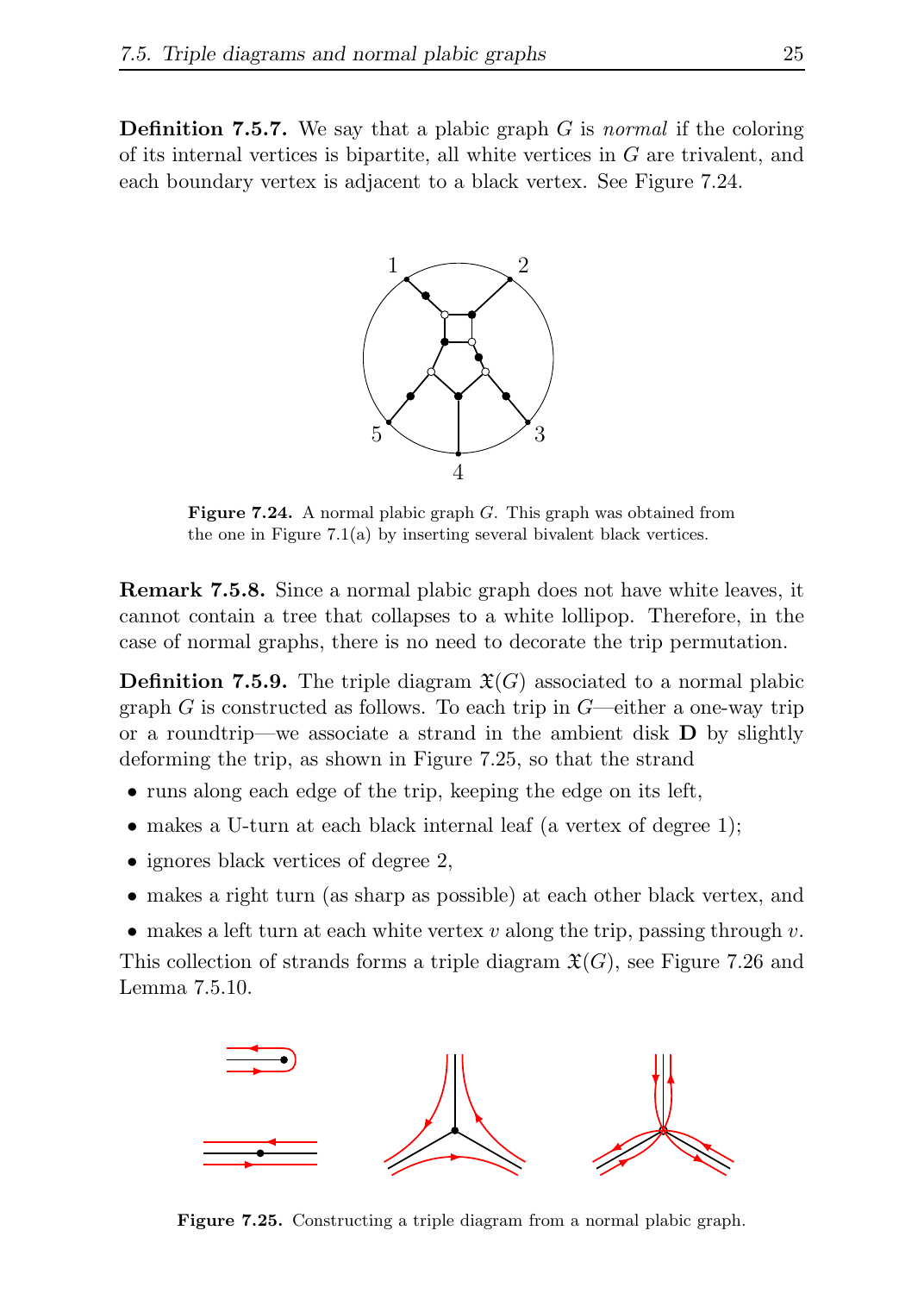**Definition 7.5.7.** We say that a plabic graph  $G$  is normal if the coloring of its internal vertices is bipartite, all white vertices in G are trivalent, and each boundary vertex is adjacent to a black vertex. See Figure 7.24.



Figure 7.24. A normal plabic graph G. This graph was obtained from the one in Figure 7.1(a) by inserting several bivalent black vertices.

Remark 7.5.8. Since a normal plabic graph does not have white leaves, it cannot contain a tree that collapses to a white lollipop. Therefore, in the case of normal graphs, there is no need to decorate the trip permutation.

**Definition 7.5.9.** The triple diagram  $\mathfrak{X}(G)$  associated to a normal plabic graph  $G$  is constructed as follows. To each trip in  $G$ —either a one-way trip or a roundtrip—we associate a strand in the ambient disk  $\bf{D}$  by slightly deforming the trip, as shown in Figure 7.25, so that the strand

- runs along each edge of the trip, keeping the edge on its left,
- makes a U-turn at each black internal leaf (a vertex of degree 1);
- ignores black vertices of degree 2,
- makes a right turn (as sharp as possible) at each other black vertex, and
- makes a left turn at each white vertex  $v$  along the trip, passing through  $v$ .

This collection of strands forms a triple diagram  $\mathfrak{X}(G)$ , see Figure 7.26 and Lemma 7.5.10.



Figure 7.25. Constructing a triple diagram from a normal plabic graph.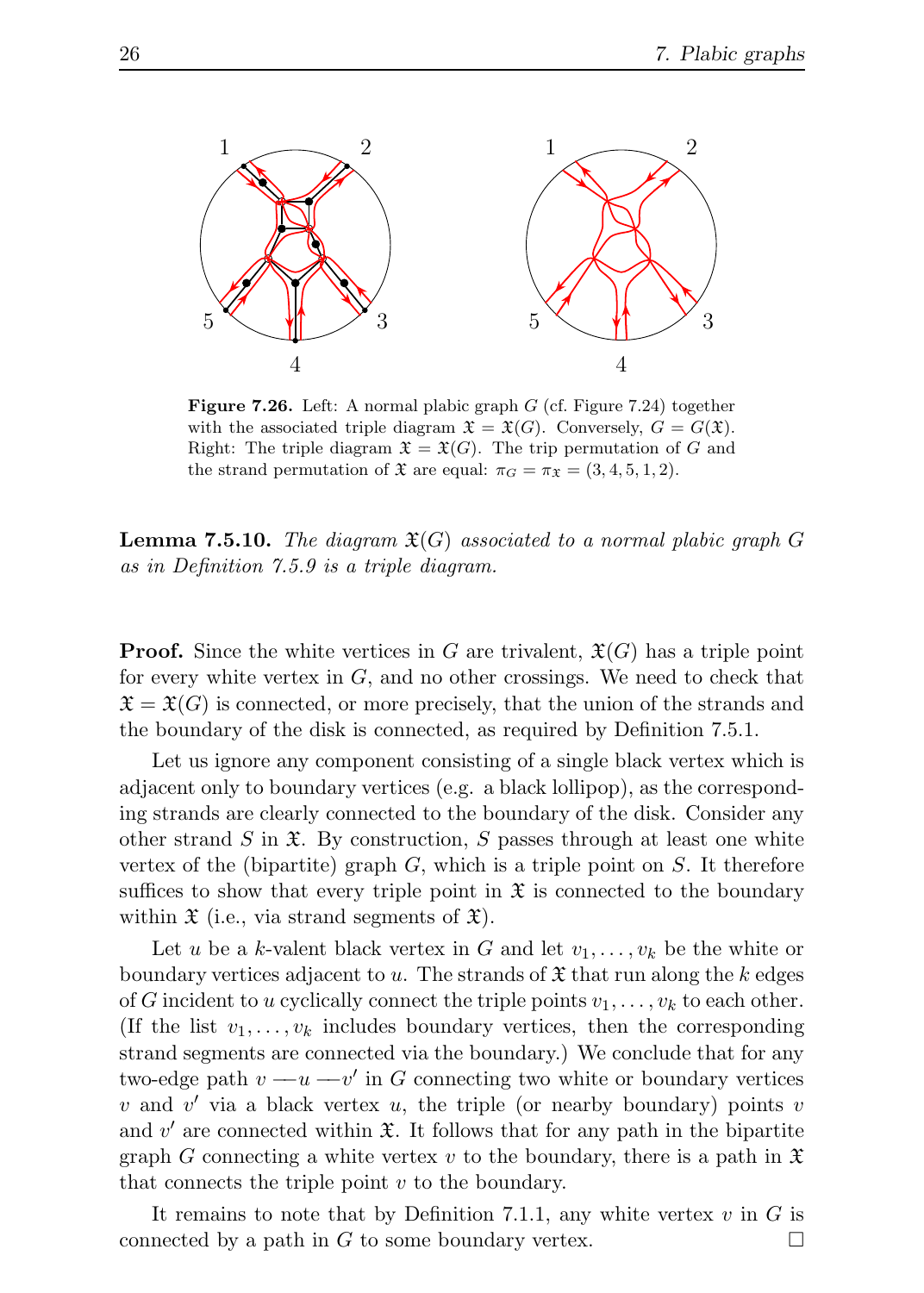

**Figure 7.26.** Left: A normal plabic graph  $G$  (cf. Figure 7.24) together with the associated triple diagram  $\mathfrak{X} = \mathfrak{X}(G)$ . Conversely,  $G = G(\mathfrak{X})$ . Right: The triple diagram  $\mathfrak{X} = \mathfrak{X}(G)$ . The trip permutation of G and the strand permutation of  $\mathfrak{X}$  are equal:  $\pi_G = \pi_{\mathfrak{X}} = (3, 4, 5, 1, 2)$ .

**Lemma 7.5.10.** The diagram  $\mathfrak{X}(G)$  associated to a normal plabic graph G as in Definition 7.5.9 is a triple diagram.

**Proof.** Since the white vertices in G are trivalent,  $\mathfrak{X}(G)$  has a triple point for every white vertex in  $G$ , and no other crossings. We need to check that  $\mathfrak{X} = \mathfrak{X}(G)$  is connected, or more precisely, that the union of the strands and the boundary of the disk is connected, as required by Definition 7.5.1.

Let us ignore any component consisting of a single black vertex which is adjacent only to boundary vertices (e.g. a black lollipop), as the corresponding strands are clearly connected to the boundary of the disk. Consider any other strand S in  $\mathfrak{X}$ . By construction, S passes through at least one white vertex of the (bipartite) graph  $G$ , which is a triple point on  $S$ . It therefore suffices to show that every triple point in  $\mathfrak X$  is connected to the boundary within  $\mathfrak X$  (i.e., via strand segments of  $\mathfrak X$ ).

Let u be a k-valent black vertex in G and let  $v_1, \ldots, v_k$  be the white or boundary vertices adjacent to u. The strands of  $\mathfrak X$  that run along the k edges of G incident to u cyclically connect the triple points  $v_1, \ldots, v_k$  to each other. (If the list  $v_1, \ldots, v_k$  includes boundary vertices, then the corresponding strand segments are connected via the boundary.) We conclude that for any two-edge path  $v - u - v'$  in G connecting two white or boundary vertices  $v$  and  $v'$  via a black vertex  $u$ , the triple (or nearby boundary) points  $v$ and  $v'$  are connected within  $\mathfrak{X}$ . It follows that for any path in the bipartite graph G connecting a white vertex v to the boundary, there is a path in  $\mathfrak X$ that connects the triple point  $v$  to the boundary.

It remains to note that by Definition 7.1.1, any white vertex  $v$  in  $G$  is connected by a path in G to some boundary vertex.  $\Box$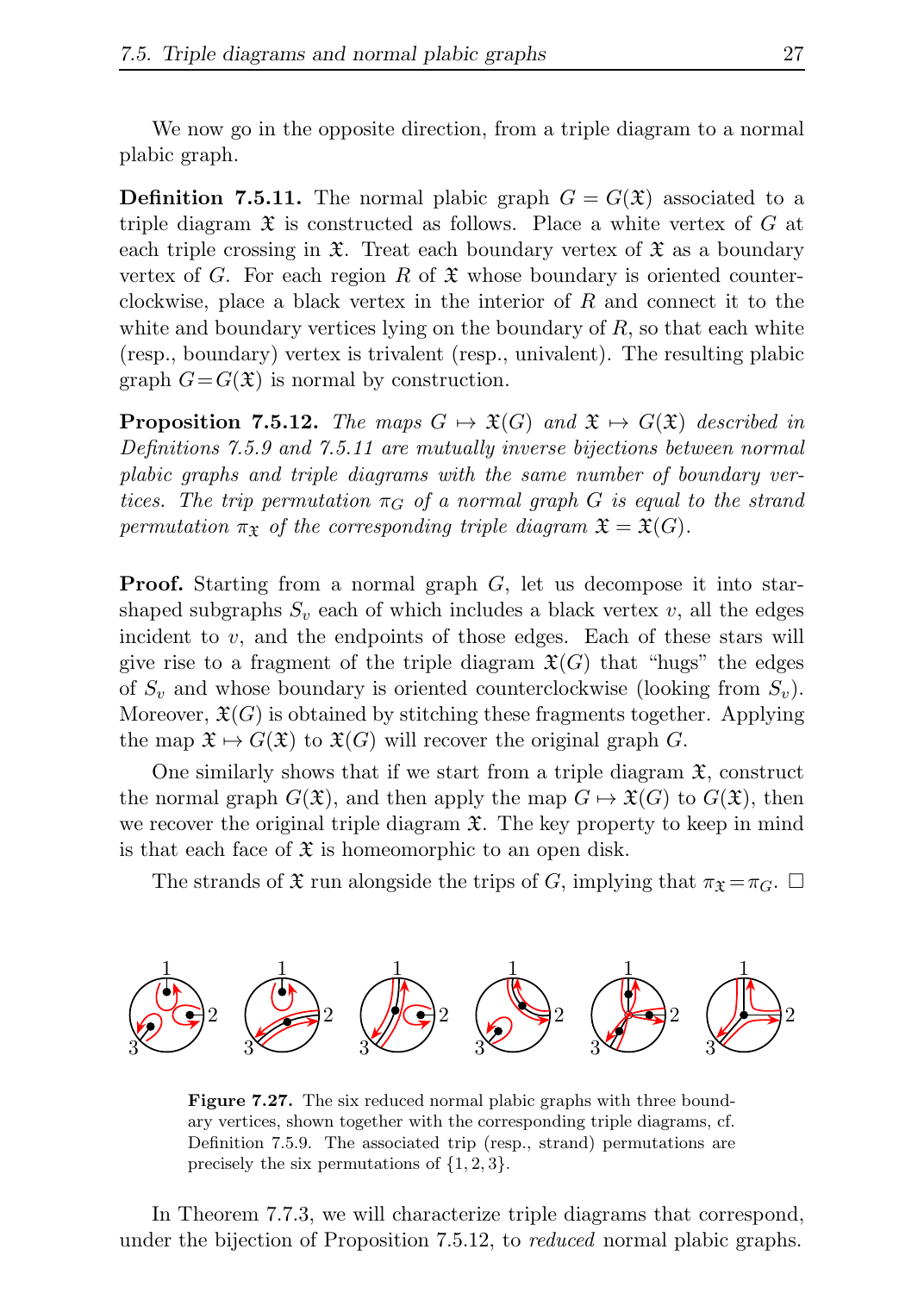We now go in the opposite direction, from a triple diagram to a normal plabic graph.

**Definition 7.5.11.** The normal plabic graph  $G = G(\mathfrak{X})$  associated to a triple diagram  $\mathfrak X$  is constructed as follows. Place a white vertex of G at each triple crossing in  $\mathfrak{X}$ . Treat each boundary vertex of  $\mathfrak{X}$  as a boundary vertex of G. For each region R of  $\mathfrak X$  whose boundary is oriented counterclockwise, place a black vertex in the interior of  $R$  and connect it to the white and boundary vertices lying on the boundary of  $R$ , so that each white (resp., boundary) vertex is trivalent (resp., univalent). The resulting plabic graph  $G = G(\mathfrak{X})$  is normal by construction.

**Proposition 7.5.12.** The maps  $G \mapsto \mathfrak{X}(G)$  and  $\mathfrak{X} \mapsto G(\mathfrak{X})$  described in Definitions 7.5.9 and 7.5.11 are mutually inverse bijections between normal plabic graphs and triple diagrams with the same number of boundary vertices. The trip permutation  $\pi_G$  of a normal graph G is equal to the strand permutation  $\pi_{\mathfrak{X}}$  of the corresponding triple diagram  $\mathfrak{X} = \mathfrak{X}(G)$ .

**Proof.** Starting from a normal graph  $G$ , let us decompose it into starshaped subgraphs  $S_v$  each of which includes a black vertex v, all the edges incident to  $v$ , and the endpoints of those edges. Each of these stars will give rise to a fragment of the triple diagram  $\mathfrak{X}(G)$  that "hugs" the edges of  $S_v$  and whose boundary is oriented counterclockwise (looking from  $S_v$ ). Moreover,  $\mathfrak{X}(G)$  is obtained by stitching these fragments together. Applying the map  $\mathfrak{X} \mapsto G(\mathfrak{X})$  to  $\mathfrak{X}(G)$  will recover the original graph G.

One similarly shows that if we start from a triple diagram  $\mathfrak{X}$ , construct the normal graph  $G(\mathfrak{X})$ , and then apply the map  $G \mapsto \mathfrak{X}(G)$  to  $G(\mathfrak{X})$ , then we recover the original triple diagram  $\mathfrak{X}$ . The key property to keep in mind is that each face of  $\mathfrak X$  is homeomorphic to an open disk.

The strands of  $\mathfrak X$  run alongside the trips of G, implying that  $\pi_{\mathfrak X} = \pi_G$ .  $\square$ 



Figure 7.27. The six reduced normal plabic graphs with three boundary vertices, shown together with the corresponding triple diagrams, cf. Definition 7.5.9. The associated trip (resp., strand) permutations are precisely the six permutations of  $\{1, 2, 3\}$ .

In Theorem 7.7.3, we will characterize triple diagrams that correspond, under the bijection of Proposition 7.5.12, to *reduced* normal plabic graphs.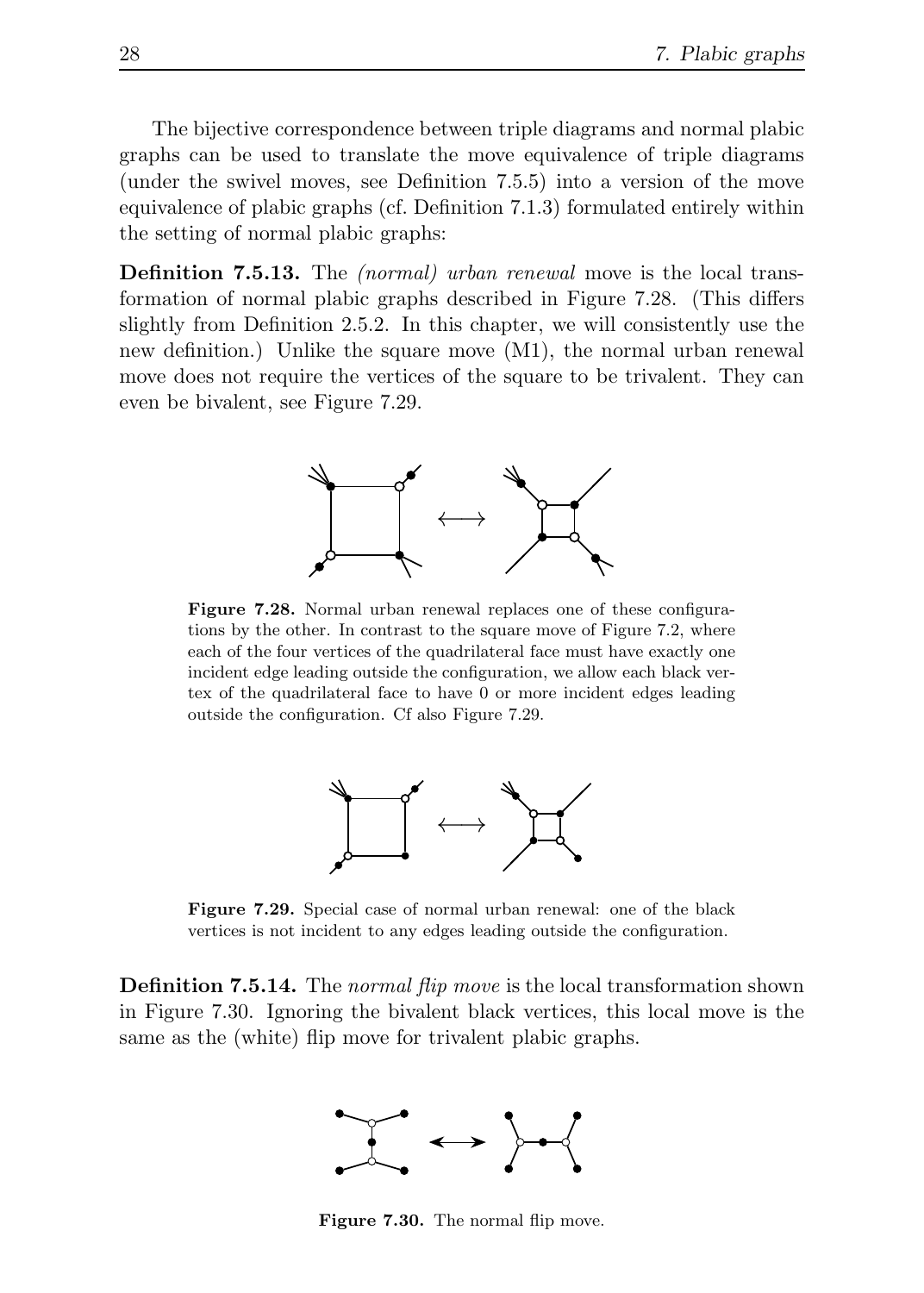The bijective correspondence between triple diagrams and normal plabic graphs can be used to translate the move equivalence of triple diagrams (under the swivel moves, see Definition 7.5.5) into a version of the move equivalence of plabic graphs (cf. Definition 7.1.3) formulated entirely within the setting of normal plabic graphs:

Definition 7.5.13. The (normal) urban renewal move is the local transformation of normal plabic graphs described in Figure 7.28. (This differs slightly from Definition 2.5.2. In this chapter, we will consistently use the new definition.) Unlike the square move (M1), the normal urban renewal move does not require the vertices of the square to be trivalent. They can even be bivalent, see Figure 7.29.



Figure 7.28. Normal urban renewal replaces one of these configurations by the other. In contrast to the square move of Figure 7.2, where each of the four vertices of the quadrilateral face must have exactly one incident edge leading outside the configuration, we allow each black vertex of the quadrilateral face to have 0 or more incident edges leading outside the configuration. Cf also Figure 7.29.



Figure 7.29. Special case of normal urban renewal: one of the black vertices is not incident to any edges leading outside the configuration.

**Definition 7.5.14.** The normal flip move is the local transformation shown in Figure 7.30. Ignoring the bivalent black vertices, this local move is the same as the (white) flip move for trivalent plabic graphs.



Figure 7.30. The normal flip move.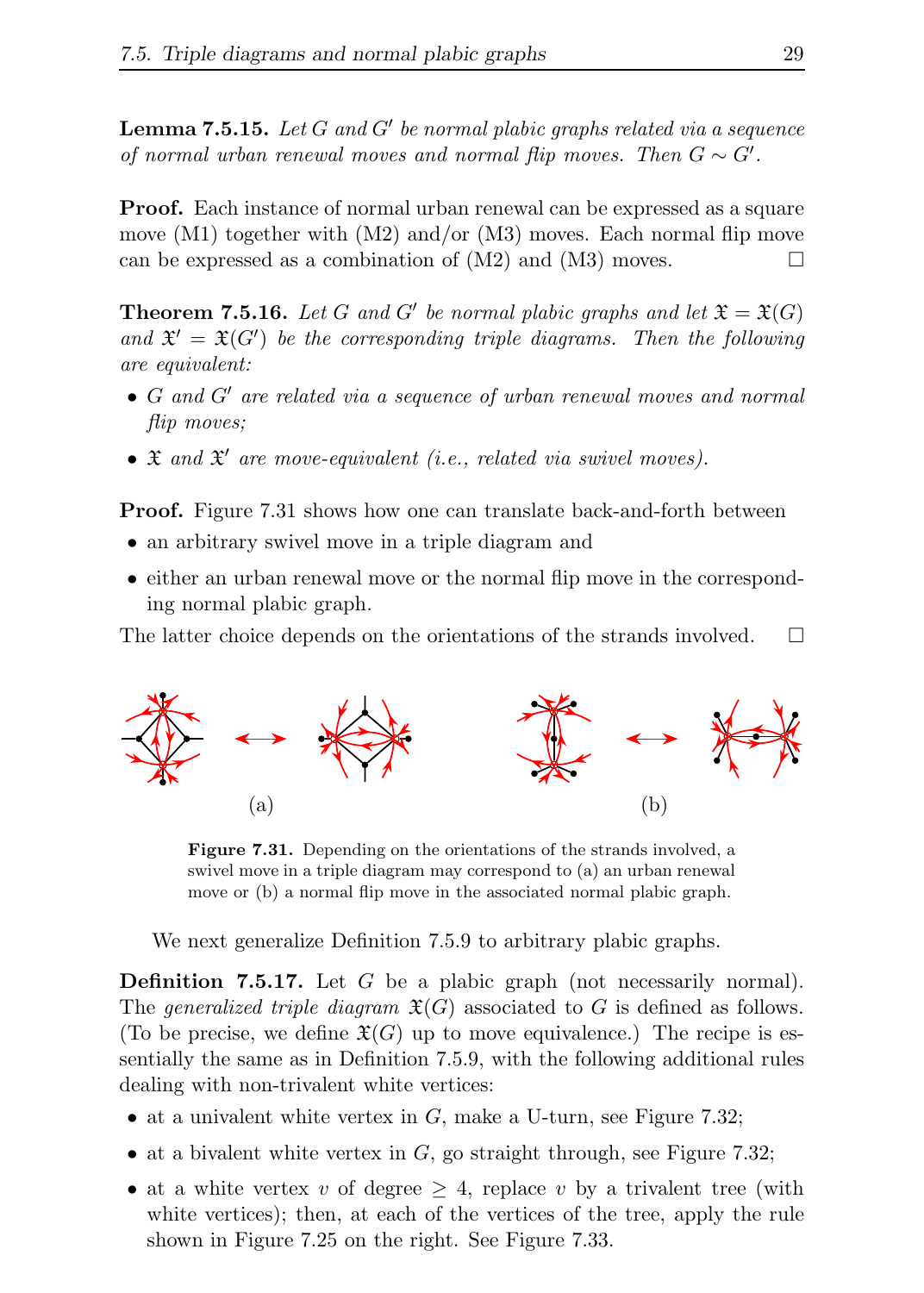**Lemma 7.5.15.** Let  $G$  and  $G'$  be normal plabic graphs related via a sequence of normal urban renewal moves and normal flip moves. Then  $G \sim G'$ .

Proof. Each instance of normal urban renewal can be expressed as a square move  $(M1)$  together with  $(M2)$  and/or  $(M3)$  moves. Each normal flip move can be expressed as a combination of  $(M2)$  and  $(M3)$  moves.

**Theorem 7.5.16.** Let G and G' be normal plabic graphs and let  $\mathfrak{X} = \mathfrak{X}(G)$ and  $\mathfrak{X}' = \mathfrak{X}(G')$  be the corresponding triple diagrams. Then the following are equivalent:

- G and G′ are related via a sequence of urban renewal moves and normal flip moves;
- $\bullet$   $\mathfrak X$  and  $\mathfrak X'$  are move-equivalent (i.e., related via swivel moves).

**Proof.** Figure 7.31 shows how one can translate back-and-forth between

- an arbitrary swivel move in a triple diagram and
- either an urban renewal move or the normal flip move in the corresponding normal plabic graph.

The latter choice depends on the orientations of the strands involved.  $\Box$ 



Figure 7.31. Depending on the orientations of the strands involved, a swivel move in a triple diagram may correspond to (a) an urban renewal move or (b) a normal flip move in the associated normal plabic graph.

We next generalize Definition 7.5.9 to arbitrary plabic graphs.

Definition 7.5.17. Let G be a plabic graph (not necessarily normal). The generalized triple diagram  $\mathfrak{X}(G)$  associated to G is defined as follows. (To be precise, we define  $\mathfrak{X}(G)$  up to move equivalence.) The recipe is essentially the same as in Definition 7.5.9, with the following additional rules dealing with non-trivalent white vertices:

- at a univalent white vertex in  $G$ , make a U-turn, see Figure 7.32;
- at a bivalent white vertex in  $G$ , go straight through, see Figure 7.32;
- at a white vertex v of degree  $\geq$  4, replace v by a trivalent tree (with white vertices); then, at each of the vertices of the tree, apply the rule shown in Figure 7.25 on the right. See Figure 7.33.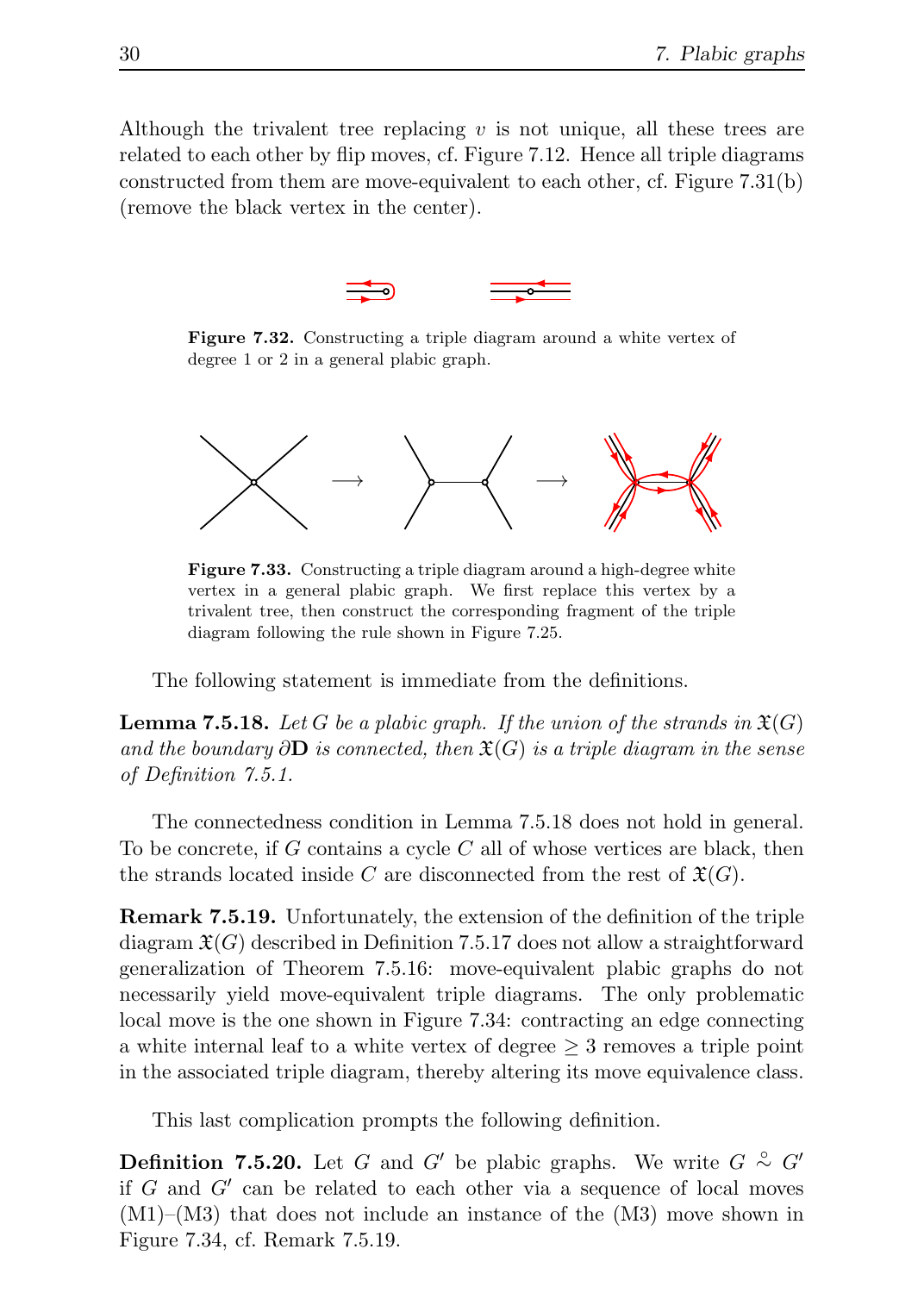Although the trivalent tree replacing  $v$  is not unique, all these trees are related to each other by flip moves, cf. Figure 7.12. Hence all triple diagrams constructed from them are move-equivalent to each other, cf. Figure 7.31(b) (remove the black vertex in the center).



Figure 7.32. Constructing a triple diagram around a white vertex of degree 1 or 2 in a general plabic graph.



Figure 7.33. Constructing a triple diagram around a high-degree white vertex in a general plabic graph. We first replace this vertex by a trivalent tree, then construct the corresponding fragment of the triple diagram following the rule shown in Figure 7.25.

The following statement is immediate from the definitions.

**Lemma 7.5.18.** Let G be a plabic graph. If the union of the strands in  $\mathfrak{X}(G)$ and the boundary  $\partial \mathbf{D}$  is connected, then  $\mathfrak{X}(G)$  is a triple diagram in the sense of Definition 7.5.1.

The connectedness condition in Lemma 7.5.18 does not hold in general. To be concrete, if  $G$  contains a cycle  $C$  all of whose vertices are black, then the strands located inside C are disconnected from the rest of  $\mathfrak{X}(G)$ .

Remark 7.5.19. Unfortunately, the extension of the definition of the triple diagram  $\mathfrak{X}(G)$  described in Definition 7.5.17 does not allow a straightforward generalization of Theorem 7.5.16: move-equivalent plabic graphs do not necessarily yield move-equivalent triple diagrams. The only problematic local move is the one shown in Figure 7.34: contracting an edge connecting a white internal leaf to a white vertex of degree  $\geq 3$  removes a triple point in the associated triple diagram, thereby altering its move equivalence class.

This last complication prompts the following definition.

**Definition 7.5.20.** Let G and G' be plabic graphs. We write  $G \overset{\circ}{\sim} G'$ if  $G$  and  $G'$  can be related to each other via a sequence of local moves (M1)–(M3) that does not include an instance of the (M3) move shown in Figure 7.34, cf. Remark 7.5.19.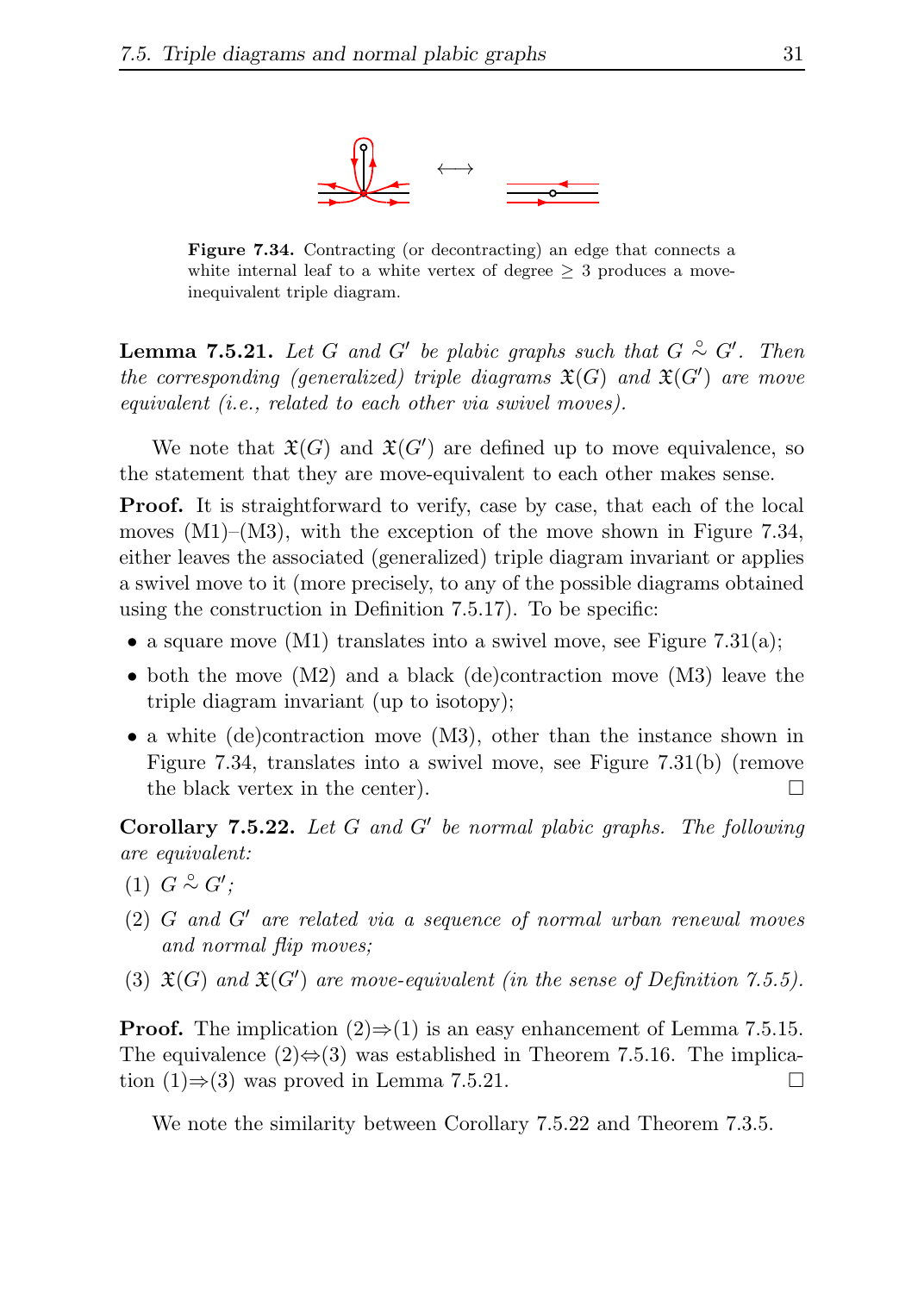

Figure 7.34. Contracting (or decontracting) an edge that connects a white internal leaf to a white vertex of degree  $\geq 3$  produces a moveinequivalent triple diagram.

**Lemma 7.5.21.** Let G and G' be plabic graphs such that  $G \sim G'$ . Then the corresponding (generalized) triple diagrams  $\mathfrak{X}(G)$  and  $\mathfrak{X}(G')$  are move equivalent (i.e., related to each other via swivel moves).

We note that  $\mathfrak{X}(G)$  and  $\mathfrak{X}(G')$  are defined up to move equivalence, so the statement that they are move-equivalent to each other makes sense.

Proof. It is straightforward to verify, case by case, that each of the local moves  $(M1)$ – $(M3)$ , with the exception of the move shown in Figure 7.34, either leaves the associated (generalized) triple diagram invariant or applies a swivel move to it (more precisely, to any of the possible diagrams obtained using the construction in Definition 7.5.17). To be specific:

- a square move  $(M1)$  translates into a swivel move, see Figure 7.31(a);
- both the move  $(M2)$  and a black (de)contraction move  $(M3)$  leave the triple diagram invariant (up to isotopy);
- a white (de)contraction move (M3), other than the instance shown in Figure 7.34, translates into a swivel move, see Figure 7.31(b) (remove the black vertex in the center).  $\Box$

Corollary  $7.5.22$ . Let G and G' be normal plabic graphs. The following are equivalent:

- $(1)$   $G \overset{\circ}{\sim} G'$ ;
- (2) G and G′ are related via a sequence of normal urban renewal moves and normal flip moves;
- (3)  $\mathfrak{X}(G)$  and  $\mathfrak{X}(G')$  are move-equivalent (in the sense of Definition 7.5.5).

**Proof.** The implication  $(2) \Rightarrow (1)$  is an easy enhancement of Lemma 7.5.15. The equivalence  $(2) \Leftrightarrow (3)$  was established in Theorem 7.5.16. The implication (1)⇒(3) was proved in Lemma 7.5.21.  $\Box$ 

We note the similarity between Corollary 7.5.22 and Theorem 7.3.5.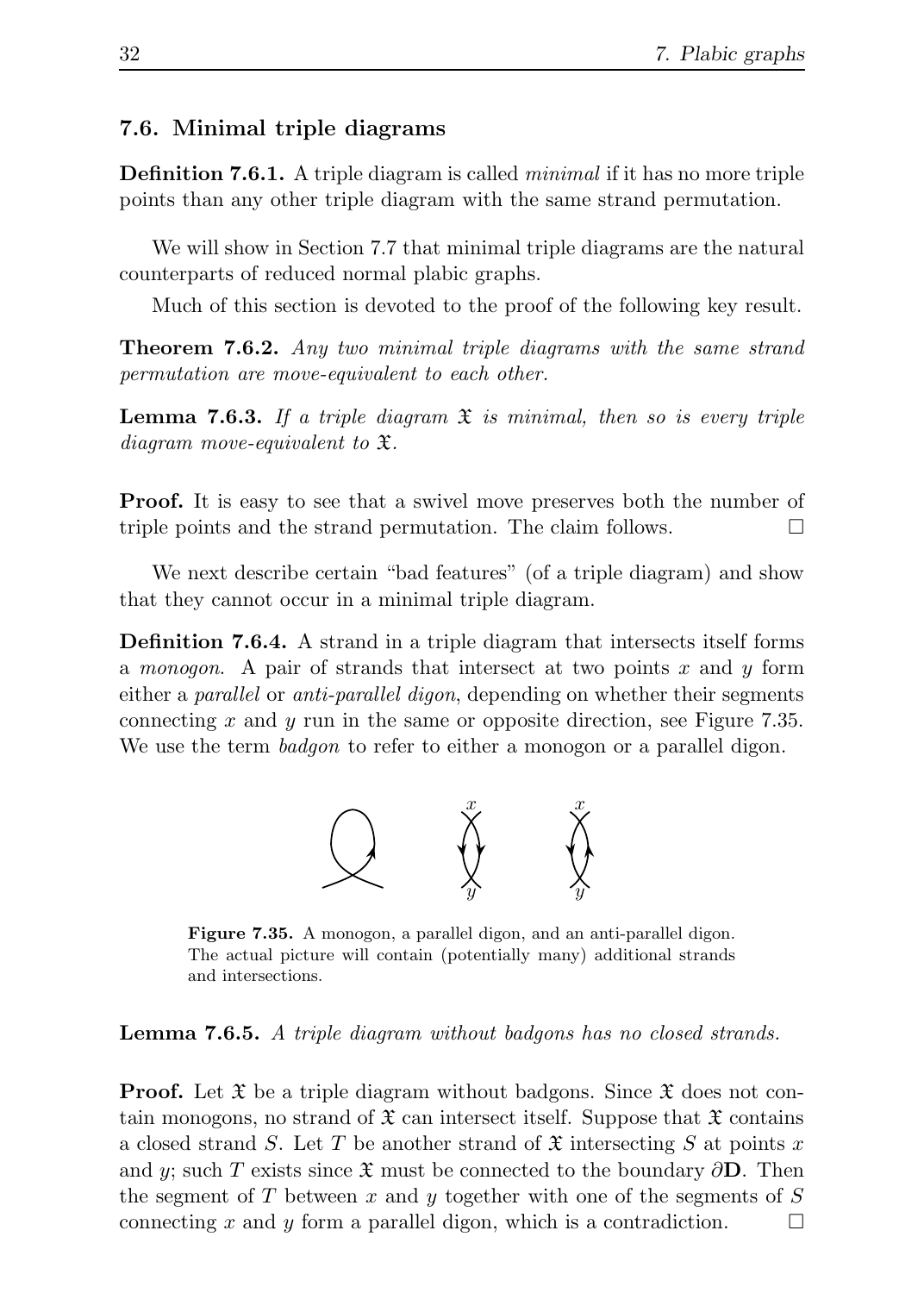#### 7.6. Minimal triple diagrams

**Definition 7.6.1.** A triple diagram is called *minimal* if it has no more triple points than any other triple diagram with the same strand permutation.

We will show in Section 7.7 that minimal triple diagrams are the natural counterparts of reduced normal plabic graphs.

Much of this section is devoted to the proof of the following key result.

Theorem 7.6.2. Any two minimal triple diagrams with the same strand permutation are move-equivalent to each other.

**Lemma 7.6.3.** If a triple diagram  $\hat{x}$  is minimal, then so is every triple diagram move-equivalent to X.

**Proof.** It is easy to see that a swivel move preserves both the number of triple points and the strand permutation. The claim follows.

We next describe certain "bad features" (of a triple diagram) and show that they cannot occur in a minimal triple diagram.

Definition 7.6.4. A strand in a triple diagram that intersects itself forms a *monogon*. A pair of strands that intersect at two points x and y form either a *parallel* or *anti-parallel digon*, depending on whether their segments connecting x and y run in the same or opposite direction, see Figure 7.35. We use the term *badgon* to refer to either a monogon or a parallel digon.



Figure 7.35. A monogon, a parallel digon, and an anti-parallel digon. The actual picture will contain (potentially many) additional strands and intersections.

Lemma 7.6.5. A triple diagram without badgons has no closed strands.

**Proof.** Let  $\mathfrak X$  be a triple diagram without badgons. Since  $\mathfrak X$  does not contain monogons, no strand of  $\mathfrak X$  can intersect itself. Suppose that  $\mathfrak X$  contains a closed strand S. Let T be another strand of  $\mathfrak X$  intersecting S at points x and y; such T exists since  $\mathfrak X$  must be connected to the boundary  $\partial\mathbf D$ . Then the segment of T between x and y together with one of the segments of  $S$ connecting x and y form a parallel digon, which is a contradiction.  $\square$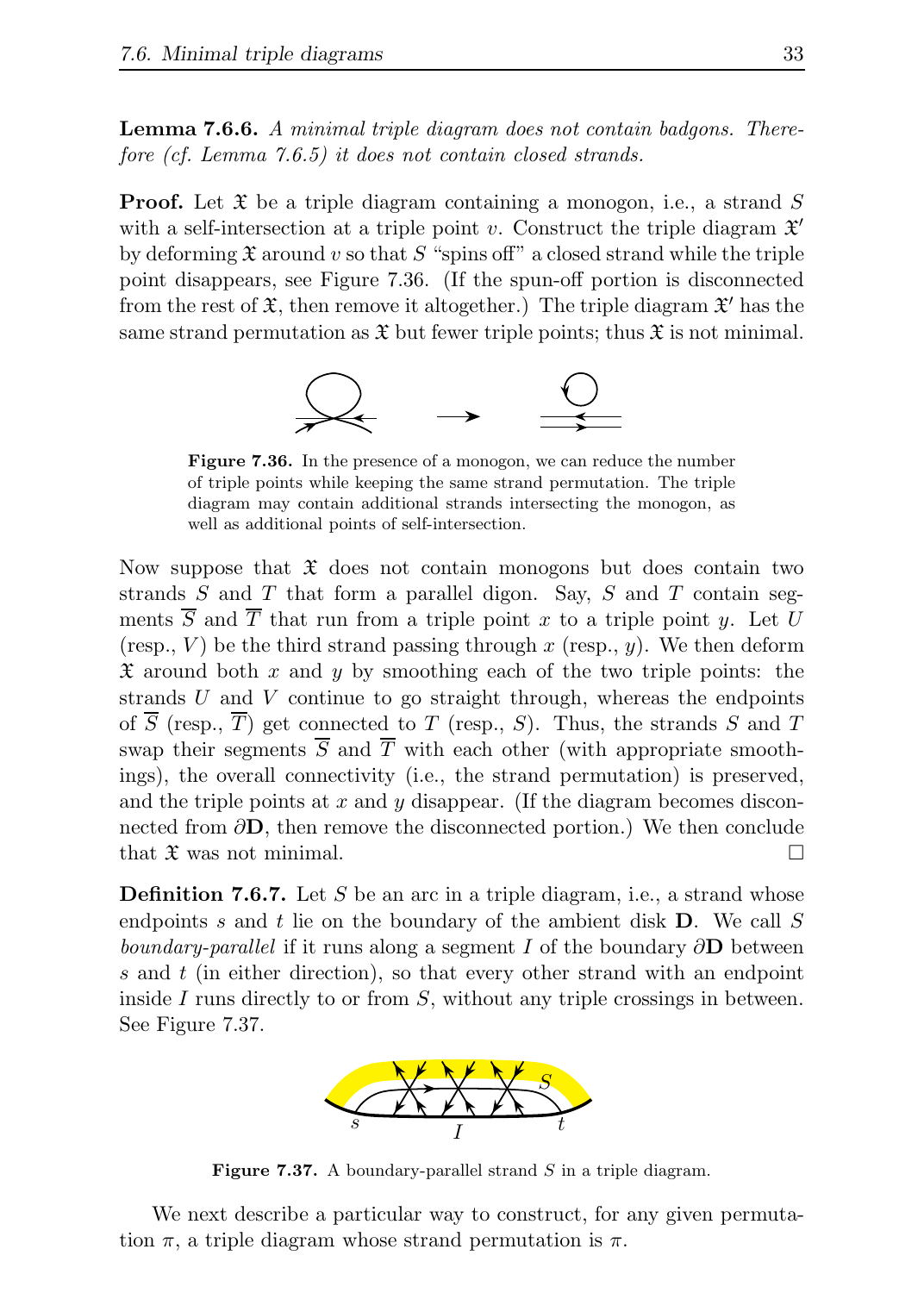Lemma 7.6.6. A minimal triple diagram does not contain badgons. Therefore (cf. Lemma 7.6.5) it does not contain closed strands.

**Proof.** Let  $\mathfrak X$  be a triple diagram containing a monogon, i.e., a strand  $S$ with a self-intersection at a triple point v. Construct the triple diagram  $\mathfrak{X}'$ by deforming  $\mathfrak X$  around v so that S "spins off" a closed strand while the triple point disappears, see Figure 7.36. (If the spun-off portion is disconnected from the rest of  $\mathfrak{X}$ , then remove it altogether.) The triple diagram  $\mathfrak{X}'$  has the same strand permutation as  $\mathfrak X$  but fewer triple points; thus  $\mathfrak X$  is not minimal.



Figure 7.36. In the presence of a monogon, we can reduce the number of triple points while keeping the same strand permutation. The triple diagram may contain additional strands intersecting the monogon, as well as additional points of self-intersection.

Now suppose that  $\mathfrak X$  does not contain monogons but does contain two strands  $S$  and  $T$  that form a parallel digon. Say,  $S$  and  $T$  contain segments  $\overline{S}$  and  $\overline{T}$  that run from a triple point x to a triple point y. Let U (resp.,  $V$ ) be the third strand passing through  $x$  (resp.,  $y$ ). We then deform  $\mathfrak X$  around both x and y by smoothing each of the two triple points: the strands  $U$  and  $V$  continue to go straight through, whereas the endpoints of  $\overline{S}$  (resp.,  $\overline{T}$ ) get connected to T (resp., S). Thus, the strands S and T swap their segments  $\overline{S}$  and  $\overline{T}$  with each other (with appropriate smoothings), the overall connectivity (i.e., the strand permutation) is preserved, and the triple points at x and y disappear. (If the diagram becomes disconnected from  $\partial \mathbf{D}$ , then remove the disconnected portion.) We then conclude that  $\mathfrak X$  was not minimal.

**Definition 7.6.7.** Let S be an arc in a triple diagram, i.e., a strand whose endpoints s and t lie on the boundary of the ambient disk **. We call S** *boundary-parallel* if it runs along a segment I of the boundary  $\partial$ **D** between s and  $t$  (in either direction), so that every other strand with an endpoint inside I runs directly to or from  $S$ , without any triple crossings in between. See Figure 7.37.



Figure 7.37. A boundary-parallel strand  $S$  in a triple diagram.

We next describe a particular way to construct, for any given permutation  $\pi$ , a triple diagram whose strand permutation is  $\pi$ .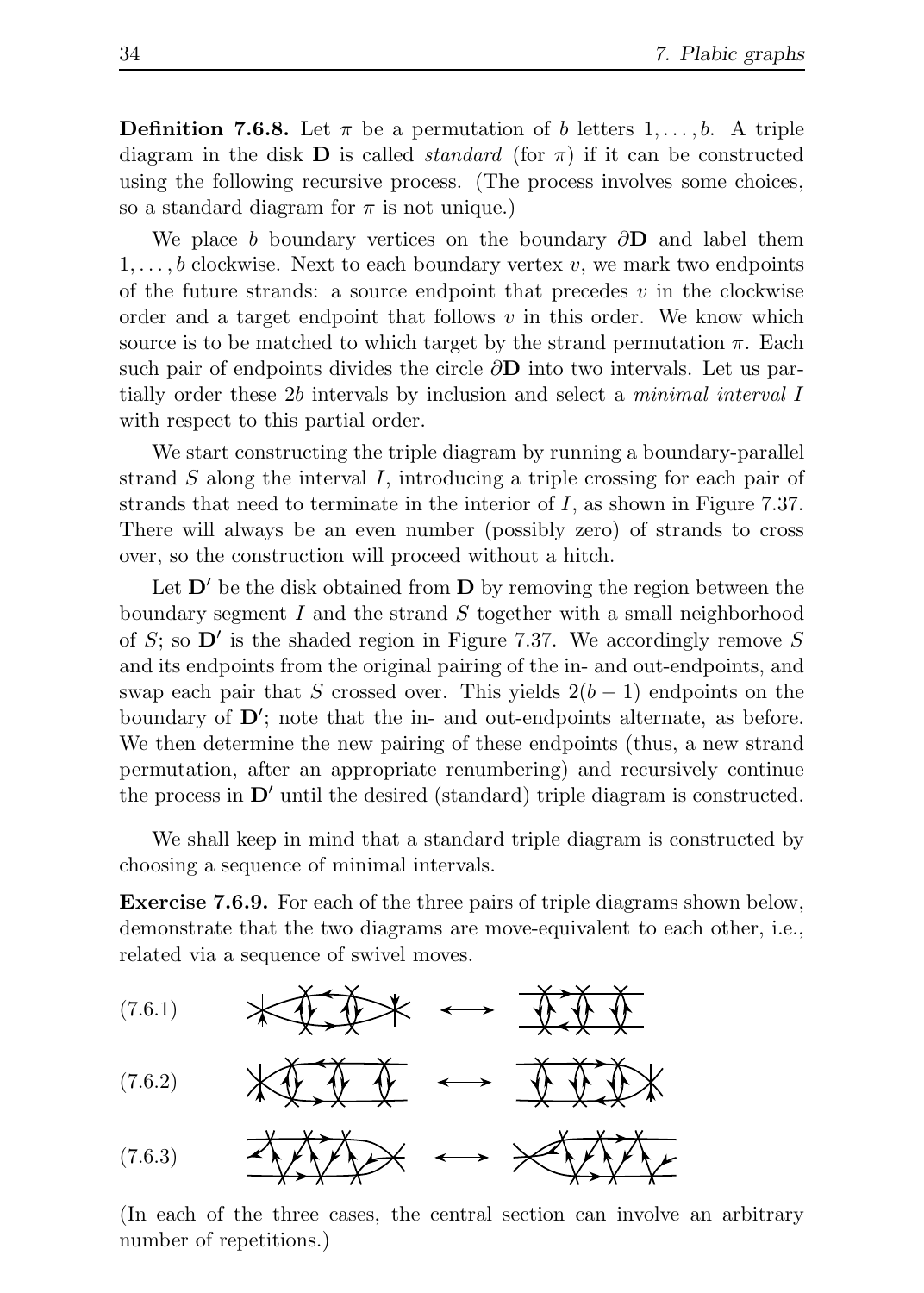**Definition 7.6.8.** Let  $\pi$  be a permutation of b letters  $1, \ldots, b$ . A triple diagram in the disk **D** is called *standard* (for  $\pi$ ) if it can be constructed using the following recursive process. (The process involves some choices, so a standard diagram for  $\pi$  is not unique.)

We place b boundary vertices on the boundary  $\partial$ **D** and label them  $1, \ldots, b$  clockwise. Next to each boundary vertex v, we mark two endpoints of the future strands: a source endpoint that precedes  $v$  in the clockwise order and a target endpoint that follows  $v$  in this order. We know which source is to be matched to which target by the strand permutation  $\pi$ . Each such pair of endpoints divides the circle  $\partial$ **D** into two intervals. Let us partially order these 2b intervals by inclusion and select a minimal interval I with respect to this partial order.

We start constructing the triple diagram by running a boundary-parallel strand  $S$  along the interval  $I$ , introducing a triple crossing for each pair of strands that need to terminate in the interior of  $I$ , as shown in Figure 7.37. There will always be an even number (possibly zero) of strands to cross over, so the construction will proceed without a hitch.

Let  $\mathbf{D}'$  be the disk obtained from  $\mathbf{D}$  by removing the region between the boundary segment  $I$  and the strand  $S$  together with a small neighborhood of  $S$ ; so  $\mathbf{D}'$  is the shaded region in Figure 7.37. We accordingly remove  $S$ and its endpoints from the original pairing of the in- and out-endpoints, and swap each pair that S crossed over. This yields  $2(b-1)$  endpoints on the boundary of  $\mathbf{D}'$ ; note that the in- and out-endpoints alternate, as before. We then determine the new pairing of these endpoints (thus, a new strand permutation, after an appropriate renumbering) and recursively continue the process in  $\mathbf{D}'$  until the desired (standard) triple diagram is constructed.

We shall keep in mind that a standard triple diagram is constructed by choosing a sequence of minimal intervals.

Exercise 7.6.9. For each of the three pairs of triple diagrams shown below, demonstrate that the two diagrams are move-equivalent to each other, i.e., related via a sequence of swivel moves.



(In each of the three cases, the central section can involve an arbitrary number of repetitions.)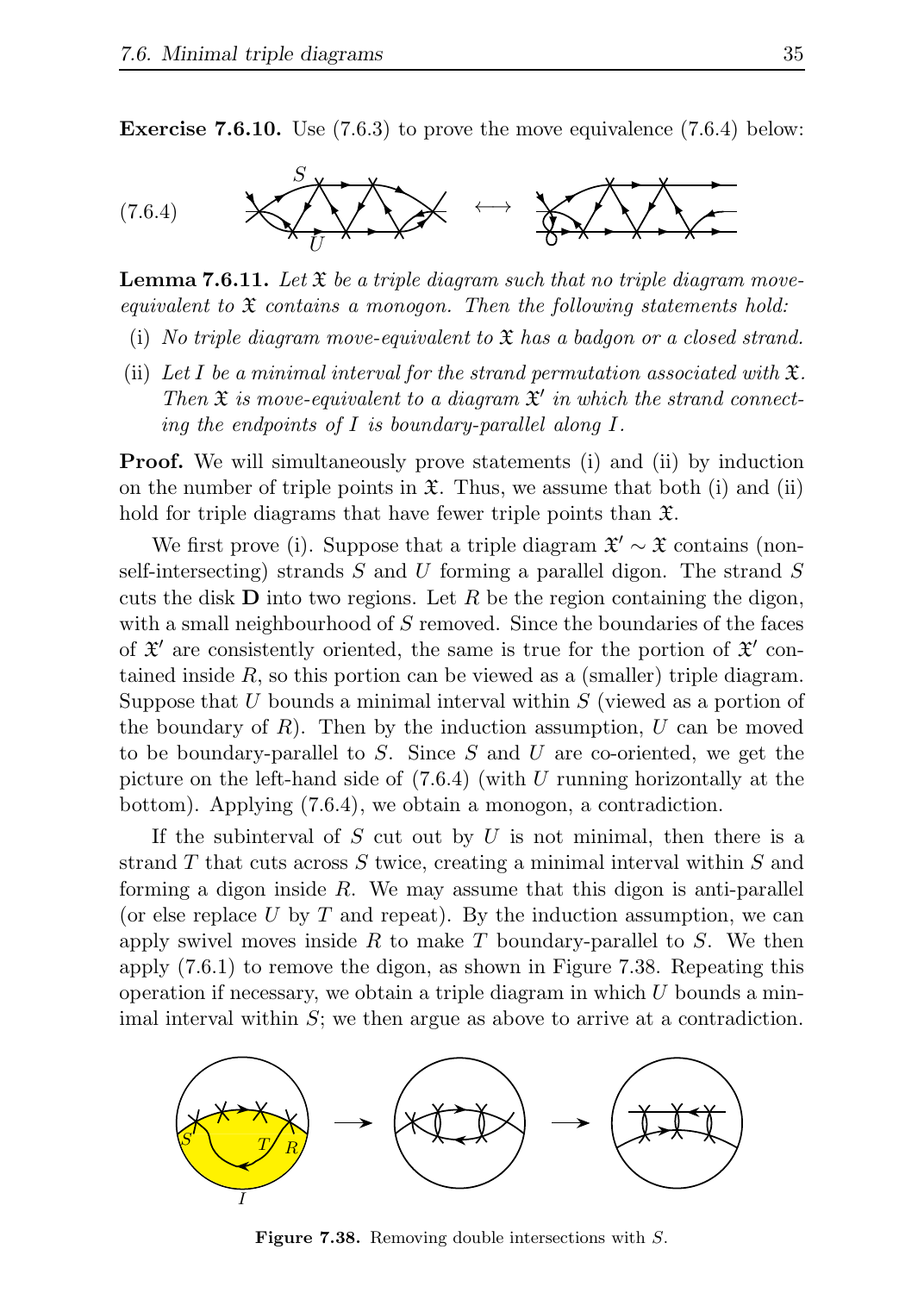**Exercise 7.6.10.** Use  $(7.6.3)$  to prove the move equivalence  $(7.6.4)$  below:



**Lemma 7.6.11.** Let  $\mathfrak{X}$  be a triple diagram such that no triple diagram moveequivalent to  $\mathfrak X$  contains a monogon. Then the following statements hold:

- (i) No triple diagram move-equivalent to  $\mathfrak X$  has a badgon or a closed strand.
- (ii) Let I be a minimal interval for the strand permutation associated with  $\mathfrak{X}$ . Then  $\mathfrak X$  is move-equivalent to a diagram  $\mathfrak X'$  in which the strand connecting the endpoints of I is boundary-parallel along I.

**Proof.** We will simultaneously prove statements (i) and (ii) by induction on the number of triple points in  $\mathfrak{X}$ . Thus, we assume that both (i) and (ii) hold for triple diagrams that have fewer triple points than  $\mathfrak{X}$ .

We first prove (i). Suppose that a triple diagram  $\mathfrak{X}' \sim \mathfrak{X}$  contains (nonself-intersecting) strands  $S$  and  $U$  forming a parallel digon. The strand  $S$ cuts the disk  **into two regions. Let R be the region containing the digon,** with a small neighbourhood of S removed. Since the boundaries of the faces of  $\mathfrak{X}'$  are consistently oriented, the same is true for the portion of  $\mathfrak{X}'$  contained inside  $R$ , so this portion can be viewed as a (smaller) triple diagram. Suppose that U bounds a minimal interval within  $S$  (viewed as a portion of the boundary of R). Then by the induction assumption, U can be moved to be boundary-parallel to S. Since S and U are co-oriented, we get the picture on the left-hand side of  $(7.6.4)$  (with U running horizontally at the bottom). Applying (7.6.4), we obtain a monogon, a contradiction.

If the subinterval of  $S$  cut out by  $U$  is not minimal, then there is a strand  $T$  that cuts across  $S$  twice, creating a minimal interval within  $S$  and forming a digon inside  $R$ . We may assume that this digon is anti-parallel (or else replace U by T and repeat). By the induction assumption, we can apply swivel moves inside R to make T boundary-parallel to S. We then apply (7.6.1) to remove the digon, as shown in Figure 7.38. Repeating this operation if necessary, we obtain a triple diagram in which  $U$  bounds a minimal interval within  $S$ ; we then argue as above to arrive at a contradiction.



**Figure 7.38.** Removing double intersections with S.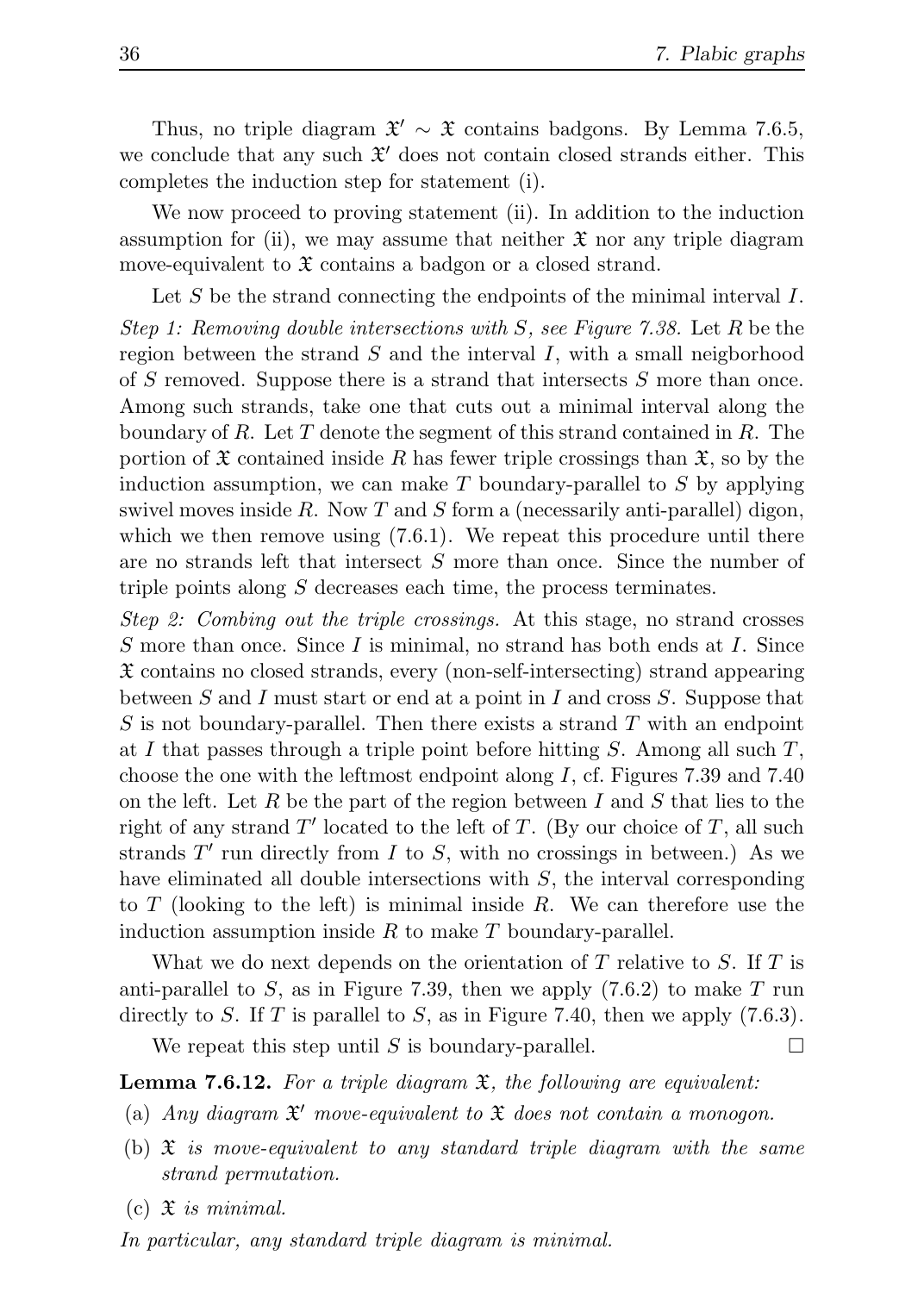Thus, no triple diagram  $\mathfrak{X}' \sim \mathfrak{X}$  contains badgons. By Lemma 7.6.5, we conclude that any such  $\mathfrak{X}'$  does not contain closed strands either. This completes the induction step for statement (i).

We now proceed to proving statement (ii). In addition to the induction assumption for (ii), we may assume that neither  $\mathfrak X$  nor any triple diagram move-equivalent to  $\mathfrak X$  contains a badgon or a closed strand.

Let S be the strand connecting the endpoints of the minimal interval I. Step 1: Removing double intersections with S, see Figure 7.38. Let R be the region between the strand  $S$  and the interval  $I$ , with a small neigborhood of S removed. Suppose there is a strand that intersects S more than once. Among such strands, take one that cuts out a minimal interval along the boundary of R. Let T denote the segment of this strand contained in R. The portion of  $\mathfrak X$  contained inside R has fewer triple crossings than  $\mathfrak X$ , so by the induction assumption, we can make  $T$  boundary-parallel to  $S$  by applying swivel moves inside R. Now T and S form a (necessarily anti-parallel) digon, which we then remove using  $(7.6.1)$ . We repeat this procedure until there are no strands left that intersect S more than once. Since the number of triple points along S decreases each time, the process terminates.

Step 2: Combing out the triple crossings. At this stage, no strand crosses S more than once. Since I is minimal, no strand has both ends at I. Since X contains no closed strands, every (non-self-intersecting) strand appearing between S and I must start or end at a point in I and cross S. Suppose that S is not boundary-parallel. Then there exists a strand T with an endpoint at I that passes through a triple point before hitting  $S$ . Among all such  $T$ , choose the one with the leftmost endpoint along  $I$ , cf. Figures 7.39 and 7.40 on the left. Let R be the part of the region between I and S that lies to the right of any strand  $T'$  located to the left of  $T$ . (By our choice of  $T$ , all such strands  $T'$  run directly from  $I$  to  $S$ , with no crossings in between.) As we have eliminated all double intersections with S, the interval corresponding to T (looking to the left) is minimal inside R. We can therefore use the induction assumption inside  $R$  to make  $T$  boundary-parallel.

What we do next depends on the orientation of  $T$  relative to  $S$ . If  $T$  is anti-parallel to S, as in Figure 7.39, then we apply  $(7.6.2)$  to make T run directly to S. If T is parallel to S, as in Figure 7.40, then we apply  $(7.6.3)$ .

We repeat this step until S is boundary-parallel.  $\square$ 

**Lemma 7.6.12.** For a triple diagram  $\mathfrak{X}$ , the following are equivalent:

- (a) Any diagram  $\mathfrak{X}'$  move-equivalent to  $\mathfrak{X}$  does not contain a monogon.
- (b)  $\mathfrak X$  is move-equivalent to any standard triple diagram with the same strand permutation.
- $(c)$   $\mathfrak{X}$  is minimal.

In particular, any standard triple diagram is minimal.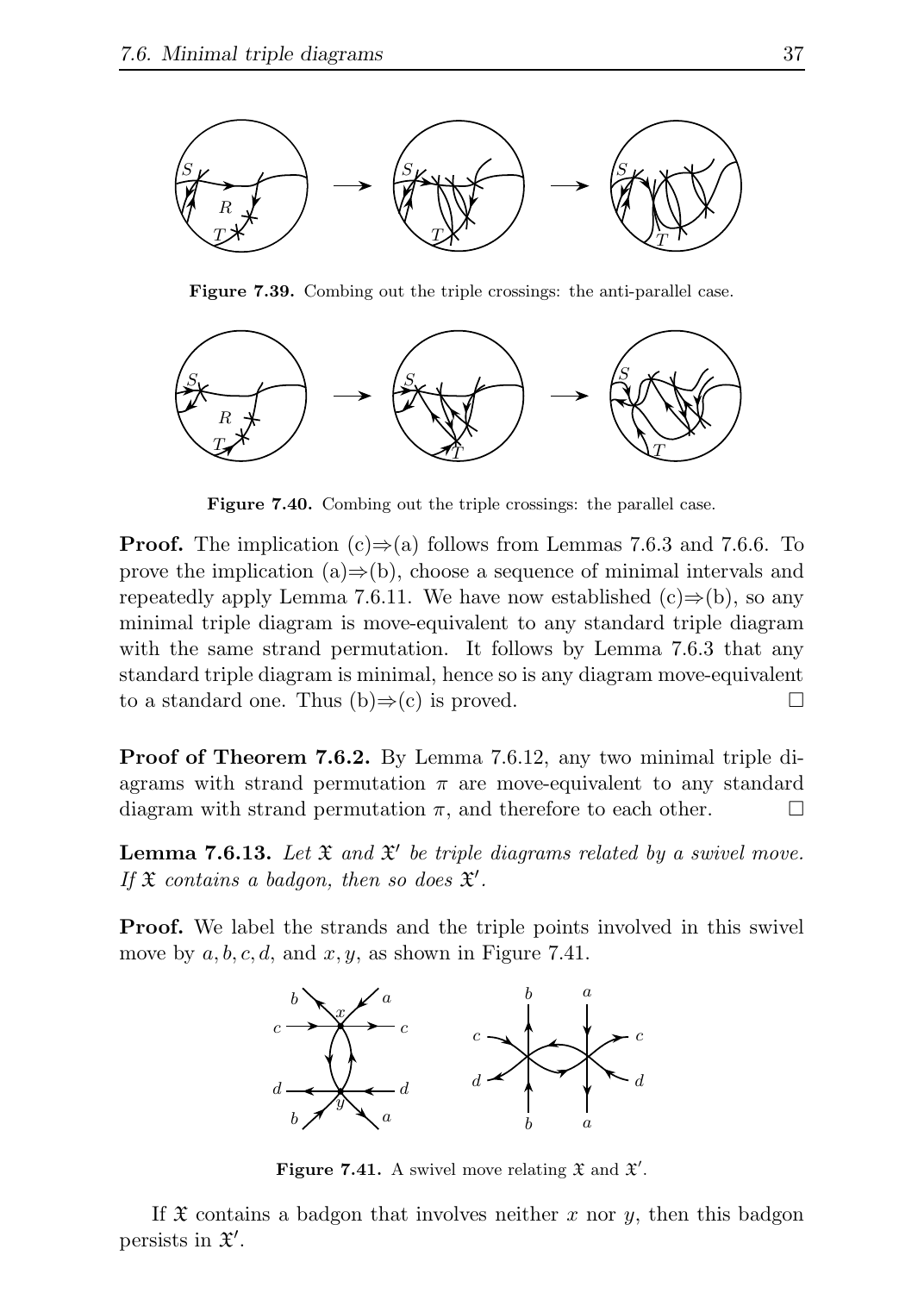

Figure 7.39. Combing out the triple crossings: the anti-parallel case.



Figure 7.40. Combing out the triple crossings: the parallel case.

**Proof.** The implication (c) $\Rightarrow$ (a) follows from Lemmas 7.6.3 and 7.6.6. To prove the implication (a) $\Rightarrow$ (b), choose a sequence of minimal intervals and repeatedly apply Lemma 7.6.11. We have now established  $(c) \Rightarrow (b)$ , so any minimal triple diagram is move-equivalent to any standard triple diagram with the same strand permutation. It follows by Lemma 7.6.3 that any standard triple diagram is minimal, hence so is any diagram move-equivalent to a standard one. Thus  $(b) \Rightarrow (c)$  is proved.

Proof of Theorem 7.6.2. By Lemma 7.6.12, any two minimal triple diagrams with strand permutation  $\pi$  are move-equivalent to any standard diagram with strand permutation  $\pi$ , and therefore to each other.  $\Box$ 

**Lemma 7.6.13.** Let  $\mathfrak{X}$  and  $\mathfrak{X}'$  be triple diagrams related by a swivel move. If  $\mathfrak X$  contains a badgon, then so does  $\mathfrak X'.$ 

**Proof.** We label the strands and the triple points involved in this swivel move by  $a, b, c, d$ , and  $x, y$ , as shown in Figure 7.41.



Figure 7.41. A swivel move relating  $\mathfrak X$  and  $\mathfrak X'$ .

If  $\mathfrak X$  contains a badgon that involves neither x nor y, then this badgon persists in  $\mathfrak{X}'.$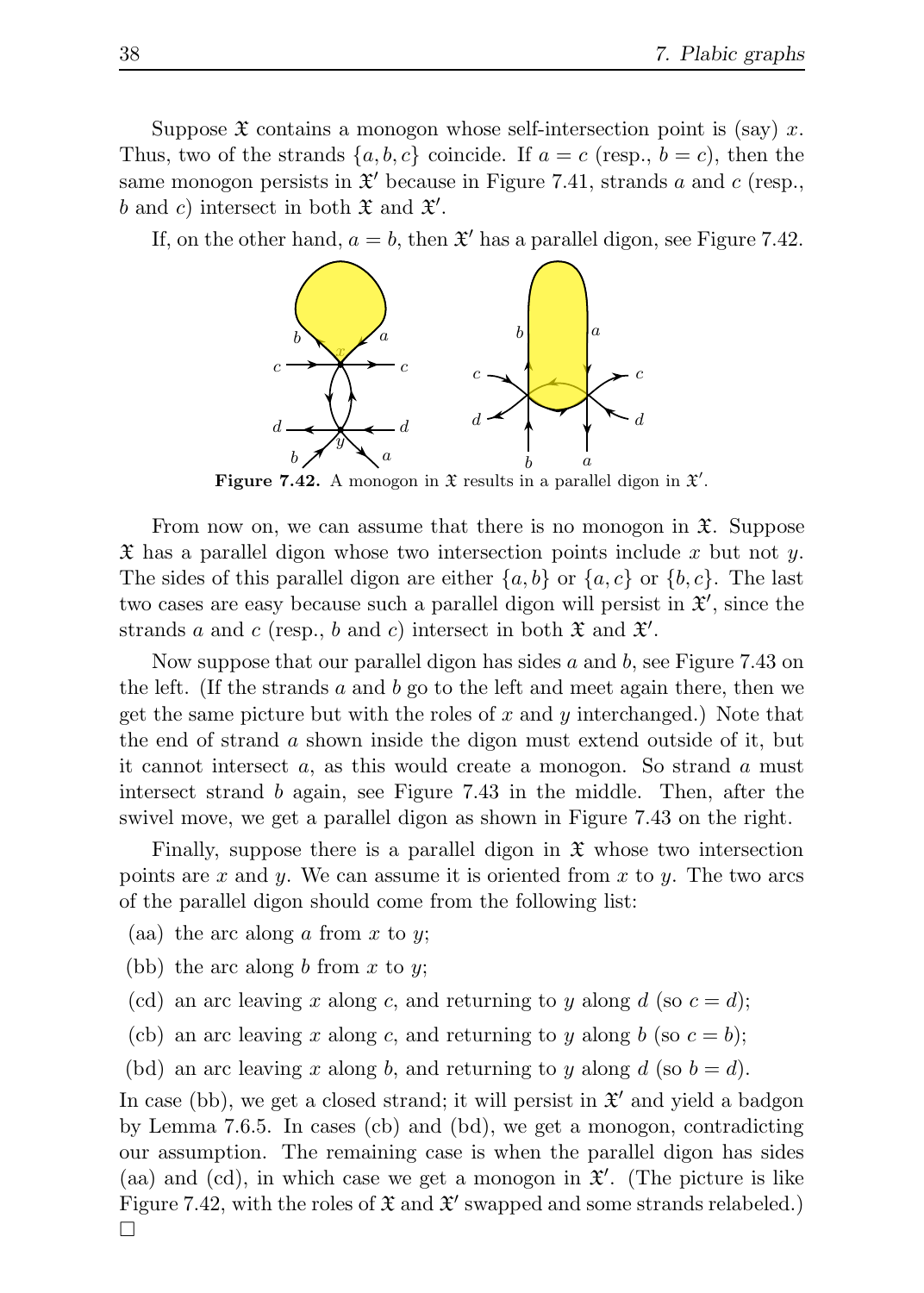Suppose  $\mathfrak X$  contains a monogon whose self-intersection point is (say) x. Thus, two of the strands  $\{a, b, c\}$  coincide. If  $a = c$  (resp.,  $b = c$ ), then the same monogon persists in  $\mathfrak{X}'$  because in Figure 7.41, strands a and c (resp., b and c) intersect in both  $\mathfrak X$  and  $\mathfrak X'$ .

If, on the other hand,  $a = b$ , then  $\mathfrak{X}'$  has a parallel digon, see Figure 7.42.



Figure 7.42. A monogon in  $\mathfrak X$  results in a parallel digon in  $\mathfrak X'$ .

From now on, we can assume that there is no monogon in  $\mathfrak{X}$ . Suppose  $\mathfrak X$  has a parallel digon whose two intersection points include x but not y. The sides of this parallel digon are either  $\{a, b\}$  or  $\{a, c\}$  or  $\{b, c\}$ . The last two cases are easy because such a parallel digon will persist in  $\mathfrak{X}',$  since the strands a and c (resp., b and c) intersect in both  $\mathfrak X$  and  $\mathfrak X'$ .

Now suppose that our parallel digon has sides  $a$  and  $b$ , see Figure 7.43 on the left. (If the strands a and b go to the left and meet again there, then we get the same picture but with the roles of x and y interchanged.) Note that the end of strand a shown inside the digon must extend outside of it, but it cannot intersect  $a$ , as this would create a monogon. So strand  $a$  must intersect strand b again, see Figure 7.43 in the middle. Then, after the swivel move, we get a parallel digon as shown in Figure 7.43 on the right.

Finally, suppose there is a parallel digon in  $\mathfrak X$  whose two intersection points are x and y. We can assume it is oriented from x to y. The two arcs of the parallel digon should come from the following list:

- (aa) the arc along  $a$  from  $x$  to  $y$ ;
- (bb) the arc along  $b$  from  $x$  to  $y$ ;
- (cd) an arc leaving x along c, and returning to y along d (so  $c = d$ );
- (cb) an arc leaving x along c, and returning to y along b (so  $c = b$ );
- (bd) an arc leaving x along b, and returning to y along  $d$  (so  $b = d$ ).

In case (bb), we get a closed strand; it will persist in  $\mathfrak{X}'$  and yield a badgon by Lemma 7.6.5. In cases (cb) and (bd), we get a monogon, contradicting our assumption. The remaining case is when the parallel digon has sides (aa) and (cd), in which case we get a monogon in  $\mathfrak{X}'$ . (The picture is like Figure 7.42, with the roles of  $\mathfrak X$  and  $\mathfrak X'$  swapped and some strands relabeled.)  $\Box$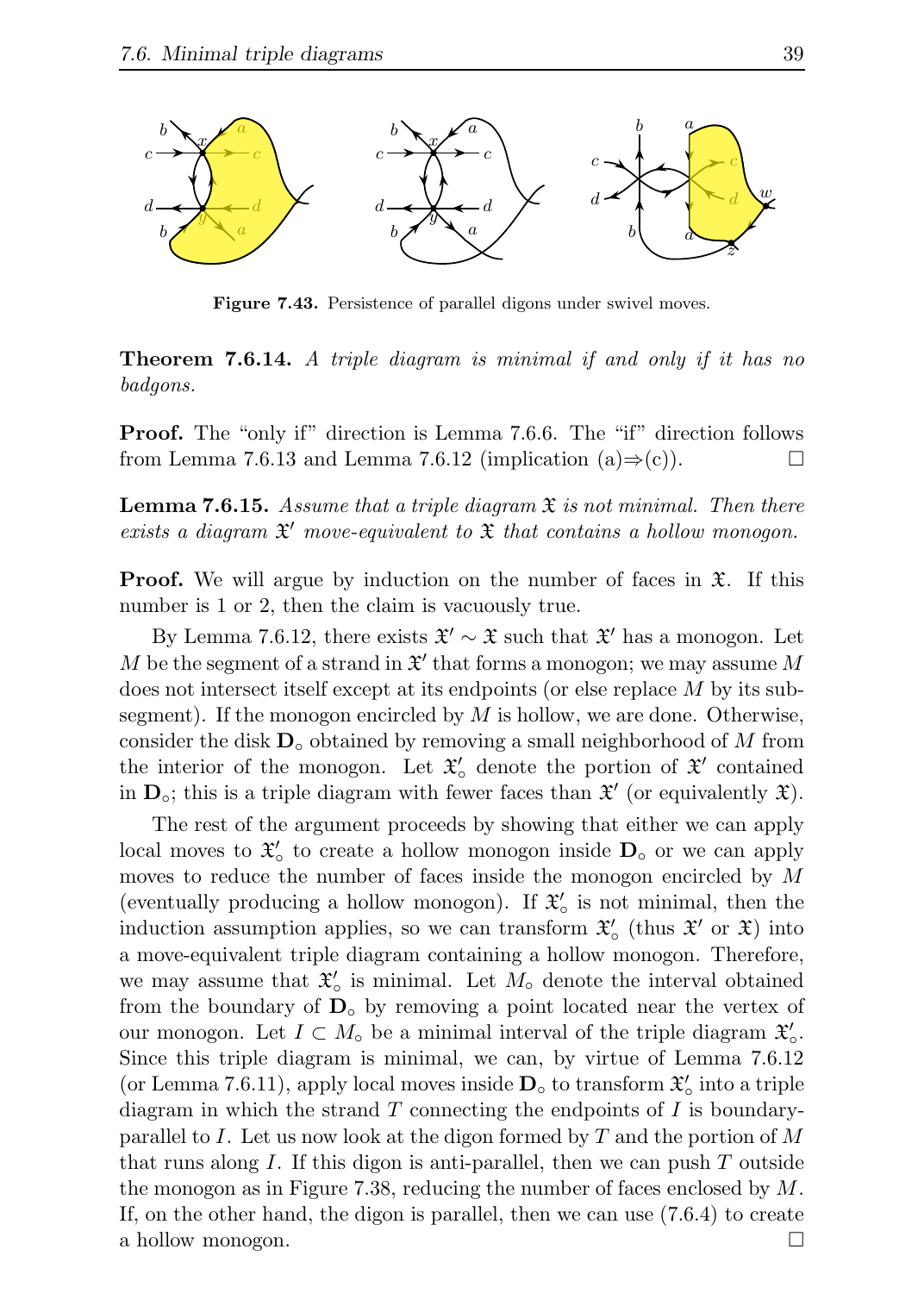

Figure 7.43. Persistence of parallel digons under swivel moves.

**Theorem 7.6.14.** A triple diagram is minimal if and only if it has no badgons.

Proof. The "only if" direction is Lemma 7.6.6. The "if" direction follows from Lemma 7.6.13 and Lemma 7.6.12 (implication (a)⇒(c)).  $\Box$ 

**Lemma 7.6.15.** Assume that a triple diagram  $\mathfrak{X}$  is not minimal. Then there exists a diagram  $\mathfrak{X}'$  move-equivalent to  $\mathfrak{X}$  that contains a hollow monogon.

**Proof.** We will argue by induction on the number of faces in  $\mathfrak{X}$ . If this number is 1 or 2, then the claim is vacuously true.

By Lemma 7.6.12, there exists  $\mathfrak{X}' \sim \mathfrak{X}$  such that  $\mathfrak{X}'$  has a monogon. Let M be the segment of a strand in  $\mathfrak{X}'$  that forms a monogon; we may assume M does not intersect itself except at its endpoints (or else replace M by its subsegment). If the monogon encircled by  $M$  is hollow, we are done. Otherwise, consider the disk  $\mathbf{D}_{\circ}$  obtained by removing a small neighborhood of M from the interior of the monogon. Let  $\mathfrak{X}'_0$  denote the portion of  $\mathfrak{X}'$  contained in  $\mathbf{D}_{\circ}$ ; this is a triple diagram with fewer faces than  $\mathfrak{X}'$  (or equivalently  $\mathfrak{X}$ ).

The rest of the argument proceeds by showing that either we can apply local moves to  $\mathfrak{X}'_{\circ}$  to create a hollow monogon inside  $D_{\circ}$  or we can apply moves to reduce the number of faces inside the monogon encircled by M (eventually producing a hollow monogon). If  $\mathfrak{X}'_0$  is not minimal, then the induction assumption applies, so we can transform  $\mathfrak{X}'_o$  (thus  $\mathfrak{X}'$  or  $\mathfrak{X}$ ) into a move-equivalent triple diagram containing a hollow monogon. Therefore, we may assume that  $\mathfrak{X}'_o$  is minimal. Let  $M_o$  denote the interval obtained from the boundary of  $D<sub>o</sub>$  by removing a point located near the vertex of our monogon. Let  $I \subset M_0$  be a minimal interval of the triple diagram  $\mathfrak{X}'_0$ . Since this triple diagram is minimal, we can, by virtue of Lemma 7.6.12 (or Lemma 7.6.11), apply local moves inside  $\mathbf{D}_{\circ}$  to transform  $\mathfrak{X}_{\circ}'$  into a triple diagram in which the strand  $T$  connecting the endpoints of  $I$  is boundaryparallel to I. Let us now look at the digon formed by T and the portion of M that runs along I. If this digon is anti-parallel, then we can push  $T$  outside the monogon as in Figure 7.38, reducing the number of faces enclosed by  $M$ . If, on the other hand, the digon is parallel, then we can use (7.6.4) to create a hollow monogon.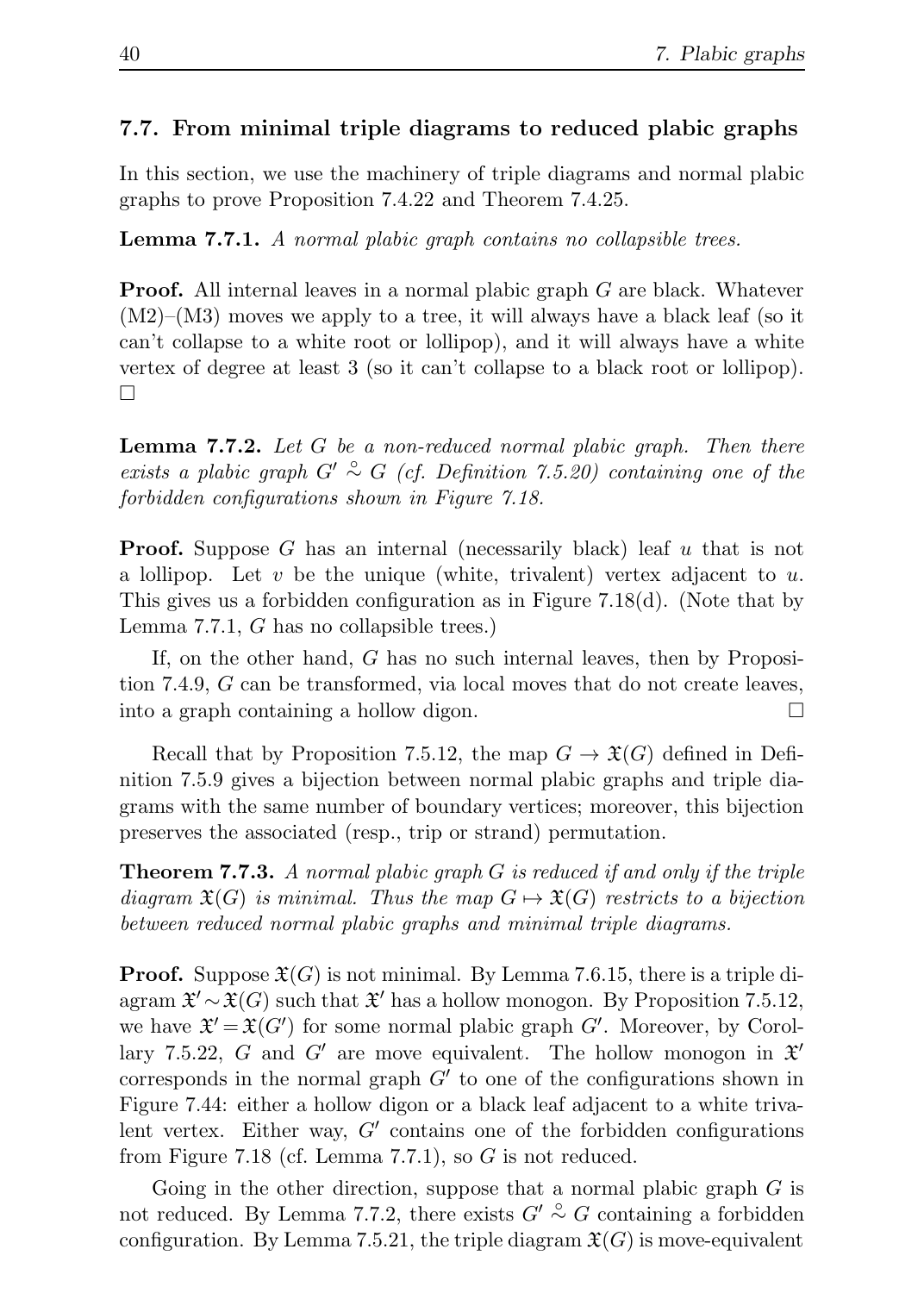## 7.7. From minimal triple diagrams to reduced plabic graphs

In this section, we use the machinery of triple diagrams and normal plabic graphs to prove Proposition 7.4.22 and Theorem 7.4.25.

Lemma 7.7.1. A normal plabic graph contains no collapsible trees.

**Proof.** All internal leaves in a normal plabic graph G are black. Whatever  $(M2)$ – $(M3)$  moves we apply to a tree, it will always have a black leaf (so it can't collapse to a white root or lollipop), and it will always have a white vertex of degree at least 3 (so it can't collapse to a black root or lollipop).  $\Box$ 

**Lemma 7.7.2.** Let  $G$  be a non-reduced normal plabic graph. Then there exists a plabic graph  $G' \overset{\circ}{\sim} G$  (cf. Definition 7.5.20) containing one of the forbidden configurations shown in Figure 7.18.

**Proof.** Suppose G has an internal (necessarily black) leaf  $u$  that is not a lollipop. Let  $v$  be the unique (white, trivalent) vertex adjacent to  $u$ . This gives us a forbidden configuration as in Figure 7.18(d). (Note that by Lemma 7.7.1, G has no collapsible trees.)

If, on the other hand, G has no such internal leaves, then by Proposition 7.4.9, G can be transformed, via local moves that do not create leaves, into a graph containing a hollow digon.

Recall that by Proposition 7.5.12, the map  $G \to \mathfrak{X}(G)$  defined in Definition 7.5.9 gives a bijection between normal plabic graphs and triple diagrams with the same number of boundary vertices; moreover, this bijection preserves the associated (resp., trip or strand) permutation.

**Theorem 7.7.3.** A normal plabic graph  $G$  is reduced if and only if the triple diagram  $\mathfrak{X}(G)$  is minimal. Thus the map  $G \mapsto \mathfrak{X}(G)$  restricts to a bijection between reduced normal plabic graphs and minimal triple diagrams.

**Proof.** Suppose  $\mathfrak{X}(G)$  is not minimal. By Lemma 7.6.15, there is a triple diagram  $\mathfrak{X}' \sim \mathfrak{X}(G)$  such that  $\mathfrak{X}'$  has a hollow monogon. By Proposition 7.5.12, we have  $\mathfrak{X}' = \mathfrak{X}(G')$  for some normal plabic graph  $G'$ . Moreover, by Corollary 7.5.22, G and G' are move equivalent. The hollow monogon in  $\mathfrak{X}'$ corresponds in the normal graph  $G'$  to one of the configurations shown in Figure 7.44: either a hollow digon or a black leaf adjacent to a white trivalent vertex. Either way,  $G'$  contains one of the forbidden configurations from Figure 7.18 (cf. Lemma 7.7.1), so  $G$  is not reduced.

Going in the other direction, suppose that a normal plabic graph  $G$  is not reduced. By Lemma 7.7.2, there exists  $G' \overset{\circ}{\sim} G$  containing a forbidden configuration. By Lemma 7.5.21, the triple diagram  $\mathfrak{X}(G)$  is move-equivalent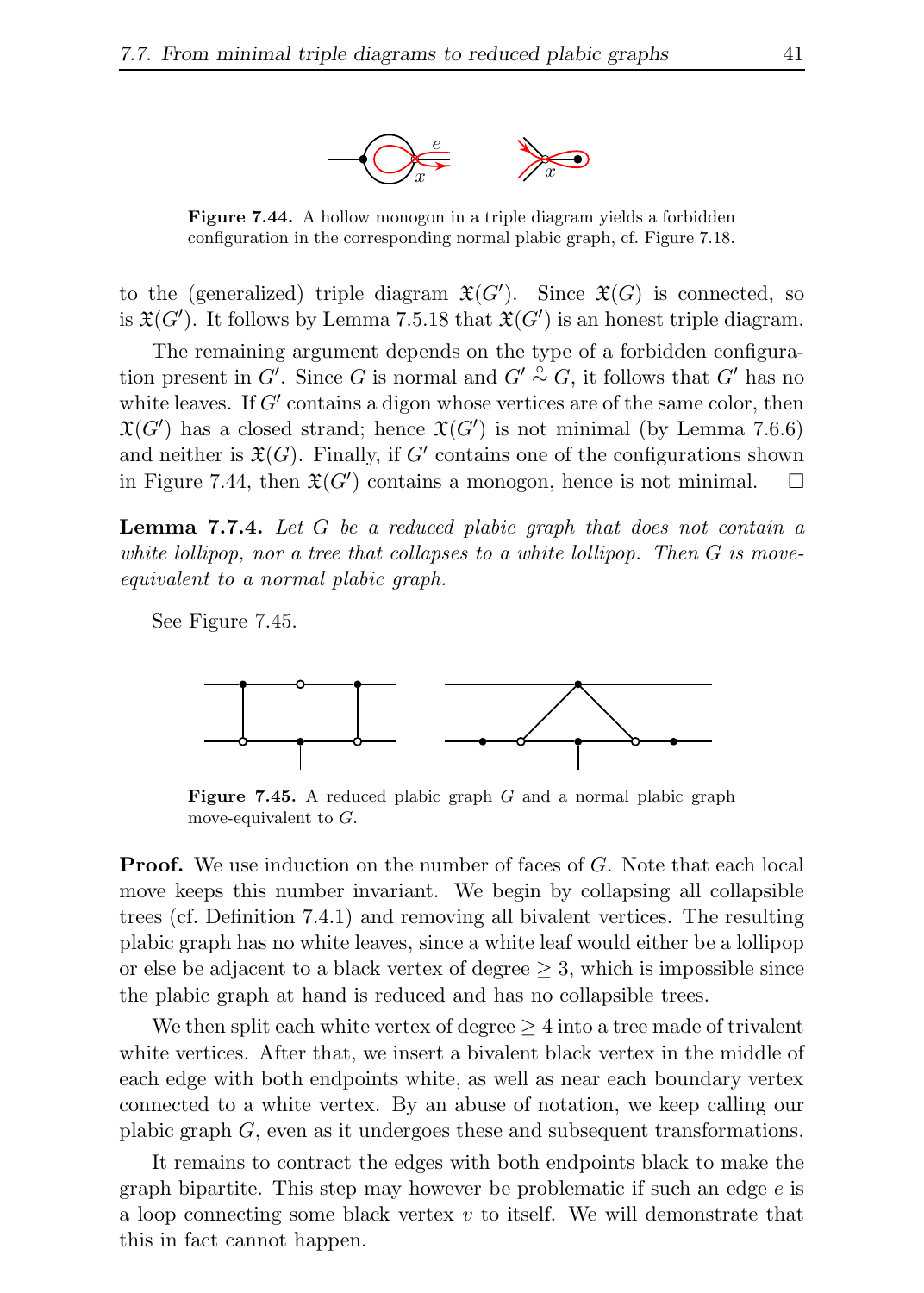

Figure 7.44. A hollow monogon in a triple diagram yields a forbidden configuration in the corresponding normal plabic graph, cf. Figure 7.18.

to the (generalized) triple diagram  $\mathfrak{X}(G')$ . Since  $\mathfrak{X}(G)$  is connected, so is  $\mathfrak{X}(G')$ . It follows by Lemma 7.5.18 that  $\mathfrak{X}(G')$  is an honest triple diagram.

The remaining argument depends on the type of a forbidden configuration present in G'. Since G is normal and  $G' \overset{\circ}{\sim} G$ , it follows that  $G'$  has no white leaves. If  $G'$  contains a digon whose vertices are of the same color, then  $\mathfrak{X}(G')$  has a closed strand; hence  $\mathfrak{X}(G')$  is not minimal (by Lemma 7.6.6) and neither is  $\mathfrak{X}(G)$ . Finally, if G' contains one of the configurations shown in Figure 7.44, then  $\mathfrak{X}(G')$  contains a monogon, hence is not minimal.  $\square$ 

**Lemma 7.7.4.** Let  $G$  be a reduced plabic graph that does not contain a white lollipop, nor a tree that collapses to a white lollipop. Then  $G$  is moveequivalent to a normal plabic graph.

See Figure 7.45.



**Figure 7.45.** A reduced plabic graph  $G$  and a normal plabic graph move-equivalent to  $G$ .

**Proof.** We use induction on the number of faces of G. Note that each local move keeps this number invariant. We begin by collapsing all collapsible trees (cf. Definition 7.4.1) and removing all bivalent vertices. The resulting plabic graph has no white leaves, since a white leaf would either be a lollipop or else be adjacent to a black vertex of degree  $\geq 3$ , which is impossible since the plabic graph at hand is reduced and has no collapsible trees.

We then split each white vertex of degree  $\geq 4$  into a tree made of trivalent white vertices. After that, we insert a bivalent black vertex in the middle of each edge with both endpoints white, as well as near each boundary vertex connected to a white vertex. By an abuse of notation, we keep calling our plabic graph G, even as it undergoes these and subsequent transformations.

It remains to contract the edges with both endpoints black to make the graph bipartite. This step may however be problematic if such an edge  $e$  is a loop connecting some black vertex  $v$  to itself. We will demonstrate that this in fact cannot happen.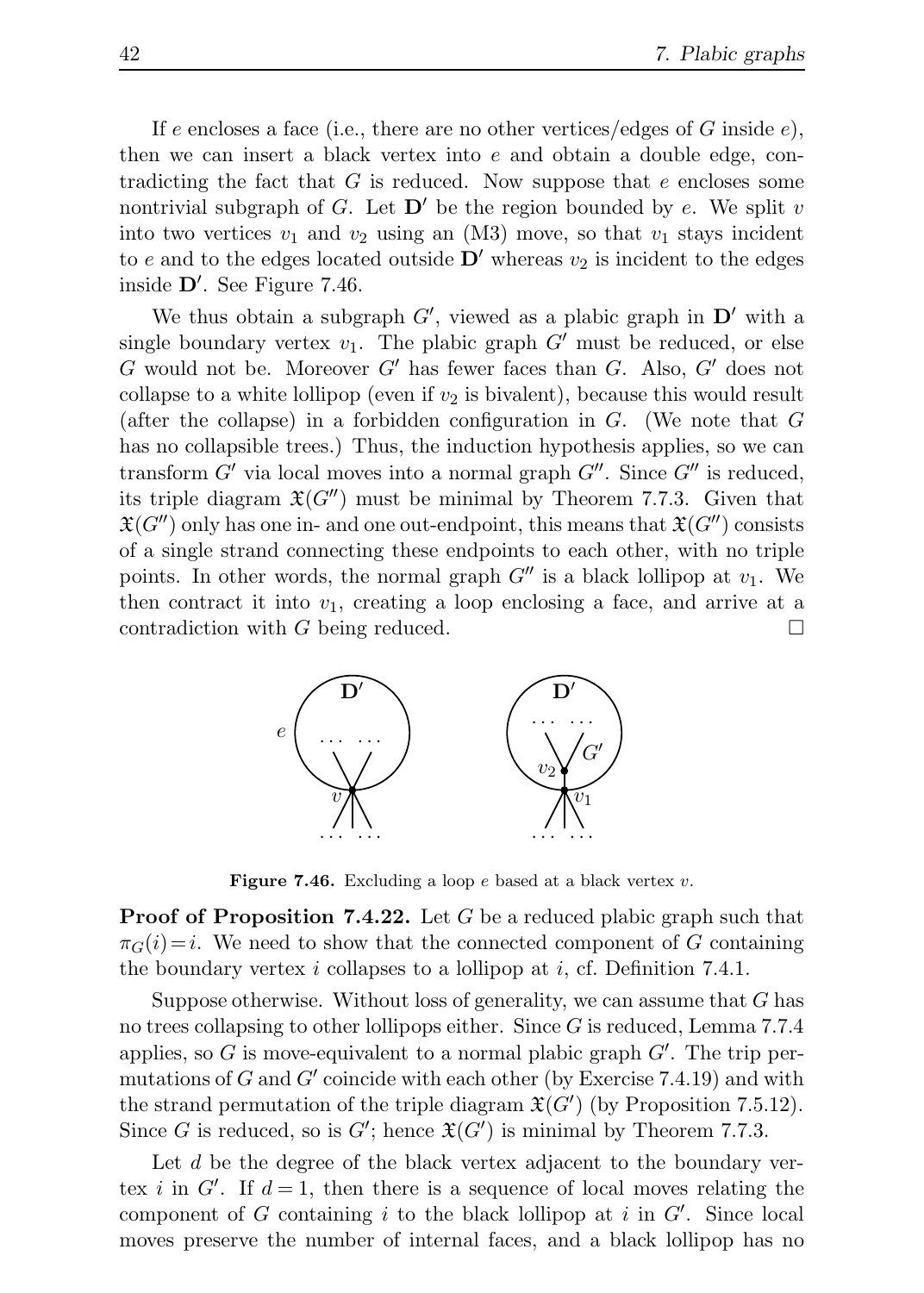If e encloses a face (i.e., there are no other vertices/edges of G inside  $e$ ), then we can insert a black vertex into  $e$  and obtain a double edge, contradicting the fact that G is reduced. Now suppose that e encloses some nontrivial subgraph of G. Let  $\mathbf{D}'$  be the region bounded by e. We split v into two vertices  $v_1$  and  $v_2$  using an (M3) move, so that  $v_1$  stays incident to e and to the edges located outside  $\mathbf{D}'$  whereas  $v_2$  is incident to the edges inside D′ . See Figure 7.46.

We thus obtain a subgraph  $G'$ , viewed as a plabic graph in  $D'$  with a single boundary vertex  $v_1$ . The plabic graph G' must be reduced, or else G would not be. Moreover G' has fewer faces than G. Also,  $G'$  does not collapse to a white lollipop (even if  $v_2$  is bivalent), because this would result (after the collapse) in a forbidden configuration in  $G$ . (We note that  $G$ has no collapsible trees.) Thus, the induction hypothesis applies, so we can transform  $G'$  via local moves into a normal graph  $G''$ . Since  $G''$  is reduced, its triple diagram  $\mathfrak{X}(G'')$  must be minimal by Theorem 7.7.3. Given that  $\mathfrak{X}(G'')$  only has one in- and one out-endpoint, this means that  $\mathfrak{X}(G'')$  consists of a single strand connecting these endpoints to each other, with no triple points. In other words, the normal graph  $G''$  is a black lollipop at  $v_1$ . We then contract it into  $v_1$ , creating a loop enclosing a face, and arrive at a contradiction with G being reduced.  $\square$ 



Figure 7.46. Excluding a loop  $e$  based at a black vertex  $v$ .

**Proof of Proposition 7.4.22.** Let G be a reduced plabic graph such that  $\pi_G(i)=i$ . We need to show that the connected component of G containing the boundary vertex i collapses to a lollipop at i, cf. Definition 7.4.1.

Suppose otherwise. Without loss of generality, we can assume that  $G$  has no trees collapsing to other lollipops either. Since  $G$  is reduced, Lemma 7.7.4 applies, so  $G$  is move-equivalent to a normal plabic graph  $G'$ . The trip permutations of G and  $G'$  coincide with each other (by Exercise 7.4.19) and with the strand permutation of the triple diagram  $\mathfrak{X}(G')$  (by Proposition 7.5.12). Since G is reduced, so is  $G'$ ; hence  $\mathfrak{X}(G')$  is minimal by Theorem 7.7.3.

Let  $d$  be the degree of the black vertex adjacent to the boundary vertex *i* in  $G'$ . If  $d = 1$ , then there is a sequence of local moves relating the component of G containing i to the black lollipop at i in  $G'$ . Since local moves preserve the number of internal faces, and a black lollipop has no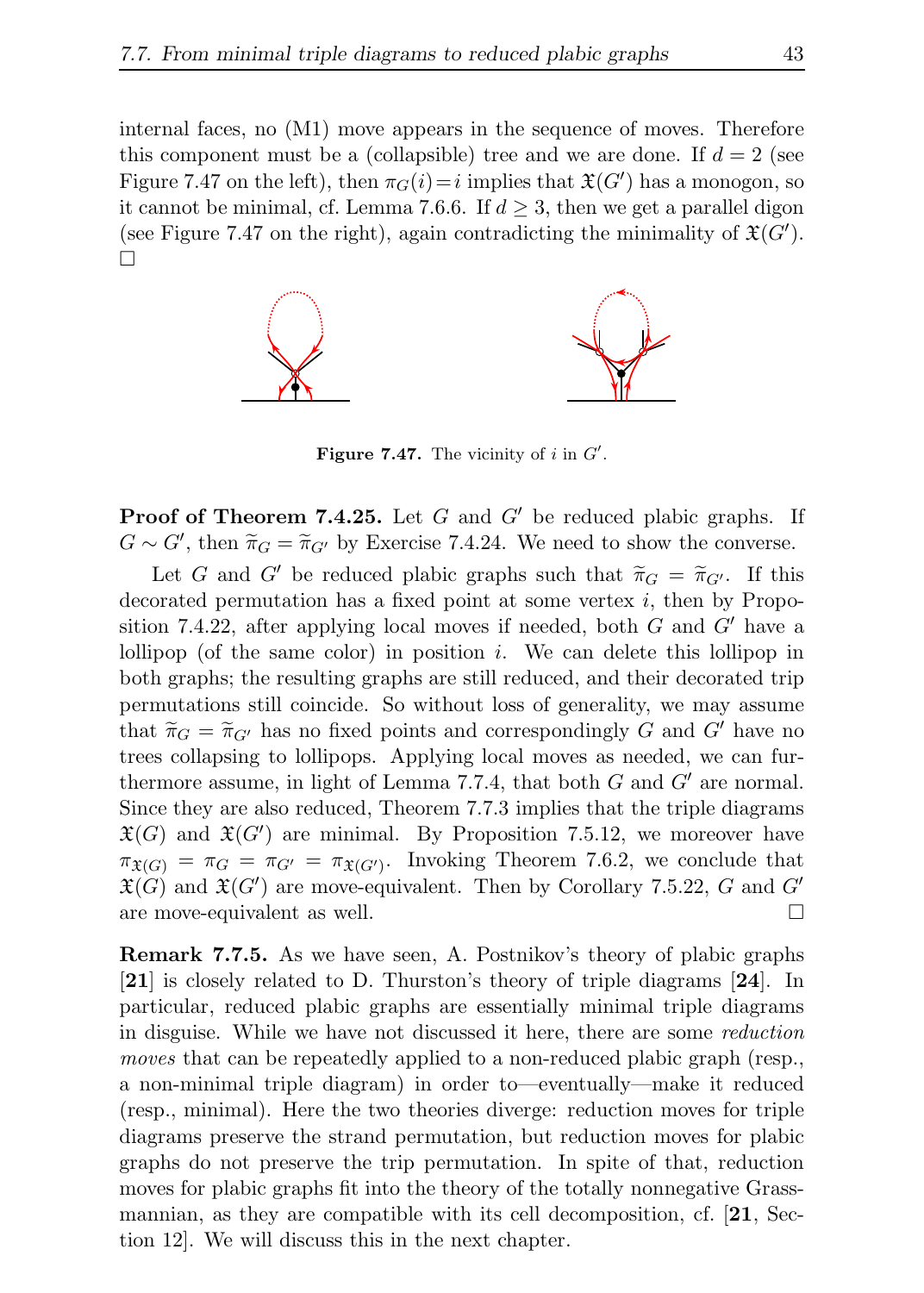internal faces, no (M1) move appears in the sequence of moves. Therefore this component must be a (collapsible) tree and we are done. If  $d = 2$  (see Figure 7.47 on the left), then  $\pi_G(i) = i$  implies that  $\mathfrak{X}(G')$  has a monogon, so it cannot be minimal, cf. Lemma 7.6.6. If  $d \geq 3$ , then we get a parallel digon (see Figure 7.47 on the right), again contradicting the minimality of  $\mathfrak{X}(G')$ .  $\Box$ 



Figure 7.47. The vicinity of  $i$  in  $G'$ .

**Proof of Theorem 7.4.25.** Let  $G$  and  $G'$  be reduced plabic graphs. If  $G \sim G'$ , then  $\widetilde{\pi}_G = \widetilde{\pi}_{G'}$  by Exercise 7.4.24. We need to show the converse.

Let G and G' be reduced plabic graphs such that  $\tilde{\pi}_G = \tilde{\pi}_{G'}$ . If this decorated permutation has a fixed point at some vertex  $i$ , then by Proposition 7.4.22, after applying local moves if needed, both  $G$  and  $G'$  have a lollipop (of the same color) in position  $i$ . We can delete this lollipop in both graphs; the resulting graphs are still reduced, and their decorated trip permutations still coincide. So without loss of generality, we may assume that  $\tilde{\pi}_G = \tilde{\pi}_{G'}$  has no fixed points and correspondingly G and G' have no trees collapsing to lollipops. Applying local moves as needed, we can furthermore assume, in light of Lemma 7.7.4, that both  $G$  and  $G'$  are normal. Since they are also reduced, Theorem 7.7.3 implies that the triple diagrams  $\mathfrak{X}(G)$  and  $\mathfrak{X}(G')$  are minimal. By Proposition 7.5.12, we moreover have  $\pi_{\mathfrak{X}(G)} = \pi_G = \pi_{G'} = \pi_{\mathfrak{X}(G')}$ . Invoking Theorem 7.6.2, we conclude that  $\mathfrak{X}(G)$  and  $\mathfrak{X}(G')$  are move-equivalent. Then by Corollary 7.5.22, G and G' are move-equivalent as well.

Remark 7.7.5. As we have seen, A. Postnikov's theory of plabic graphs [21] is closely related to D. Thurston's theory of triple diagrams [24]. In particular, reduced plabic graphs are essentially minimal triple diagrams in disguise. While we have not discussed it here, there are some reduction moves that can be repeatedly applied to a non-reduced plabic graph (resp., a non-minimal triple diagram) in order to—eventually—make it reduced (resp., minimal). Here the two theories diverge: reduction moves for triple diagrams preserve the strand permutation, but reduction moves for plabic graphs do not preserve the trip permutation. In spite of that, reduction moves for plabic graphs fit into the theory of the totally nonnegative Grassmannian, as they are compatible with its cell decomposition, cf.  $[21,$  Section 12]. We will discuss this in the next chapter.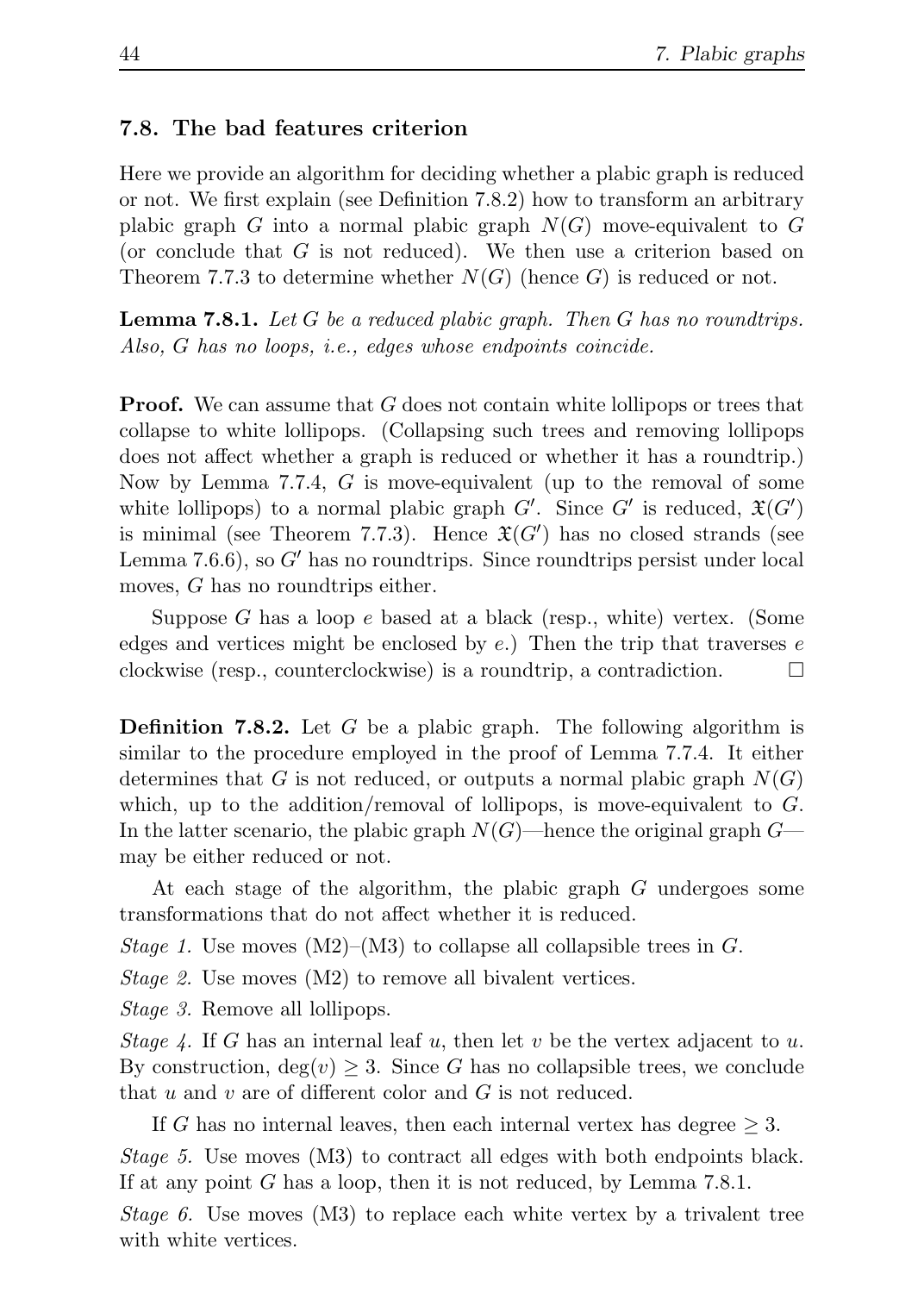#### 7.8. The bad features criterion

Here we provide an algorithm for deciding whether a plabic graph is reduced or not. We first explain (see Definition 7.8.2) how to transform an arbitrary plabic graph G into a normal plabic graph  $N(G)$  move-equivalent to G (or conclude that G is not reduced). We then use a criterion based on Theorem 7.7.3 to determine whether  $N(G)$  (hence G) is reduced or not.

**Lemma 7.8.1.** Let  $G$  be a reduced plabic graph. Then  $G$  has no roundtrips. Also, G has no loops, i.e., edges whose endpoints coincide.

**Proof.** We can assume that G does not contain white lollipops or trees that collapse to white lollipops. (Collapsing such trees and removing lollipops does not affect whether a graph is reduced or whether it has a roundtrip.) Now by Lemma 7.7.4, G is move-equivalent (up to the removal of some white lollipops) to a normal plabic graph  $G'$ . Since  $G'$  is reduced,  $\mathfrak{X}(G')$ is minimal (see Theorem 7.7.3). Hence  $\mathfrak{X}(G')$  has no closed strands (see Lemma 7.6.6), so  $G'$  has no roundtrips. Since roundtrips persist under local moves, G has no roundtrips either.

Suppose  $G$  has a loop  $e$  based at a black (resp., white) vertex. (Some edges and vertices might be enclosed by  $e$ .) Then the trip that traverses  $e$ clockwise (resp., counterclockwise) is a roundtrip, a contradiction.  $\Box$ 

**Definition 7.8.2.** Let G be a plabic graph. The following algorithm is similar to the procedure employed in the proof of Lemma 7.7.4. It either determines that G is not reduced, or outputs a normal plabic graph  $N(G)$ which, up to the addition/removal of lollipops, is move-equivalent to  $G$ . In the latter scenario, the plabic graph  $N(G)$ —hence the original graph  $G$  may be either reduced or not.

At each stage of the algorithm, the plabic graph G undergoes some transformations that do not affect whether it is reduced.

Stage 1. Use moves  $(M2)–(M3)$  to collapse all collapsible trees in G.

Stage 2. Use moves (M2) to remove all bivalent vertices.

Stage 3. Remove all lollipops.

Stage 4. If G has an internal leaf u, then let v be the vertex adjacent to u. By construction,  $deg(v) \geq 3$ . Since G has no collapsible trees, we conclude that u and v are of different color and  $G$  is not reduced.

If G has no internal leaves, then each internal vertex has degree  $\geq 3$ . Stage 5. Use moves (M3) to contract all edges with both endpoints black. If at any point G has a loop, then it is not reduced, by Lemma 7.8.1.

Stage 6. Use moves (M3) to replace each white vertex by a trivalent tree with white vertices.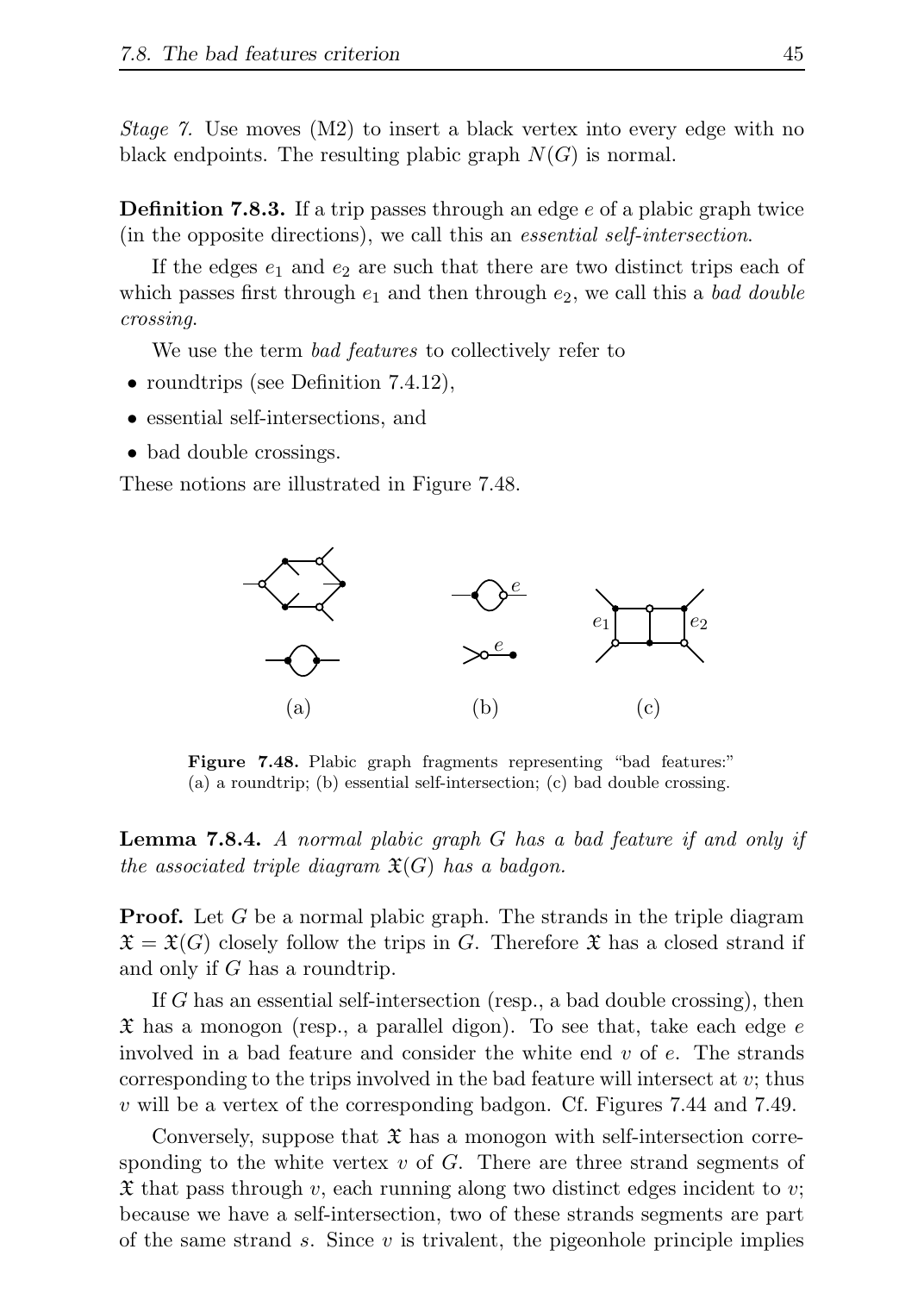Stage 7. Use moves (M2) to insert a black vertex into every edge with no black endpoints. The resulting plabic graph  $N(G)$  is normal.

**Definition 7.8.3.** If a trip passes through an edge  $e$  of a plabic graph twice (in the opposite directions), we call this an essential self-intersection.

If the edges  $e_1$  and  $e_2$  are such that there are two distinct trips each of which passes first through  $e_1$  and then through  $e_2$ , we call this a bad double crossing.

We use the term *bad features* to collectively refer to

- roundtrips (see Definition 7.4.12),
- essential self-intersections, and
- bad double crossings.

These notions are illustrated in Figure 7.48.



Figure 7.48. Plabic graph fragments representing "bad features:" (a) a roundtrip; (b) essential self-intersection; (c) bad double crossing.

Lemma 7.8.4. A normal plabic graph G has a bad feature if and only if the associated triple diagram  $\mathfrak{X}(G)$  has a badgon.

**Proof.** Let G be a normal plabic graph. The strands in the triple diagram  $\mathfrak{X} = \mathfrak{X}(G)$  closely follow the trips in G. Therefore  $\mathfrak{X}$  has a closed strand if and only if G has a roundtrip.

If G has an essential self-intersection (resp., a bad double crossing), then  $\mathfrak X$  has a monogon (resp., a parallel digon). To see that, take each edge e involved in a bad feature and consider the white end  $v$  of  $e$ . The strands corresponding to the trips involved in the bad feature will intersect at  $v$ ; thus v will be a vertex of the corresponding badgon. Cf. Figures 7.44 and 7.49.

Conversely, suppose that  $\mathfrak X$  has a monogon with self-intersection corresponding to the white vertex  $v$  of  $G$ . There are three strand segments of  $\mathfrak X$  that pass through v, each running along two distinct edges incident to v; because we have a self-intersection, two of these strands segments are part of the same strand  $s$ . Since  $v$  is trivalent, the pigeonhole principle implies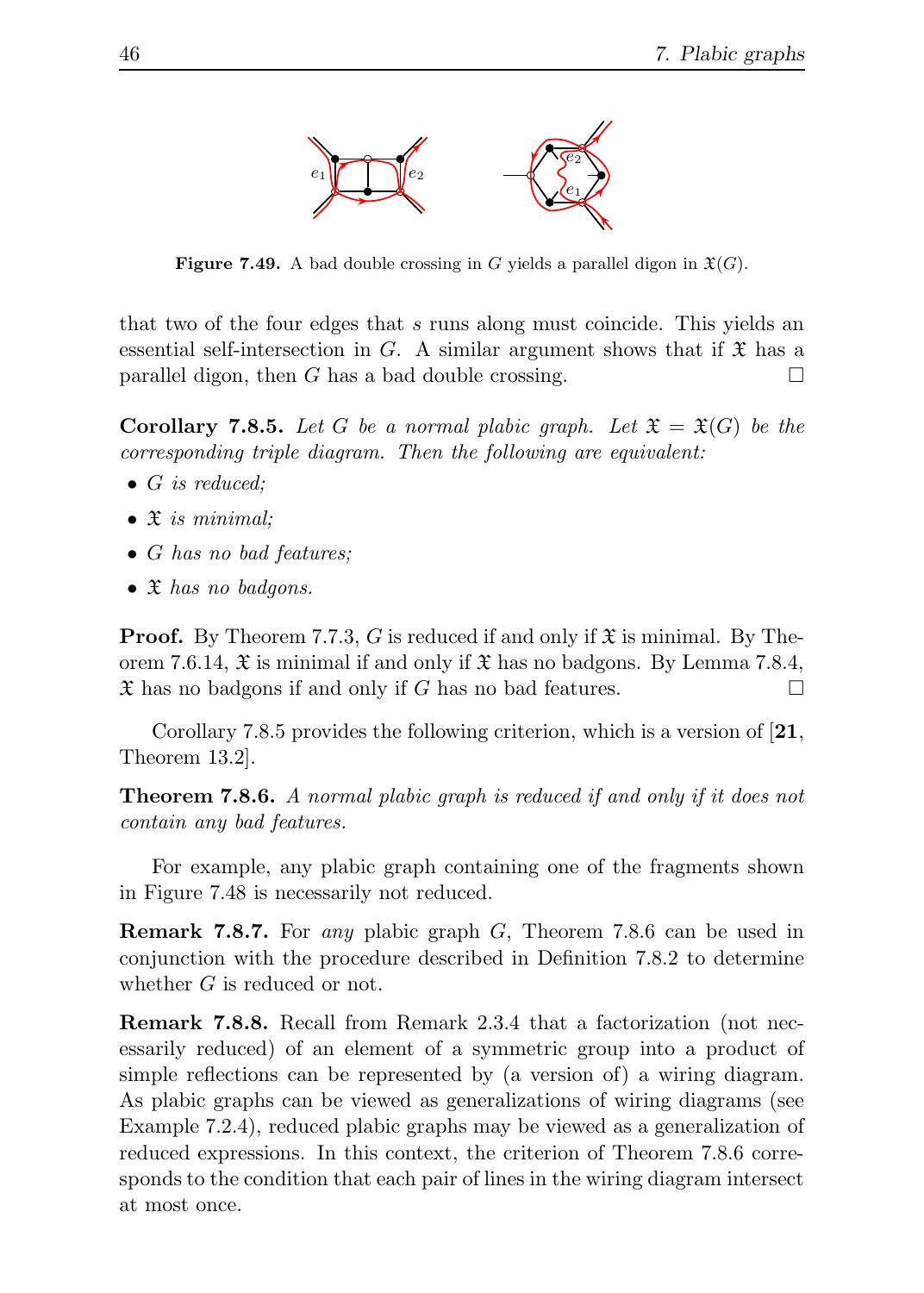

**Figure 7.49.** A bad double crossing in G yields a parallel digon in  $\mathfrak{X}(G)$ .

that two of the four edges that s runs along must coincide. This yields an essential self-intersection in G. A similar argument shows that if  $\mathfrak X$  has a parallel digon, then G has a bad double crossing.  $\square$ 

**Corollary 7.8.5.** Let G be a normal plabic graph. Let  $\mathfrak{X} = \mathfrak{X}(G)$  be the corresponding triple diagram. Then the following are equivalent:

- G is reduced:
- $\bullet$   $\mathfrak X$  is minimal;
- G has no bad features;
- $\mathfrak X$  has no badgons.

**Proof.** By Theorem 7.7.3, G is reduced if and only if  $\mathfrak{X}$  is minimal. By Theorem 7.6.14,  $\mathfrak{X}$  is minimal if and only if  $\mathfrak{X}$  has no badgons. By Lemma 7.8.4,  $\mathfrak X$  has no badgons if and only if G has no bad features.

Corollary 7.8.5 provides the following criterion, which is a version of [21, Theorem 13.2].

Theorem 7.8.6. A normal plabic graph is reduced if and only if it does not contain any bad features.

For example, any plabic graph containing one of the fragments shown in Figure 7.48 is necessarily not reduced.

Remark 7.8.7. For any plabic graph G, Theorem 7.8.6 can be used in conjunction with the procedure described in Definition 7.8.2 to determine whether G is reduced or not.

Remark 7.8.8. Recall from Remark 2.3.4 that a factorization (not necessarily reduced) of an element of a symmetric group into a product of simple reflections can be represented by (a version of) a wiring diagram. As plabic graphs can be viewed as generalizations of wiring diagrams (see Example 7.2.4), reduced plabic graphs may be viewed as a generalization of reduced expressions. In this context, the criterion of Theorem 7.8.6 corresponds to the condition that each pair of lines in the wiring diagram intersect at most once.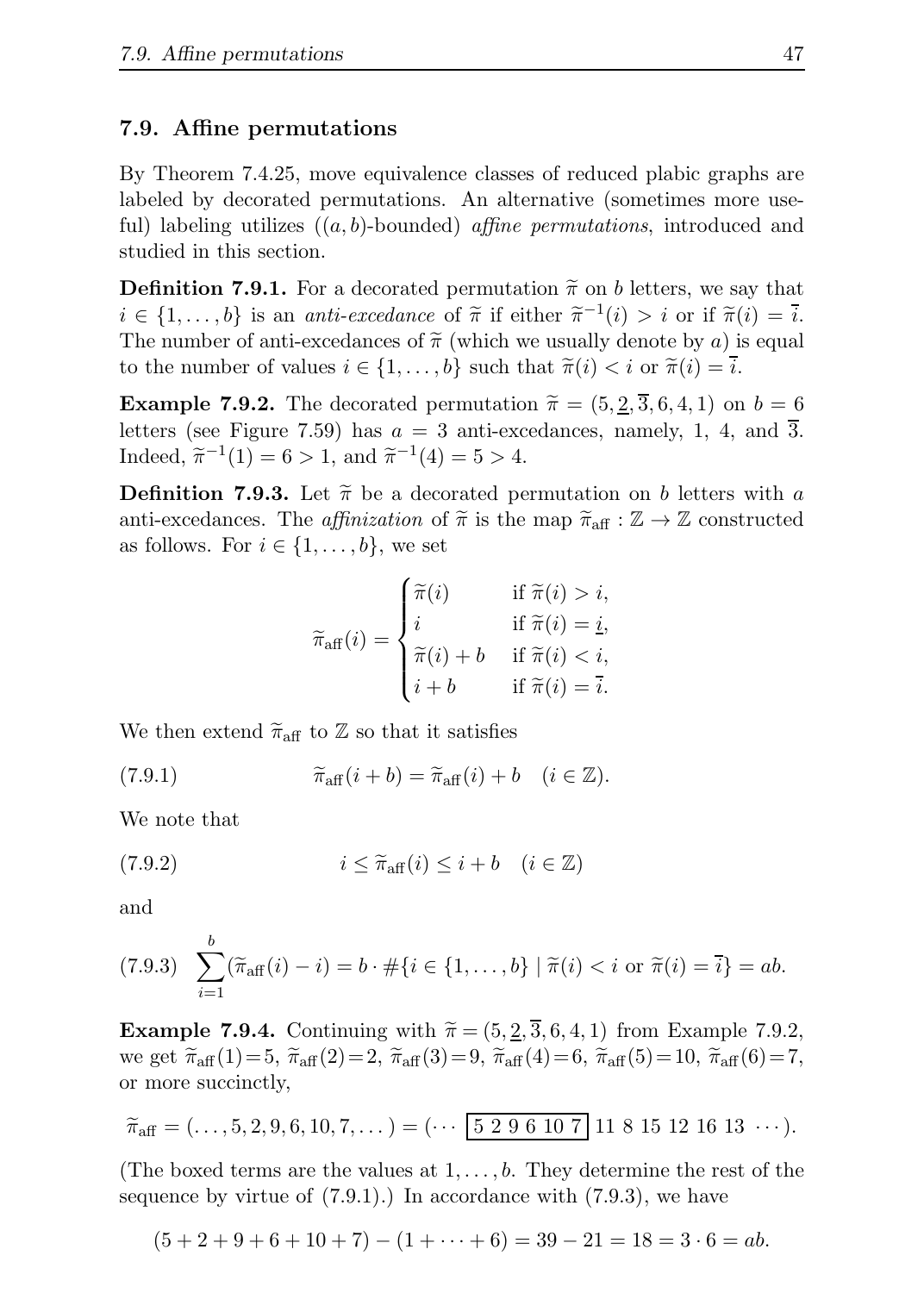#### 7.9. Affine permutations

By Theorem 7.4.25, move equivalence classes of reduced plabic graphs are labeled by decorated permutations. An alternative (sometimes more useful) labeling utilizes  $((a, b)$ -bounded) *affine permutations*, introduced and studied in this section.

**Definition 7.9.1.** For a decorated permutation  $\tilde{\pi}$  on b letters, we say that  $i \in \{1, \ldots, b\}$  is an *anti-excedance* of  $\widetilde{\pi}$  if either  $\widetilde{\pi}^{-1}(i) > i$  or if  $\widetilde{\pi}(i) = \overline{i}$ . The number of anti-excedances of  $\tilde{\pi}$  (which we usually denote by a) is equal to the number of values  $i \in \{1, ..., b\}$  such that  $\tilde{\pi}(i) < i$  or  $\tilde{\pi}(i) = \overline{i}$ .

**Example 7.9.2.** The decorated permutation  $\tilde{\pi} = (5, \underline{2}, \overline{3}, 6, 4, 1)$  on  $b = 6$ letters (see Figure 7.59) has  $a = 3$  anti-excedances, namely, 1, 4, and  $\overline{3}$ . Indeed,  $\tilde{\pi}^{-1}(1) = 6 > 1$ , and  $\tilde{\pi}^{-1}(4) = 5 > 4$ .

**Definition 7.9.3.** Let  $\tilde{\pi}$  be a decorated permutation on b letters with a anti-excedances. The affinization of  $\tilde{\pi}$  is the map  $\tilde{\pi}_{\text{aff}} : \mathbb{Z} \to \mathbb{Z}$  constructed as follows. For  $i \in \{1, \ldots, b\}$ , we set

$$
\widetilde{\pi}_{\text{aff}}(i) = \begin{cases}\n\widetilde{\pi}(i) & \text{if } \widetilde{\pi}(i) > i, \\
i & \text{if } \widetilde{\pi}(i) = \underline{i}, \\
\widetilde{\pi}(i) + b & \text{if } \widetilde{\pi}(i) < i, \\
i + b & \text{if } \widetilde{\pi}(i) = \overline{i}.\n\end{cases}
$$

We then extend  $\tilde{\pi}_{\text{aff}}$  to  $\mathbb{Z}$  so that it satisfies

(7.9.1) 
$$
\widetilde{\pi}_{\text{aff}}(i+b) = \widetilde{\pi}_{\text{aff}}(i) + b \quad (i \in \mathbb{Z}).
$$

We note that

(7.9.2) 
$$
i \leq \widetilde{\pi}_{\text{aff}}(i) \leq i + b \quad (i \in \mathbb{Z})
$$

and

$$
(7.9.3) \quad \sum_{i=1}^{b} (\widetilde{\pi}_{\text{aff}}(i) - i) = b \cdot \# \{ i \in \{ 1, \dots, b \} \mid \widetilde{\pi}(i) < i \text{ or } \widetilde{\pi}(i) = \overline{i} \} = ab.
$$

**Example 7.9.4.** Continuing with  $\tilde{\pi} = (5, \underline{2}, \overline{3}, 6, 4, 1)$  from Example 7.9.2, we get  $\widetilde{\pi}_{aff}(1)=5$ ,  $\widetilde{\pi}_{aff}(2)=2$ ,  $\widetilde{\pi}_{aff}(3)=9$ ,  $\widetilde{\pi}_{aff}(4)=6$ ,  $\widetilde{\pi}_{aff}(5)=10$ ,  $\widetilde{\pi}_{aff}(6)=7$ , or more succinctly,

$$
\widetilde{\pi}_{\text{aff}} = (\ldots, 5, 2, 9, 6, 10, 7, \ldots) = (\cdots \boxed{5 \ 2 \ 9 \ 6 \ 10 \ 7} \ 11 \ 8 \ 15 \ 12 \ 16 \ 13 \ \cdots).
$$

(The boxed terms are the values at  $1, \ldots, b$ . They determine the rest of the sequence by virtue of  $(7.9.1)$ . In accordance with  $(7.9.3)$ , we have

$$
(5+2+9+6+10+7) - (1+\cdots+6) = 39 - 21 = 18 = 3 \cdot 6 = ab.
$$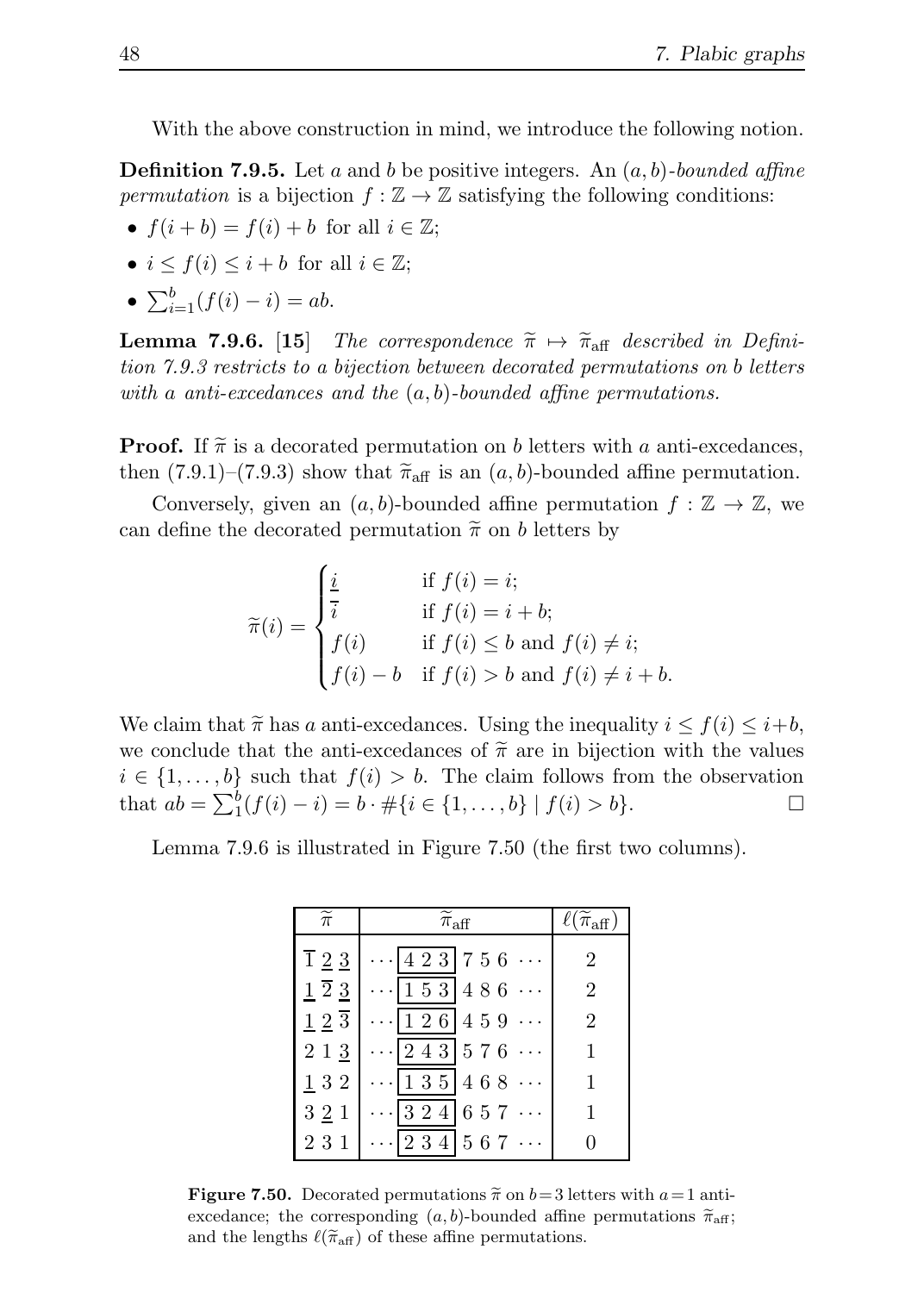With the above construction in mind, we introduce the following notion.

**Definition 7.9.5.** Let a and b be positive integers. An  $(a, b)$ -bounded affine permutation is a bijection  $f : \mathbb{Z} \to \mathbb{Z}$  satisfying the following conditions:

- $f(i+b) = f(i) + b$  for all  $i \in \mathbb{Z}$ ;
- $i \leq f(i) \leq i + b$  for all  $i \in \mathbb{Z}$ ;
- $\sum_{i=1}^{b} (f(i) i) = ab.$

**Lemma 7.9.6.** [15] The correspondence  $\tilde{\pi} \mapsto \tilde{\pi}_{\text{aff}}$  described in Definition 7.9.3 restricts to a bijection between decorated permutations on b letters with a anti-excedances and the  $(a, b)$ -bounded affine permutations.

**Proof.** If  $\tilde{\pi}$  is a decorated permutation on b letters with a anti-excedances, then  $(7.9.1)$ – $(7.9.3)$  show that  $\tilde{\pi}_{\text{aff}}$  is an  $(a, b)$ -bounded affine permutation.

Conversely, given an  $(a, b)$ -bounded affine permutation  $f : \mathbb{Z} \to \mathbb{Z}$ , we can define the decorated permutation  $\tilde{\pi}$  on b letters by

$$
\widetilde{\pi}(i) = \begin{cases}\n\frac{i}{i} & \text{if } f(i) = i; \\
\frac{i}{i} & \text{if } f(i) = i + b; \\
f(i) & \text{if } f(i) \le b \text{ and } f(i) \ne i; \\
f(i) - b & \text{if } f(i) > b \text{ and } f(i) \ne i + b.\n\end{cases}
$$

We claim that  $\tilde{\pi}$  has a anti-excedances. Using the inequality  $i \leq f(i) \leq i+b$ , we conclude that the anti-excedances of  $\tilde{\pi}$  are in bijection with the values  $i \in \{1, \ldots, b\}$  such that  $f(i) > b$ . The claim follows from the observation that  $ab = \sum_{1}^{b} (f(i) - i) = b \cdot \# \{i \in \{1, ..., b\} \mid f(i) > b\}.$ 

Lemma 7.9.6 is illustrated in Figure 7.50 (the first two columns).

| $\widetilde{\pi}$    | $\widetilde{\pi}_{\mathrm{aff}}$ | $\ell(\widetilde{\pi}_{\mathrm{aff}})$ |
|----------------------|----------------------------------|----------------------------------------|
| $\overline{1}$ 2 3   | $\cdots$ 4 2 3 7 5 6 $\cdots$    | $\overline{2}$                         |
| $1\overline{2}3$     | $\cdots$ 1 5 3 4 8 6 $\cdots$    | $\overline{2}$                         |
| $1\ 2\ \overline{3}$ | $\cdots$ 126 459 $\cdots$        | $\overline{2}$                         |
| $2\,1\,3$            | $\cdots$ 243 576 $\cdots$        | 1                                      |
| 132                  | $\cdots$ 135 468 $\cdots$        |                                        |
| 321                  | $\cdots$ 324 657 $\cdots$        | 1                                      |
| 231                  | $\cdots$ 234 567 $\cdots$        |                                        |

**Figure 7.50.** Decorated permutations  $\tilde{\pi}$  on  $b=3$  letters with  $a=1$  antiexcedance; the corresponding  $(a, b)$ -bounded affine permutations  $\widetilde{\pi}_{\text{aff}}$ ; and the lengths  $\ell(\tilde{\pi}_{\text{aff}})$  of these affine permutations.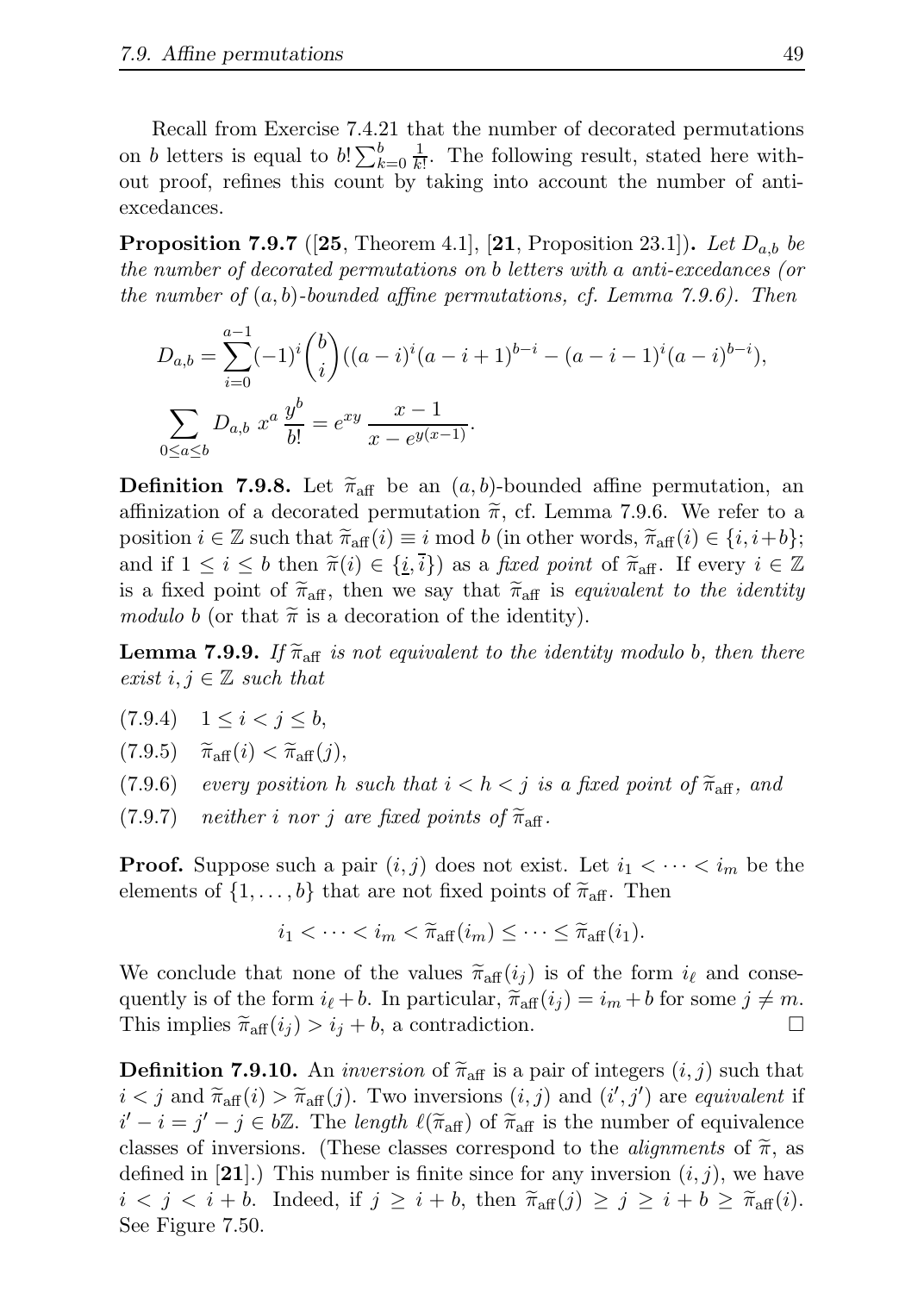Recall from Exercise 7.4.21 that the number of decorated permutations on b letters is equal to  $b! \sum_{k=0}^{b} \frac{1}{k!}$ . The following result, stated here without proof, refines this count by taking into account the number of antiexcedances.

**Proposition 7.9.7** ([25, Theorem 4.1], [21, Proposition 23.1]). Let  $D_{a,b}$  be the number of decorated permutations on b letters with a anti-excedances (or the number of  $(a, b)$ -bounded affine permutations, cf. Lemma 7.9.6). Then

$$
D_{a,b} = \sum_{i=0}^{a-1} (-1)^i \binom{b}{i} ((a-i)^i (a-i+1)^{b-i} - (a-i-1)^i (a-i)^{b-i}),
$$
  

$$
\sum_{0 \le a \le b} D_{a,b} x^a \frac{y^b}{b!} = e^{xy} \frac{x-1}{x - e^{y(x-1)}}.
$$

**Definition 7.9.8.** Let  $\tilde{\pi}_{\text{aff}}$  be an  $(a, b)$ -bounded affine permutation, an affinization of a decorated permutation  $\tilde{\pi}$ , cf. Lemma 7.9.6. We refer to a position  $i \in \mathbb{Z}$  such that  $\widetilde{\pi}_{\text{aff}}(i) \equiv i \mod b$  (in other words,  $\widetilde{\pi}_{\text{aff}}(i) \in \{i, i+b\};$ and if  $1 \leq i \leq b$  then  $\tilde{\pi}(i) \in \{\underline{i},\overline{i}\}\}$  as a fixed point of  $\tilde{\pi}_{\text{aff}}$ . If every  $i \in \mathbb{Z}$ is a fixed point of  $\tilde{\pi}_{\text{aff}}$ , then we say that  $\tilde{\pi}_{\text{aff}}$  is equivalent to the identity modulo b (or that  $\tilde{\pi}$  is a decoration of the identity).

**Lemma 7.9.9.** If  $\widetilde{\pi}_{\text{aff}}$  is not equivalent to the identity modulo b, then there exist  $i, j \in \mathbb{Z}$  such that

- $(7.9.4)$   $1 \leq i < j \leq b$ ,
- (7.9.5)  $\widetilde{\pi}_{\text{aff}}(i) < \widetilde{\pi}_{\text{aff}}(j)$ ,<br>(7.9.6) every position h
- every position h such that  $i < h < j$  is a fixed point of  $\widetilde{\pi}_{\text{aff}}$ , and
- $(7.9.7)$  neither i nor j are fixed points of  $\widetilde{\pi}_{\text{aff}}$ .

**Proof.** Suppose such a pair  $(i, j)$  does not exist. Let  $i_1 < \cdots < i_m$  be the elements of  $\{1, \ldots, b\}$  that are not fixed points of  $\widetilde{\pi}_{\text{aff}}$ . Then

$$
i_1 < \cdots < i_m < \widetilde{\pi}_{\text{aff}}(i_m) \leq \cdots \leq \widetilde{\pi}_{\text{aff}}(i_1).
$$

We conclude that none of the values  $\tilde{\pi}_{\text{aff}}(i_j)$  is of the form  $i_{\ell}$  and consequently is of the form  $i_{\ell} + b$ . In particular,  $\widetilde{\pi}_{\text{aff}}(i_j) = i_m + b$  for some  $j \neq m$ .<br>This implies  $\widetilde{\pi}_{\text{aff}}(i_j) > i_j + b$ , a contradiction. This implies  $\widetilde{\pi}_{\text{aff}}(i_j) > i_j + b$ , a contradiction.

**Definition 7.9.10.** An *inversion* of  $\tilde{\pi}_{\text{aff}}$  is a pair of integers  $(i, j)$  such that  $i < j$  and  $\widetilde{\pi}_{\text{aff}}(i) > \widetilde{\pi}_{\text{aff}}(j)$ . Two inversions  $(i, j)$  and  $(i', j')$  are equivalent if  $i' - i = j' - j \in b\mathbb{Z}$ . The length  $\ell(\widetilde{\pi}_{\text{aff}})$  of  $\widetilde{\pi}_{\text{aff}}$  is the number of equivalence classes of inversions. (These classes correspond to the *alignments* of  $\tilde{\pi}$ , as defined in  $[21]$ .) This number is finite since for any inversion  $(i, j)$ , we have  $i < j < i+b$ . Indeed, if  $j \geq i+b$ , then  $\widetilde{\pi}_{\text{aff}}(j) \geq j \geq i+b \geq \widetilde{\pi}_{\text{aff}}(i)$ . See Figure 7.50.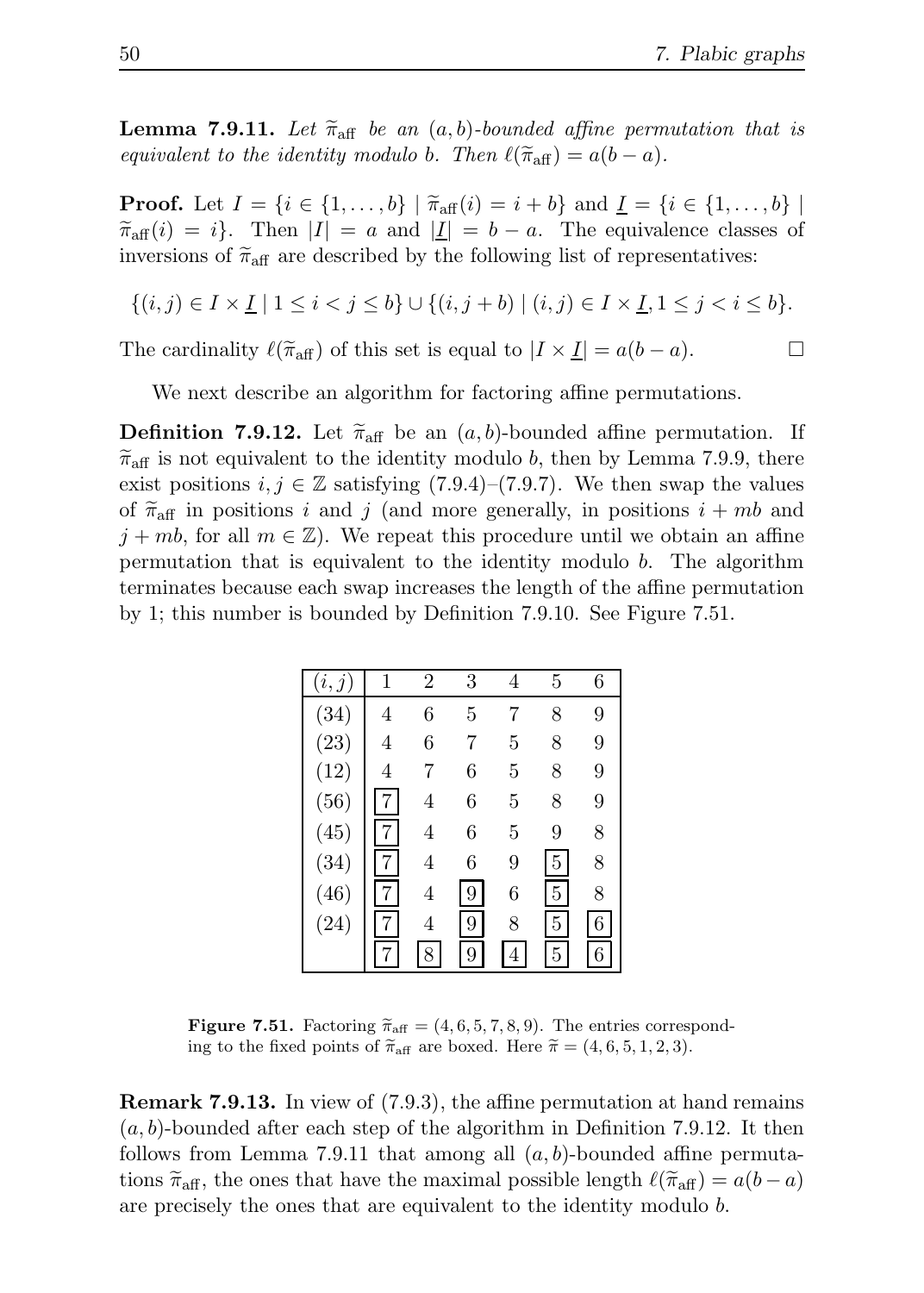**Lemma 7.9.11.** Let  $\tilde{\pi}_{\text{aff}}$  be an  $(a, b)$ -bounded affine permutation that is equivalent to the identity modulo b. Then  $\ell(\tilde{\pi}_{aff}) = a(b-a)$ .

**Proof.** Let  $I = \{i \in \{1, ..., b\} | \tilde{\pi}_{aff}(i) = i + b\}$  and  $\underline{I} = \{i \in \{1, ..., b\} |$  $\widetilde{\pi}_{\text{aff}}(i) = i$ . Then  $|I| = a$  and  $|I| = b - a$ . The equivalence classes of inversions of  $\tilde{\pi}_{\text{aff}}$  are described by the following list of representatives:

$$
\{(i,j) \in I \times \underline{I} \mid 1 \leq i < j \leq b\} \cup \{(i,j+b) \mid (i,j) \in I \times \underline{I}, 1 \leq j < i \leq b\}.
$$

The cardinality  $\ell(\tilde{\pi}_{\text{aff}})$  of this set is equal to  $|I \times \underline{I}| = a(b-a)$ .

We next describe an algorithm for factoring affine permutations.

**Definition 7.9.12.** Let  $\bar{\pi}_{\text{aff}}$  be an  $(a, b)$ -bounded affine permutation. If  $\widetilde{\pi}_{\text{aff}}$  is not equivalent to the identity modulo b, then by Lemma 7.9.9, there exist positions  $i, j \in \mathbb{Z}$  satisfying (7.9.4)–(7.9.7). We then swap the values of  $\pi_{\text{aff}}$  in positions i and j (and more generally, in positions  $i + mb$  and  $j + mb$ , for all  $m \in \mathbb{Z}$ ). We repeat this procedure until we obtain an affine permutation that is equivalent to the identity modulo b. The algorithm terminates because each swap increases the length of the affine permutation by 1; this number is bounded by Definition 7.9.10. See Figure 7.51.

| $\,i,$ | 1 | $\overline{2}$ | 3 | 4 | 5              | 6 |
|--------|---|----------------|---|---|----------------|---|
| (34)   | 4 | 6              | 5 | 7 | 8              | 9 |
| (23)   | 4 | 6              | 7 | 5 | 8              | 9 |
| (12)   | 4 | 7              | 6 | 5 | 8              | 9 |
| (56)   |   | 4              | 6 | 5 | 8              | 9 |
| (45)   |   | 4              | 6 | 5 | 9              | 8 |
| (34)   |   | 4              | 6 | 9 | $\overline{5}$ | 8 |
| (46)   |   | 4              | 9 | 6 | $\overline{5}$ | 8 |
| (24)   |   | 4              | 9 | 8 | $\overline{5}$ | 6 |
|        |   |                | 9 |   | 5              | 6 |

**Figure 7.51.** Factoring  $\widetilde{\pi}_{\text{aff}} = (4, 6, 5, 7, 8, 9)$ . The entries corresponding to the fixed points of  $\tilde{\pi}_{\text{aff}}$  are boxed. Here  $\tilde{\pi} = (4, 6, 5, 1, 2, 3)$ .

Remark 7.9.13. In view of (7.9.3), the affine permutation at hand remains  $(a, b)$ -bounded after each step of the algorithm in Definition 7.9.12. It then follows from Lemma 7.9.11 that among all  $(a, b)$ -bounded affine permutations  $\tilde{\pi}_{\text{aff}}$ , the ones that have the maximal possible length  $\ell(\tilde{\pi}_{\text{aff}}) = a(b-a)$ are precisely the ones that are equivalent to the identity modulo b.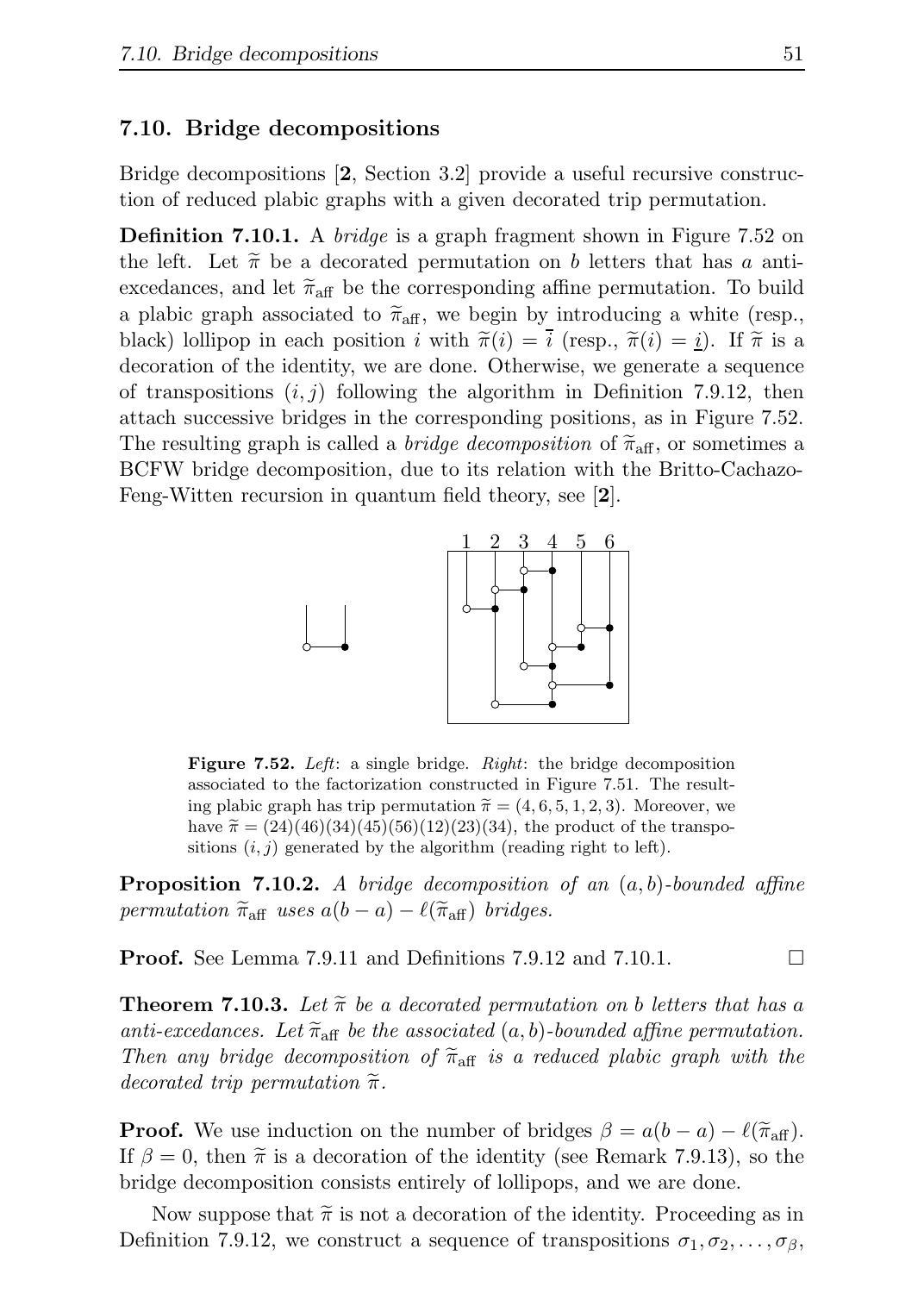#### 7.10. Bridge decompositions

Bridge decompositions [2, Section 3.2] provide a useful recursive construction of reduced plabic graphs with a given decorated trip permutation.

**Definition 7.10.1.** A *bridge* is a graph fragment shown in Figure 7.52 on the left. Let  $\tilde{\pi}$  be a decorated permutation on b letters that has a antiexcedances, and let  $\tilde{\pi}_{\text{aff}}$  be the corresponding affine permutation. To build a plabic graph associated to  $\tilde{\pi}_{\text{aff}}$ , we begin by introducing a white (resp., black) lollipop in each position i with  $\tilde{\pi}(i) = i$  (resp.,  $\tilde{\pi}(i) = i$ ). If  $\tilde{\pi}$  is a decoration of the identity, we are done. Otherwise, we generate a sequence of transpositions  $(i, j)$  following the algorithm in Definition 7.9.12, then attach successive bridges in the corresponding positions, as in Figure 7.52. The resulting graph is called a *bridge decomposition* of  $\tilde{\pi}_{\text{aff}}$ , or sometimes a BCFW bridge decomposition, due to its relation with the Britto-Cachazo-Feng-Witten recursion in quantum field theory, see [2].



Figure 7.52. Left: a single bridge. Right: the bridge decomposition associated to the factorization constructed in Figure 7.51. The resulting plabic graph has trip permutation  $\tilde{\pi} = (4, 6, 5, 1, 2, 3)$ . Moreover, we have  $\tilde{\pi} = (24)(46)(34)(45)(56)(12)(23)(34)$ , the product of the transpositions  $(i, j)$  generated by the algorithm (reading right to left).

**Proposition 7.10.2.** A bridge decomposition of an  $(a, b)$ -bounded affine permutation  $\widetilde{\pi}_{\text{aff}}$  uses  $a(b-a)-\ell(\widetilde{\pi}_{\text{aff}})$  bridges.

**Proof.** See Lemma 7.9.11 and Definitions 7.9.12 and 7.10.1.  $\Box$ 

**Theorem 7.10.3.** Let  $\tilde{\pi}$  be a decorated permutation on b letters that has a anti-excedances. Let  $\tilde{\pi}_{\text{aff}}$  be the associated  $(a, b)$ -bounded affine permutation. Then any bridge decomposition of  $\tilde{\pi}_{\text{aff}}$  is a reduced plabic graph with the decorated trip permutation  $\widetilde{\pi}$ .

**Proof.** We use induction on the number of bridges  $\beta = a(b - a) - l(\tilde{\pi}_{\text{aff}})$ . If  $\beta = 0$ , then  $\tilde{\pi}$  is a decoration of the identity (see Remark 7.9.13), so the bridge decomposition consists entirely of lollipops, and we are done.

Now suppose that  $\tilde{\pi}$  is not a decoration of the identity. Proceeding as in Definition 7.9.12, we construct a sequence of transpositions  $\sigma_1, \sigma_2, \ldots, \sigma_\beta$ ,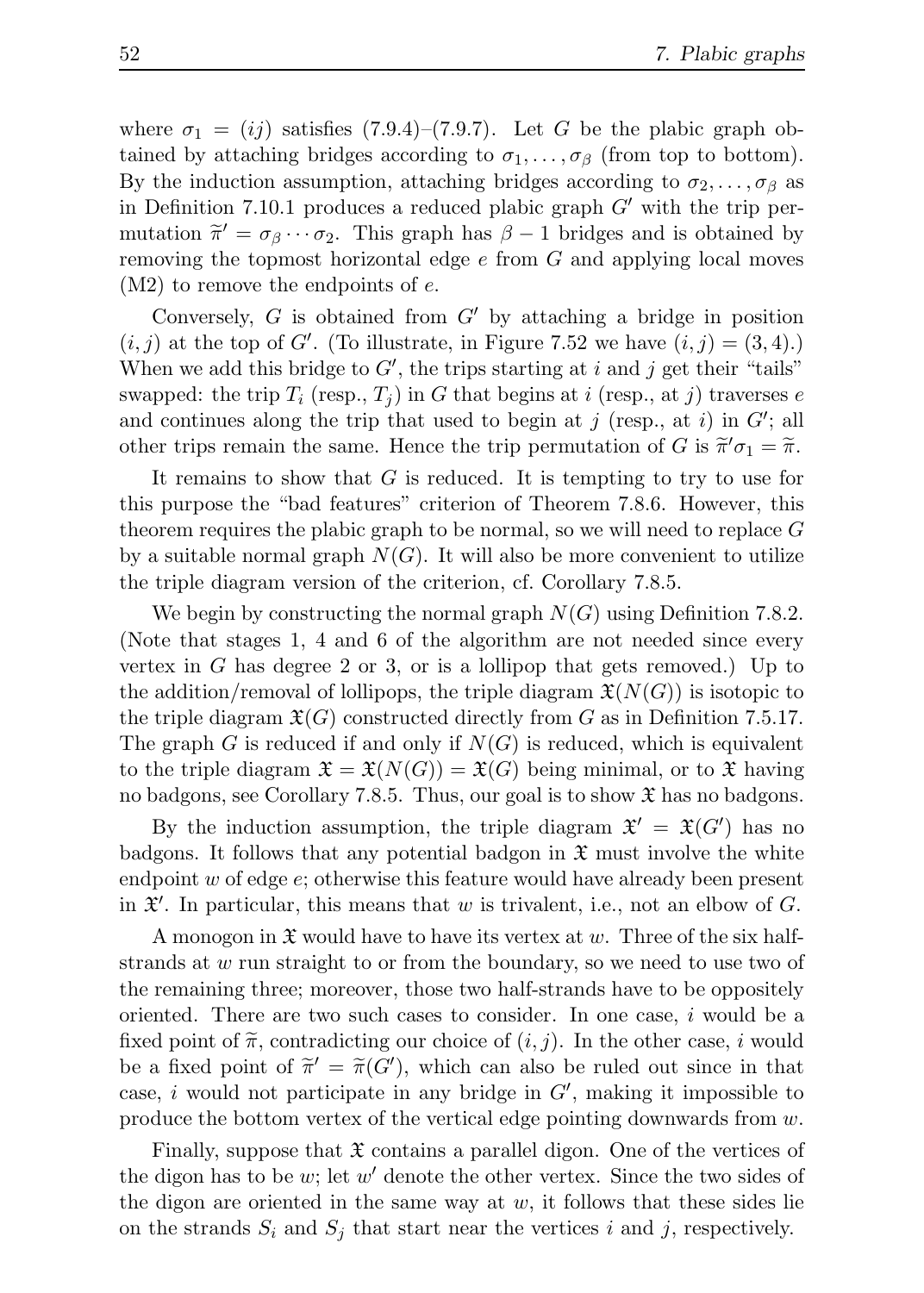where  $\sigma_1 = (ij)$  satisfies  $(7.9.4)$ – $(7.9.7)$ . Let G be the plabic graph obtained by attaching bridges according to  $\sigma_1, \ldots, \sigma_\beta$  (from top to bottom). By the induction assumption, attaching bridges according to  $\sigma_2, \ldots, \sigma_\beta$  as in Definition 7.10.1 produces a reduced plabic graph  $G'$  with the trip permutation  $\tilde{\pi}' = \sigma_{\beta} \cdots \sigma_2$ . This graph has  $\beta - 1$  bridges and is obtained by removing the topmost horizontal edge  $e$  from  $G$  and applying local moves  $(M2)$  to remove the endpoints of e.

Conversely,  $G$  is obtained from  $G'$  by attaching a bridge in position  $(i, j)$  at the top of G'. (To illustrate, in Figure 7.52 we have  $(i, j) = (3, 4)$ .) When we add this bridge to  $G'$ , the trips starting at i and j get their "tails" swapped: the trip  $T_i$  (resp.,  $T_j$ ) in G that begins at i (resp., at j) traverses e and continues along the trip that used to begin at j (resp., at i) in  $G'$ ; all other trips remain the same. Hence the trip permutation of G is  $\tilde{\pi}'\sigma_1 = \tilde{\pi}$ .

It remains to show that  $G$  is reduced. It is tempting to try to use for this purpose the "bad features" criterion of Theorem 7.8.6. However, this theorem requires the plabic graph to be normal, so we will need to replace G by a suitable normal graph  $N(G)$ . It will also be more convenient to utilize the triple diagram version of the criterion, cf. Corollary 7.8.5.

We begin by constructing the normal graph  $N(G)$  using Definition 7.8.2. (Note that stages 1, 4 and 6 of the algorithm are not needed since every vertex in G has degree 2 or 3, or is a lollipop that gets removed.) Up to the addition/removal of lollipops, the triple diagram  $\mathfrak{X}(N(G))$  is isotopic to the triple diagram  $\mathfrak{X}(G)$  constructed directly from G as in Definition 7.5.17. The graph G is reduced if and only if  $N(G)$  is reduced, which is equivalent to the triple diagram  $\mathfrak{X} = \mathfrak{X}(N(G)) = \mathfrak{X}(G)$  being minimal, or to X having no badgons, see Corollary 7.8.5. Thus, our goal is to show  $\mathfrak{X}$  has no badgons.

By the induction assumption, the triple diagram  $\mathfrak{X}' = \mathfrak{X}(G')$  has no badgons. It follows that any potential badgon in  $\mathfrak X$  must involve the white endpoint  $w$  of edge  $e$ ; otherwise this feature would have already been present in  $\mathfrak{X}'$ . In particular, this means that w is trivalent, i.e., not an elbow of G.

A monogon in  $\mathfrak X$  would have to have its vertex at w. Three of the six halfstrands at w run straight to or from the boundary, so we need to use two of the remaining three; moreover, those two half-strands have to be oppositely oriented. There are two such cases to consider. In one case, i would be a fixed point of  $\tilde{\pi}$ , contradicting our choice of  $(i, j)$ . In the other case, i would be a fixed point of  $\widetilde{\pi}' = \widetilde{\pi}(G')$ , which can also be ruled out since in that case, i would not participate in any bridge in  $G'$ , making it impossible to produce the bottom vertex of the vertical edge pointing downwards from w.

Finally, suppose that  $\mathfrak X$  contains a parallel digon. One of the vertices of the digon has to be  $w$ ; let  $w'$  denote the other vertex. Since the two sides of the digon are oriented in the same way at  $w$ , it follows that these sides lie on the strands  $S_i$  and  $S_j$  that start near the vertices i and j, respectively.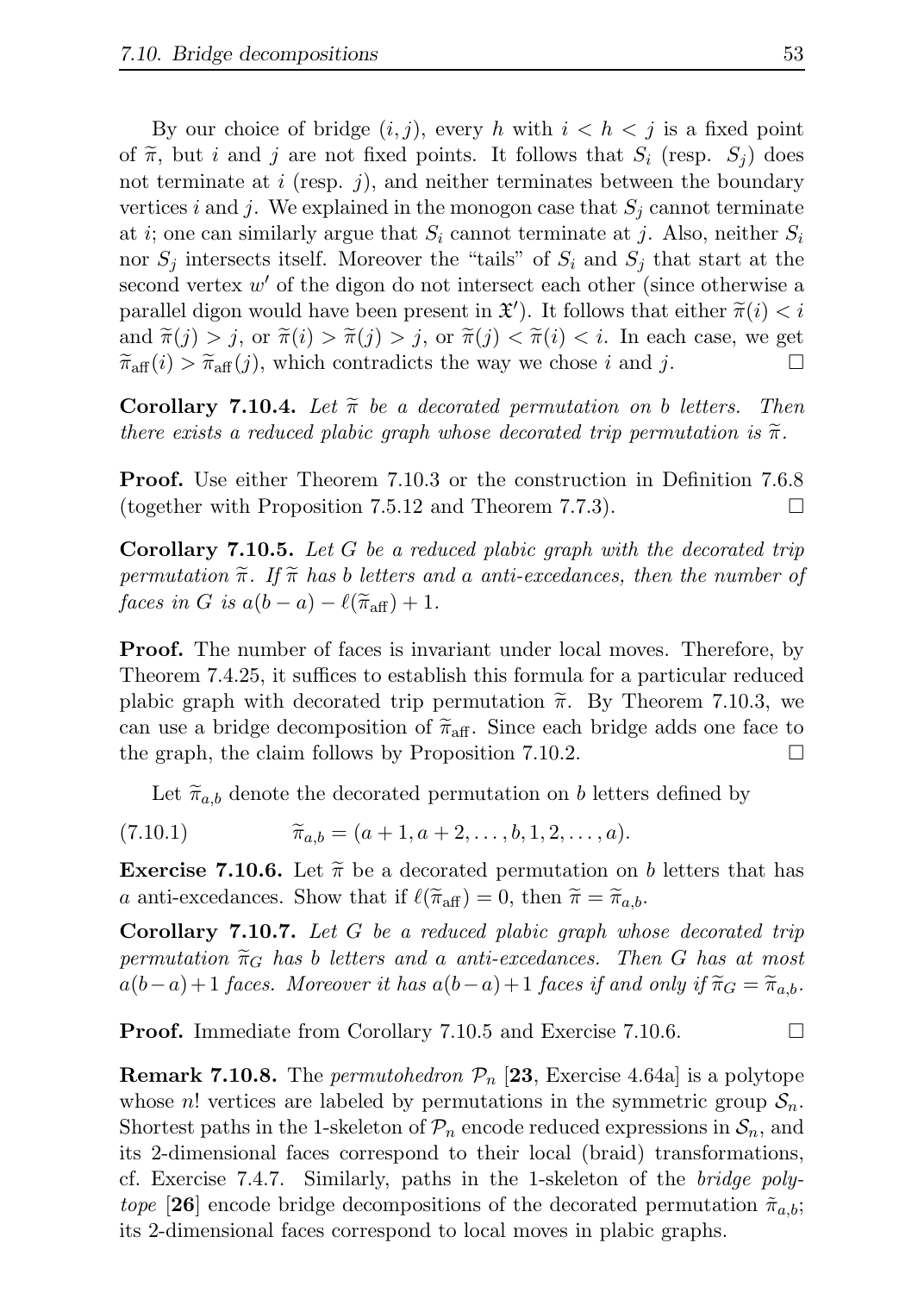By our choice of bridge  $(i, j)$ , every h with  $i < h < j$  is a fixed point of  $\tilde{\pi}$ , but i and j are not fixed points. It follows that  $S_i$  (resp.  $S_j$ ) does not terminate at  $i$  (resp.  $j$ ), and neither terminates between the boundary vertices i and j. We explained in the monogon case that  $S_j$  cannot terminate at i; one can similarly argue that  $S_i$  cannot terminate at j. Also, neither  $S_i$ nor  $S_i$  intersects itself. Moreover the "tails" of  $S_i$  and  $S_j$  that start at the second vertex  $w'$  of the digon do not intersect each other (since otherwise a parallel digon would have been present in  $\mathfrak{X}'$ ). It follows that either  $\widetilde{\pi}(i) < i$ and  $\widetilde{\pi}(j) > j$ , or  $\widetilde{\pi}(i) > \widetilde{\pi}(j) > j$ , or  $\widetilde{\pi}(j) < \widetilde{\pi}(i) < i$ . In each case, we get  $\widetilde{\pi}_{\mathcal{A}}(i) > \widetilde{\pi}_{\mathcal{A}}(i)$  which contradicts the way we chose i and i  $\widetilde{\pi}_{\text{aff}}(i) > \widetilde{\pi}_{\text{aff}}(j)$ , which contradicts the way we chose i and j.

**Corollary 7.10.4.** Let  $\tilde{\pi}$  be a decorated permutation on b letters. Then there exists a reduced plabic graph whose decorated trip permutation is  $\tilde{\pi}$ .

Proof. Use either Theorem 7.10.3 or the construction in Definition 7.6.8 (together with Proposition 7.5.12 and Theorem 7.7.3).

**Corollary 7.10.5.** Let G be a reduced plabic graph with the decorated trip permutation  $\tilde{\pi}$ . If  $\tilde{\pi}$  has b letters and a anti-excedances, then the number of faces in G is  $a(b-a) - \ell(\tilde{\pi}_{\text{aff}}) + 1$ .

Proof. The number of faces is invariant under local moves. Therefore, by Theorem 7.4.25, it suffices to establish this formula for a particular reduced plabic graph with decorated trip permutation  $\tilde{\pi}$ . By Theorem 7.10.3, we can use a bridge decomposition of  $\widetilde{\pi}_{\text{aff}}$ . Since each bridge adds one face to the graph, the claim follows by Proposition 7.10.2. the graph, the claim follows by Proposition 7.10.2.

Let  $\tilde{\pi}_{a,b}$  denote the decorated permutation on b letters defined by

 $(7.10.1)$   $\widetilde{\pi}_{a,b} = (a+1, a+2, \ldots, b, 1, 2, \ldots, a).$ 

**Exercise 7.10.6.** Let  $\tilde{\pi}$  be a decorated permutation on b letters that has a anti-excedances. Show that if  $\ell(\tilde{\pi}_{\text{aff}}) = 0$ , then  $\tilde{\pi} = \tilde{\pi}_{a,b}$ .

Corollary 7.10.7. Let G be a reduced plabic graph whose decorated trip permutation  $\widetilde{\pi}_G$  has b letters and a anti-excedances. Then G has at most  $a(b-a)+1$  faces. Moreover it has  $a(b-a)+1$  faces if and only if  $\widetilde{\pi}_G = \widetilde{\pi}_{a,b}$ .

**Proof.** Immediate from Corollary 7.10.5 and Exercise 7.10.6. □

**Remark 7.10.8.** The *permutohedron*  $\mathcal{P}_n$  [23, Exercise 4.64a] is a polytope whose n! vertices are labeled by permutations in the symmetric group  $S_n$ . Shortest paths in the 1-skeleton of  $\mathcal{P}_n$  encode reduced expressions in  $\mathcal{S}_n$ , and its 2-dimensional faces correspond to their local (braid) transformations, cf. Exercise 7.4.7. Similarly, paths in the 1-skeleton of the bridge polytope [26] encode bridge decompositions of the decorated permutation  $\tilde{\pi}_{a,b}$ ; its 2-dimensional faces correspond to local moves in plabic graphs.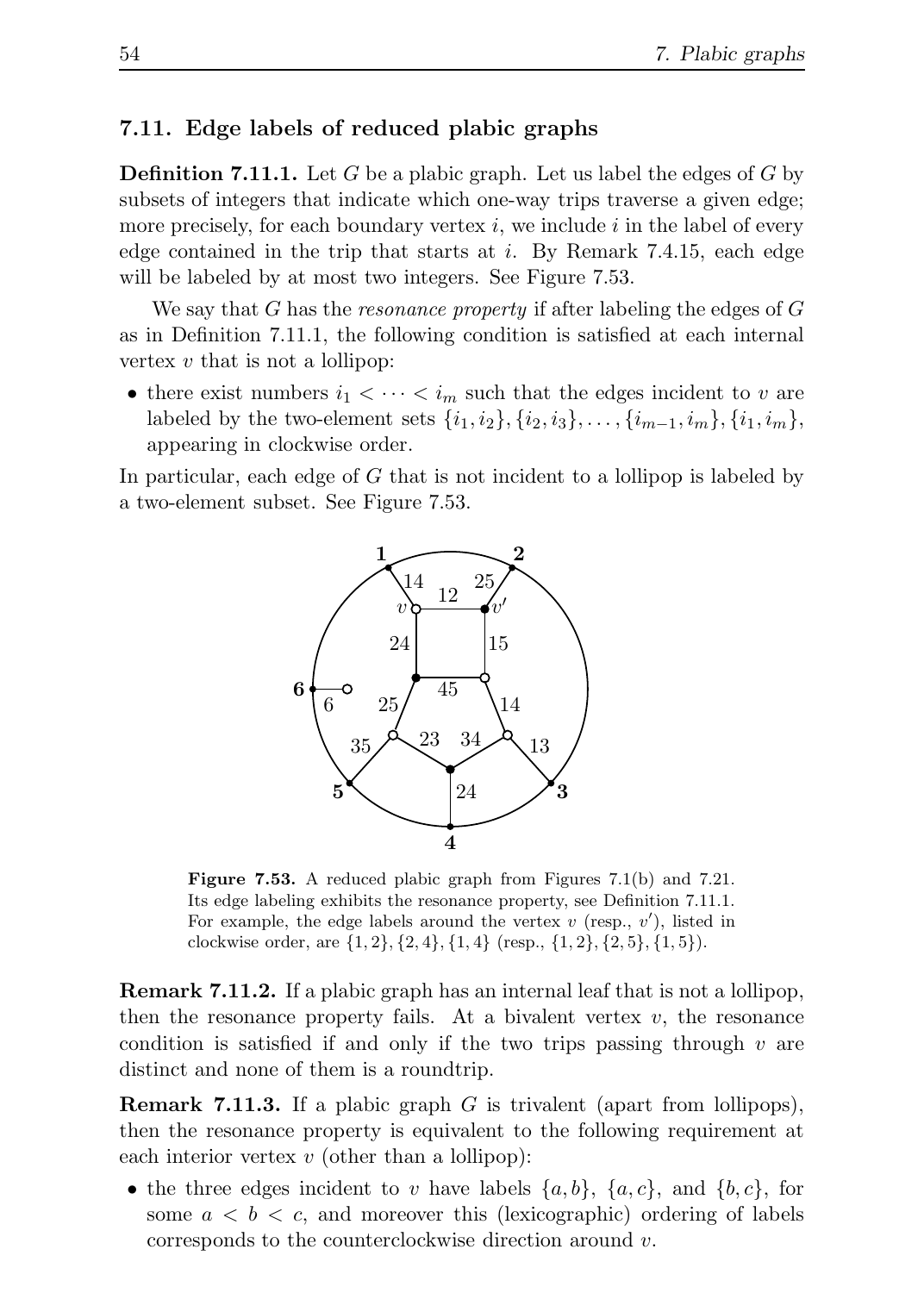### 7.11. Edge labels of reduced plabic graphs

**Definition 7.11.1.** Let G be a plabic graph. Let us label the edges of G by subsets of integers that indicate which one-way trips traverse a given edge; more precisely, for each boundary vertex  $i$ , we include  $i$  in the label of every edge contained in the trip that starts at i. By Remark 7.4.15, each edge will be labeled by at most two integers. See Figure 7.53.

We say that G has the *resonance property* if after labeling the edges of G as in Definition 7.11.1, the following condition is satisfied at each internal vertex  $v$  that is not a lollipop:

• there exist numbers  $i_1 < \cdots < i_m$  such that the edges incident to v are labeled by the two-element sets  $\{i_1, i_2\}, \{i_2, i_3\}, \ldots, \{i_{m-1}, i_m\}, \{i_1, i_m\}$ , appearing in clockwise order.

In particular, each edge of G that is not incident to a lollipop is labeled by a two-element subset. See Figure 7.53.



Figure 7.53. A reduced plabic graph from Figures 7.1(b) and 7.21. Its edge labeling exhibits the resonance property, see Definition 7.11.1. For example, the edge labels around the vertex  $v$  (resp.,  $v'$ ), listed in clockwise order, are  $\{1, 2\}, \{2, 4\}, \{1, 4\}$  (resp.,  $\{1, 2\}, \{2, 5\}, \{1, 5\}$ ).

Remark 7.11.2. If a plabic graph has an internal leaf that is not a lollipop, then the resonance property fails. At a bivalent vertex  $v$ , the resonance condition is satisfied if and only if the two trips passing through  $v$  are distinct and none of them is a roundtrip.

**Remark 7.11.3.** If a plabic graph  $G$  is trivalent (apart from lollipops), then the resonance property is equivalent to the following requirement at each interior vertex  $v$  (other than a lollipop):

• the three edges incident to v have labels  $\{a, b\}$ ,  $\{a, c\}$ , and  $\{b, c\}$ , for some  $a < b < c$ , and moreover this (lexicographic) ordering of labels corresponds to the counterclockwise direction around v.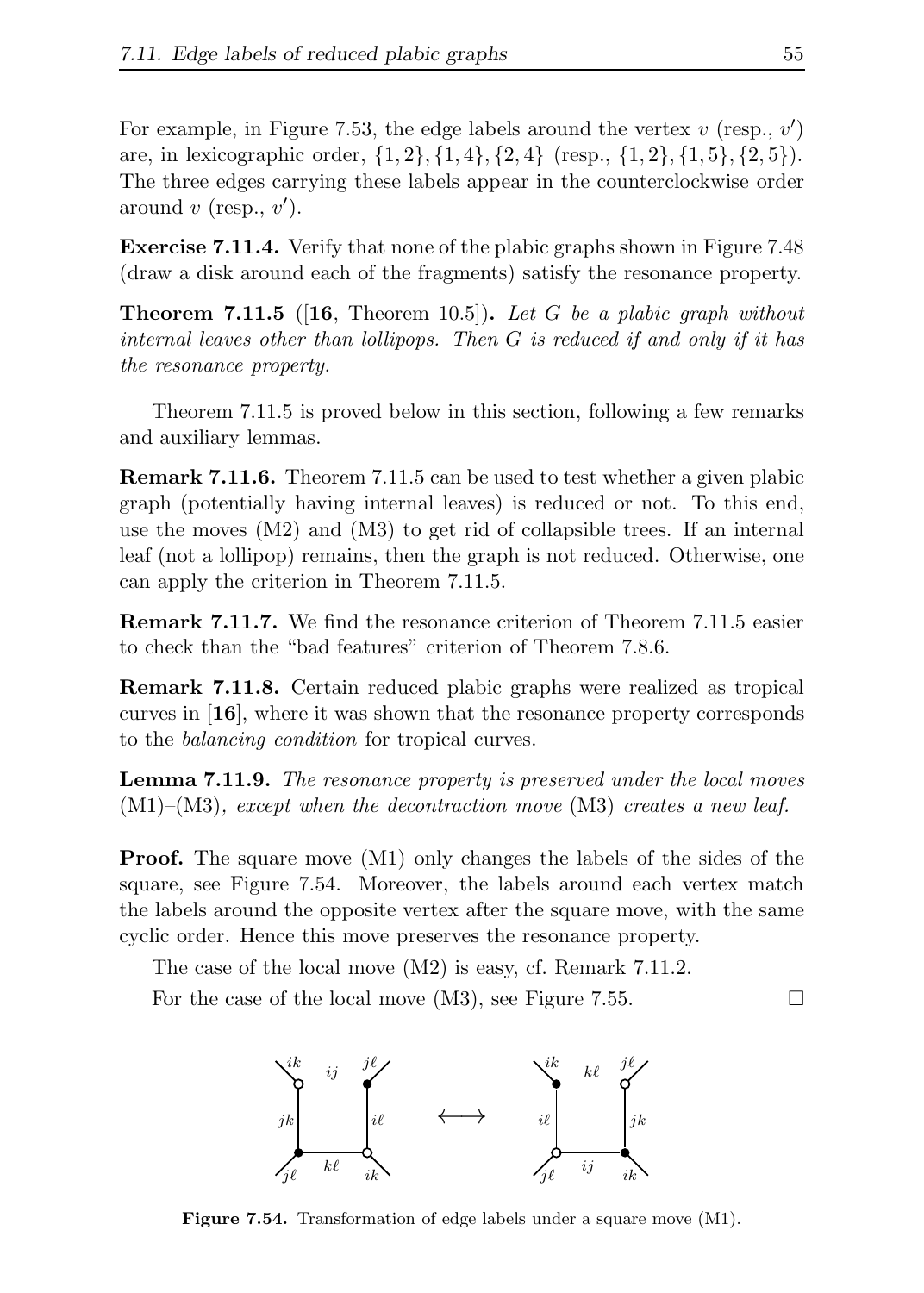For example, in Figure 7.53, the edge labels around the vertex  $v$  (resp.,  $v'$ ) are, in lexicographic order,  $\{1, 2\}, \{1, 4\}, \{2, 4\}$  (resp.,  $\{1, 2\}, \{1, 5\}, \{2, 5\}$ ). The three edges carrying these labels appear in the counterclockwise order around  $v$  (resp.,  $v'$ ).

Exercise 7.11.4. Verify that none of the plabic graphs shown in Figure 7.48 (draw a disk around each of the fragments) satisfy the resonance property.

**Theorem 7.11.5** (16, Theorem 10.5). Let G be a plabic graph without internal leaves other than lollipops. Then G is reduced if and only if it has the resonance property.

Theorem 7.11.5 is proved below in this section, following a few remarks and auxiliary lemmas.

Remark 7.11.6. Theorem 7.11.5 can be used to test whether a given plabic graph (potentially having internal leaves) is reduced or not. To this end, use the moves (M2) and (M3) to get rid of collapsible trees. If an internal leaf (not a lollipop) remains, then the graph is not reduced. Otherwise, one can apply the criterion in Theorem 7.11.5.

Remark 7.11.7. We find the resonance criterion of Theorem 7.11.5 easier to check than the "bad features" criterion of Theorem 7.8.6.

Remark 7.11.8. Certain reduced plabic graphs were realized as tropical curves in [16], where it was shown that the resonance property corresponds to the balancing condition for tropical curves.

Lemma 7.11.9. The resonance property is preserved under the local moves  $(M1)$ – $(M3)$ , except when the decontraction move  $(M3)$  creates a new leaf.

**Proof.** The square move  $(M1)$  only changes the labels of the sides of the square, see Figure 7.54. Moreover, the labels around each vertex match the labels around the opposite vertex after the square move, with the same cyclic order. Hence this move preserves the resonance property.

The case of the local move (M2) is easy, cf. Remark 7.11.2.

For the case of the local move (M3), see Figure 7.55.  $\Box$ 



Figure 7.54. Transformation of edge labels under a square move (M1).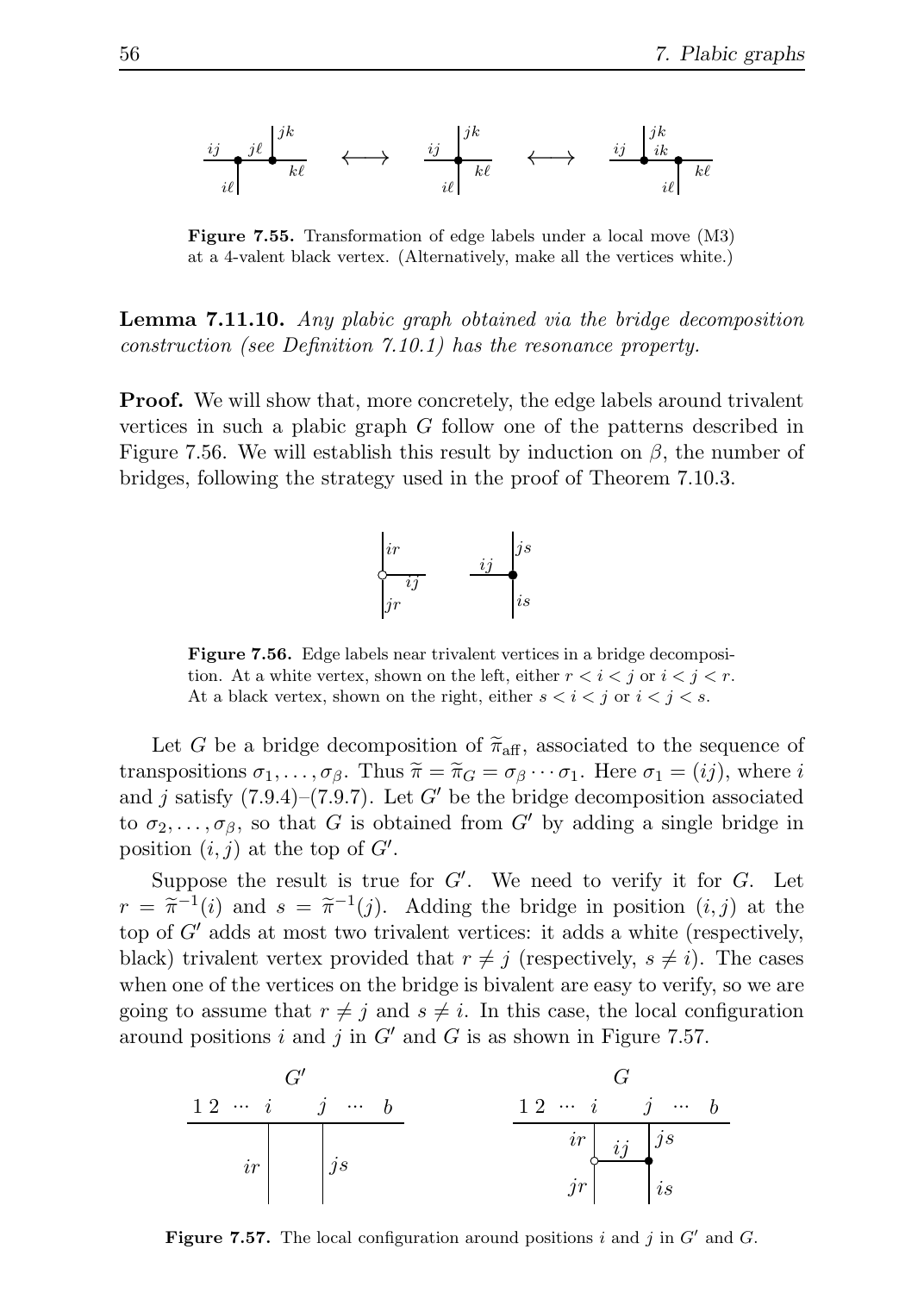$$
\frac{i j}{i \ell} \frac{j \ell}{k \ell} \xrightarrow{k \ell} \xrightarrow{k \ell} \frac{i j}{i \ell} \xrightarrow{k \ell} \xleftarrow{j k} \frac{j k}{k \ell} \xrightarrow{k \ell} \frac{j k}{i \ell} \frac{k \ell}{k \ell}
$$

Figure 7.55. Transformation of edge labels under a local move (M3) at a 4-valent black vertex. (Alternatively, make all the vertices white.)

Lemma 7.11.10. Any plabic graph obtained via the bridge decomposition construction (see Definition 7.10.1) has the resonance property.

**Proof.** We will show that, more concretely, the edge labels around trivalent vertices in such a plabic graph G follow one of the patterns described in Figure 7.56. We will establish this result by induction on  $\beta$ , the number of bridges, following the strategy used in the proof of Theorem 7.10.3.



Figure 7.56. Edge labels near trivalent vertices in a bridge decomposition. At a white vertex, shown on the left, either  $r < i < j$  or  $i < j < r$ . At a black vertex, shown on the right, either  $s < i < j$  or  $i < j < s$ .

Let G be a bridge decomposition of  $\tilde{\pi}_{\text{aff}}$ , associated to the sequence of transpositions  $\sigma_1, \ldots, \sigma_\beta$ . Thus  $\widetilde{\pi} = \widetilde{\pi}_G = \sigma_\beta \cdots \sigma_1$ . Here  $\sigma_1 = (ij)$ , where i and j satisfy  $(7.9.4)$ – $(7.9.7)$ . Let G' be the bridge decomposition associated to  $\sigma_2, \ldots, \sigma_\beta$ , so that G is obtained from G' by adding a single bridge in position  $(i, j)$  at the top of  $G'$ .

Suppose the result is true for  $G'$ . We need to verify it for  $G$ . Let  $r = \tilde{\pi}^{-1}(i)$  and  $s = \tilde{\pi}^{-1}(j)$ . Adding the bridge in position  $(i, j)$  at the top of  $G'$  adds at most two trivalent vertices: it adds a white (respectively, black) trivalent vertex provided that  $r \neq j$  (respectively,  $s \neq i$ ). The cases when one of the vertices on the bridge is bivalent are easy to verify, so we are going to assume that  $r \neq j$  and  $s \neq i$ . In this case, the local configuration around positions i and j in  $G'$  and G is as shown in Figure 7.57.



Figure 7.57. The local configuration around positions  $i$  and  $j$  in  $G'$  and  $G$ .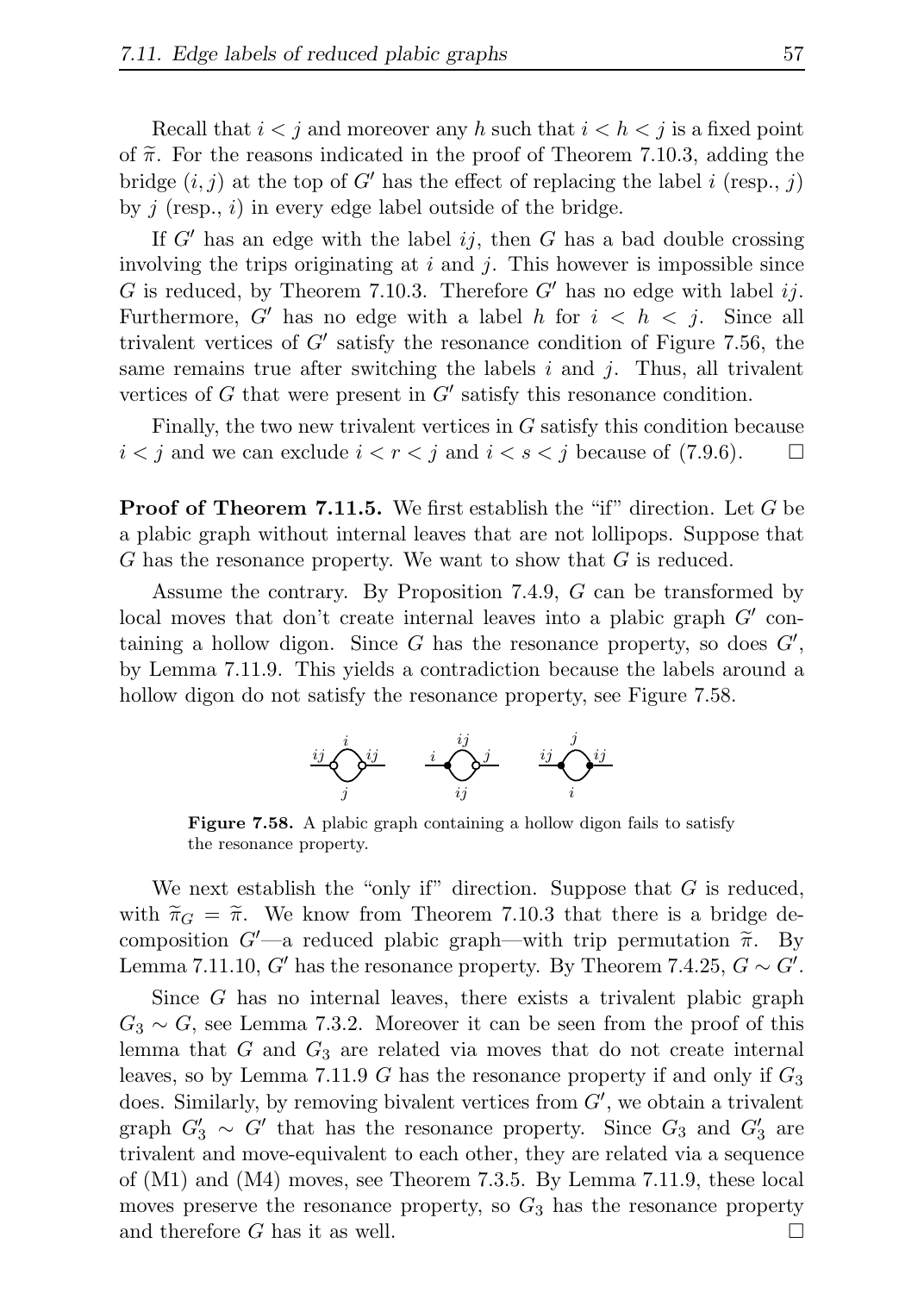Recall that  $i < j$  and moreover any h such that  $i < h < j$  is a fixed point of  $\tilde{\pi}$ . For the reasons indicated in the proof of Theorem 7.10.3, adding the bridge  $(i, j)$  at the top of G' has the effect of replacing the label i (resp., j) by  $j$  (resp.,  $i$ ) in every edge label outside of the bridge.

If  $G'$  has an edge with the label ij, then G has a bad double crossing involving the trips originating at  $i$  and  $j$ . This however is impossible since G is reduced, by Theorem 7.10.3. Therefore  $G'$  has no edge with label ij. Furthermore, G' has no edge with a label h for  $i < h < j$ . Since all trivalent vertices of  $G'$  satisfy the resonance condition of Figure 7.56, the same remains true after switching the labels  $i$  and  $j$ . Thus, all trivalent vertices of  $G$  that were present in  $G'$  satisfy this resonance condition.

Finally, the two new trivalent vertices in G satisfy this condition because  $i < j$  and we can exclude  $i < r < j$  and  $i < s < j$  because of (7.9.6).  $\Box$ 

**Proof of Theorem 7.11.5.** We first establish the "if" direction. Let G be a plabic graph without internal leaves that are not lollipops. Suppose that G has the resonance property. We want to show that G is reduced.

Assume the contrary. By Proposition 7.4.9, G can be transformed by local moves that don't create internal leaves into a plabic graph  $G'$  containing a hollow digon. Since  $G$  has the resonance property, so does  $G'$ , by Lemma 7.11.9. This yields a contradiction because the labels around a hollow digon do not satisfy the resonance property, see Figure 7.58.



Figure 7.58. A plabic graph containing a hollow digon fails to satisfy the resonance property.

We next establish the "only if" direction. Suppose that  $G$  is reduced, with  $\tilde{\pi}_G = \tilde{\pi}$ . We know from Theorem 7.10.3 that there is a bridge decomposition  $G'$ —a reduced plabic graph—with trip permutation  $\tilde{\pi}$ . By Lemma 7.11.10, G' has the resonance property. By Theorem 7.4.25,  $G \sim G'$ .

Since G has no internal leaves, there exists a trivalent plabic graph  $G_3 \sim G$ , see Lemma 7.3.2. Moreover it can be seen from the proof of this lemma that  $G$  and  $G_3$  are related via moves that do not create internal leaves, so by Lemma 7.11.9 G has the resonance property if and only if  $G_3$ does. Similarly, by removing bivalent vertices from  $G'$ , we obtain a trivalent graph  $G'_3 \sim G'$  that has the resonance property. Since  $G_3$  and  $G'_3$  are trivalent and move-equivalent to each other, they are related via a sequence of (M1) and (M4) moves, see Theorem 7.3.5. By Lemma 7.11.9, these local moves preserve the resonance property, so  $G_3$  has the resonance property and therefore G has it as well.  $\square$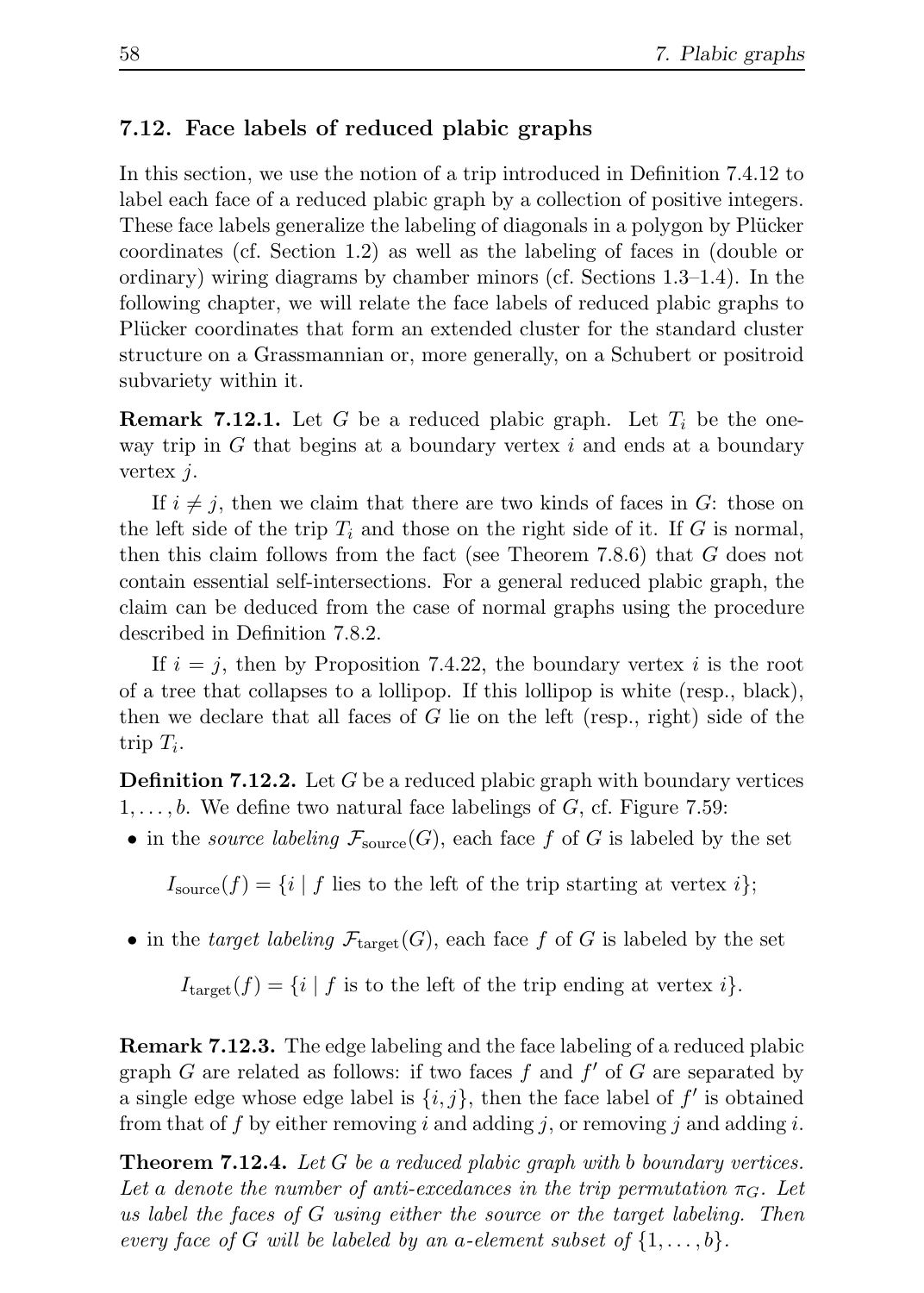## 7.12. Face labels of reduced plabic graphs

In this section, we use the notion of a trip introduced in Definition 7.4.12 to label each face of a reduced plabic graph by a collection of positive integers. These face labels generalize the labeling of diagonals in a polygon by Plücker coordinates (cf. Section 1.2) as well as the labeling of faces in (double or ordinary) wiring diagrams by chamber minors (cf. Sections 1.3–1.4). In the following chapter, we will relate the face labels of reduced plabic graphs to Plücker coordinates that form an extended cluster for the standard cluster structure on a Grassmannian or, more generally, on a Schubert or positroid subvariety within it.

**Remark 7.12.1.** Let G be a reduced plabic graph. Let  $T_i$  be the oneway trip in  $G$  that begins at a boundary vertex  $i$  and ends at a boundary vertex  $i$ .

If  $i \neq j$ , then we claim that there are two kinds of faces in G: those on the left side of the trip  $T_i$  and those on the right side of it. If G is normal, then this claim follows from the fact (see Theorem 7.8.6) that G does not contain essential self-intersections. For a general reduced plabic graph, the claim can be deduced from the case of normal graphs using the procedure described in Definition 7.8.2.

If  $i = j$ , then by Proposition 7.4.22, the boundary vertex i is the root of a tree that collapses to a lollipop. If this lollipop is white (resp., black), then we declare that all faces of G lie on the left (resp., right) side of the trip  $T_i$ .

**Definition 7.12.2.** Let G be a reduced plabic graph with boundary vertices  $1, \ldots, b$ . We define two natural face labelings of G, cf. Figure 7.59:

• in the *source labeling*  $\mathcal{F}_{\text{source}}(G)$ , each face f of G is labeled by the set

 $I_{\text{source}}(f) = \{i \mid f \text{ lies to the left of the trip starting at vertex } i\};$ 

• in the target labeling  $\mathcal{F}_{\text{target}}(G)$ , each face f of G is labeled by the set

 $I_{\text{target}}(f) = \{i \mid f \text{ is to the left of the trip ending at vertex } i\}.$ 

Remark 7.12.3. The edge labeling and the face labeling of a reduced plabic graph  $G$  are related as follows: if two faces  $f$  and  $f'$  of  $G$  are separated by a single edge whose edge label is  $\{i, j\}$ , then the face label of  $f'$  is obtained from that of f by either removing i and adding j, or removing j and adding i.

**Theorem 7.12.4.** Let G be a reduced plabic graph with b boundary vertices. Let a denote the number of anti-excedances in the trip permutation  $\pi_G$ . Let us label the faces of G using either the source or the target labeling. Then every face of G will be labeled by an a-element subset of  $\{1,\ldots,b\}$ .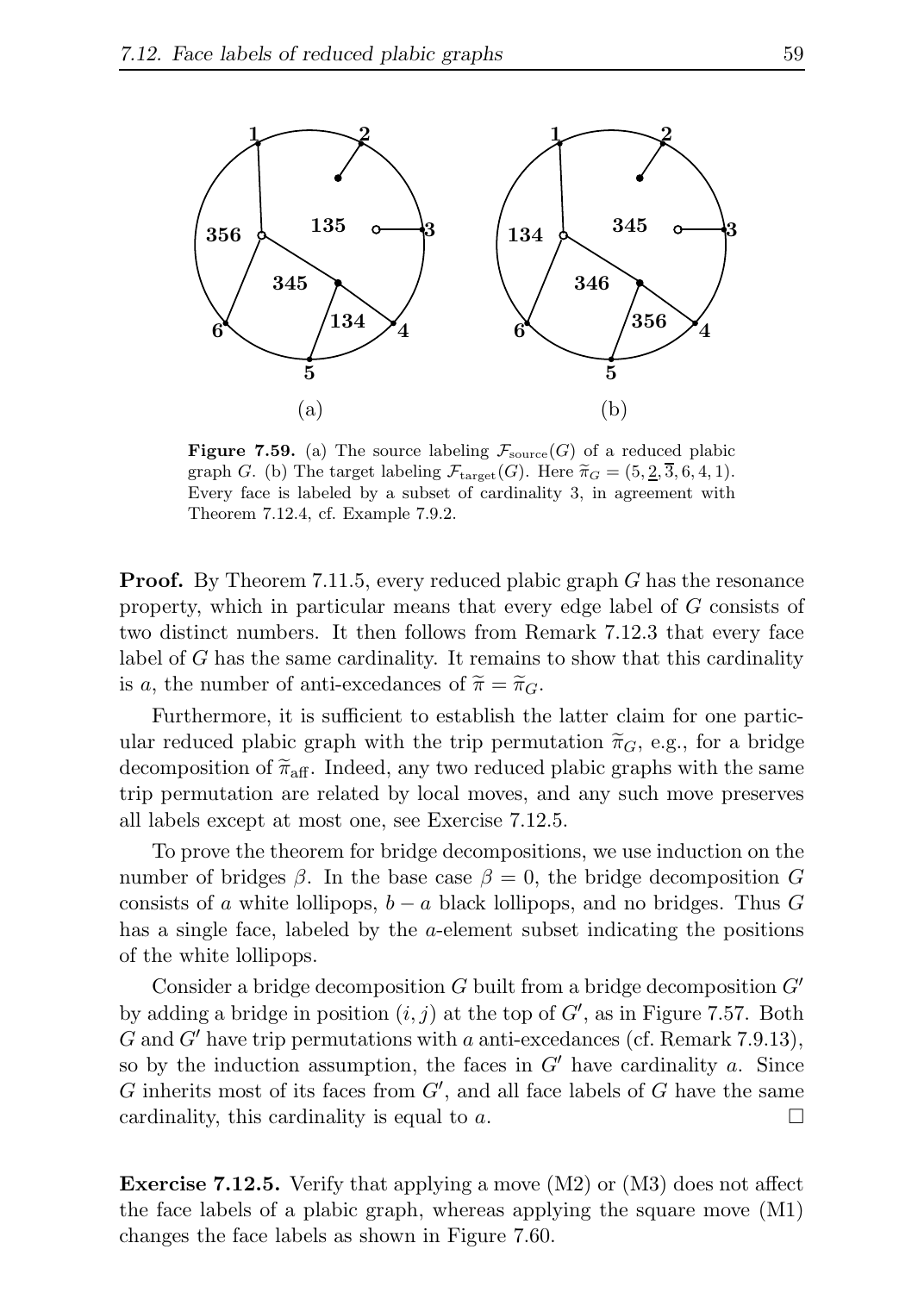

**Figure 7.59.** (a) The source labeling  $\mathcal{F}_{\text{source}}(G)$  of a reduced plabic graph G. (b) The target labeling  $\mathcal{F}_{\text{target}}(G)$ . Here  $\widetilde{\pi}_G = (5, \underline{2}, \overline{3}, 6, 4, 1)$ . Every face is labeled by a subset of cardinality 3, in agreement with Theorem 7.12.4, cf. Example 7.9.2.

**Proof.** By Theorem 7.11.5, every reduced plabic graph G has the resonance property, which in particular means that every edge label of G consists of two distinct numbers. It then follows from Remark 7.12.3 that every face label of G has the same cardinality. It remains to show that this cardinality is a, the number of anti-excedances of  $\widetilde{\pi} = \widetilde{\pi}_G$ .

Furthermore, it is sufficient to establish the latter claim for one particular reduced plabic graph with the trip permutation  $\tilde{\pi}_G$ , e.g., for a bridge decomposition of  $\tilde{\pi}_{\text{aff}}$ . Indeed, any two reduced plabic graphs with the same trip permutation are related by local moves, and any such move preserves all labels except at most one, see Exercise 7.12.5.

To prove the theorem for bridge decompositions, we use induction on the number of bridges  $\beta$ . In the base case  $\beta = 0$ , the bridge decomposition G consists of a white lollipops,  $b - a$  black lollipops, and no bridges. Thus G has a single face, labeled by the *a*-element subset indicating the positions of the white lollipops.

Consider a bridge decomposition  $G$  built from a bridge decomposition  $G'$ by adding a bridge in position  $(i, j)$  at the top of  $G'$ , as in Figure 7.57. Both G and G' have trip permutations with a anti-excedances (cf. Remark 7.9.13), so by the induction assumption, the faces in  $G'$  have cardinality a. Since  $G$  inherits most of its faces from  $G'$ , and all face labels of  $G$  have the same cardinality, this cardinality is equal to a.  $\Box$ 

**Exercise 7.12.5.** Verify that applying a move  $(M2)$  or  $(M3)$  does not affect the face labels of a plabic graph, whereas applying the square move (M1) changes the face labels as shown in Figure 7.60.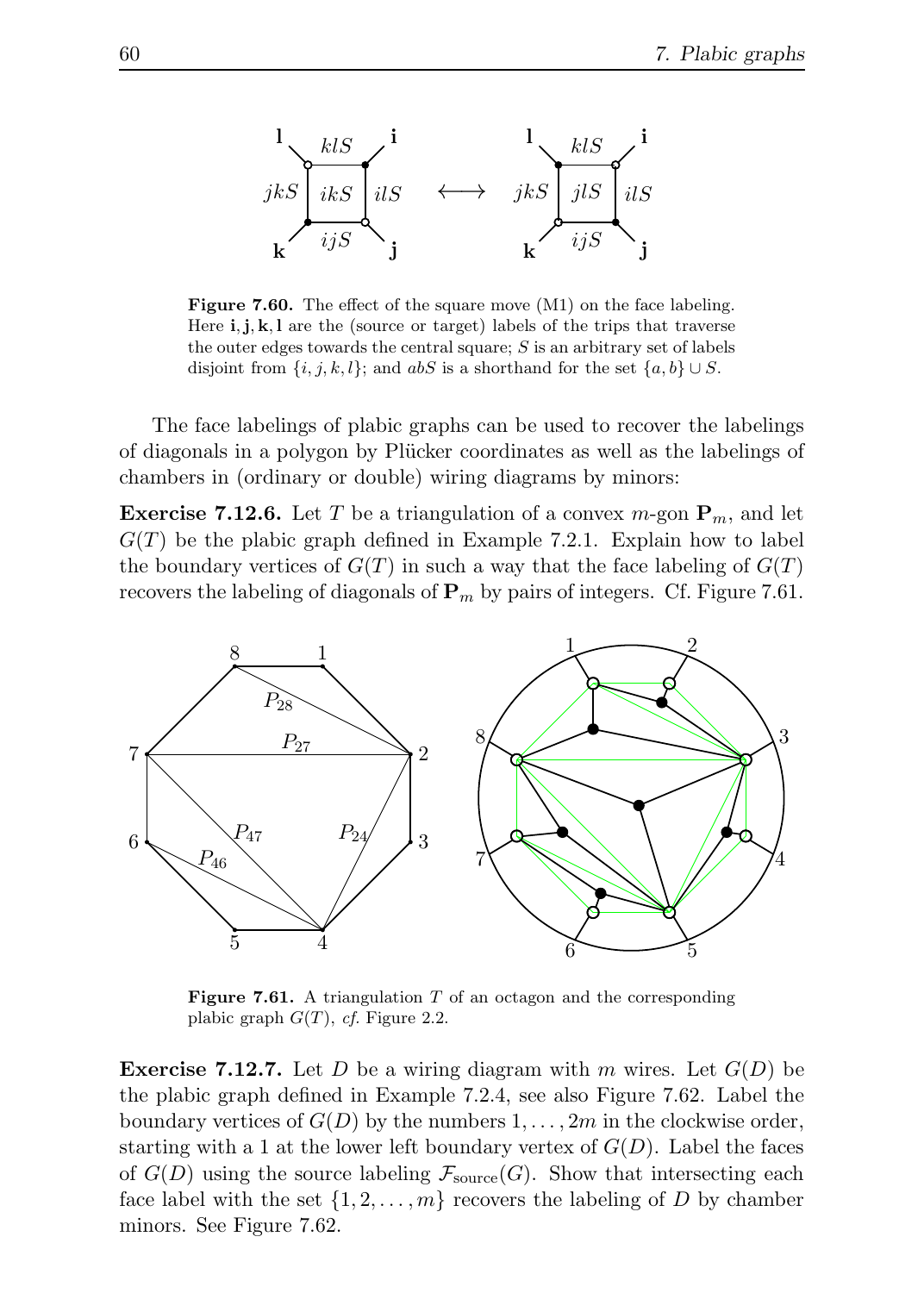

Figure 7.60. The effect of the square move (M1) on the face labeling. Here  $\mathbf{i}, \mathbf{j}, \mathbf{k}, \mathbf{l}$  are the (source or target) labels of the trips that traverse the outer edges towards the central square;  $S$  is an arbitrary set of labels disjoint from  $\{i, j, k, l\}$ ; and abS is a shorthand for the set  $\{a, b\} \cup S$ .

The face labelings of plabic graphs can be used to recover the labelings of diagonals in a polygon by Pl¨ucker coordinates as well as the labelings of chambers in (ordinary or double) wiring diagrams by minors:

**Exercise 7.12.6.** Let T be a triangulation of a convex  $m$ -gon  $\mathbf{P}_m$ , and let  $G(T)$  be the plabic graph defined in Example 7.2.1. Explain how to label the boundary vertices of  $G(T)$  in such a way that the face labeling of  $G(T)$ recovers the labeling of diagonals of  $P_m$  by pairs of integers. Cf. Figure 7.61.



**Figure 7.61.** A triangulation  $T$  of an octagon and the corresponding plabic graph  $G(T)$ , cf. Figure 2.2.

**Exercise 7.12.7.** Let D be a wiring diagram with m wires. Let  $G(D)$  be the plabic graph defined in Example 7.2.4, see also Figure 7.62. Label the boundary vertices of  $G(D)$  by the numbers  $1, \ldots, 2m$  in the clockwise order, starting with a 1 at the lower left boundary vertex of  $G(D)$ . Label the faces of  $G(D)$  using the source labeling  $\mathcal{F}_{source}(G)$ . Show that intersecting each face label with the set  $\{1, 2, \ldots, m\}$  recovers the labeling of D by chamber minors. See Figure 7.62.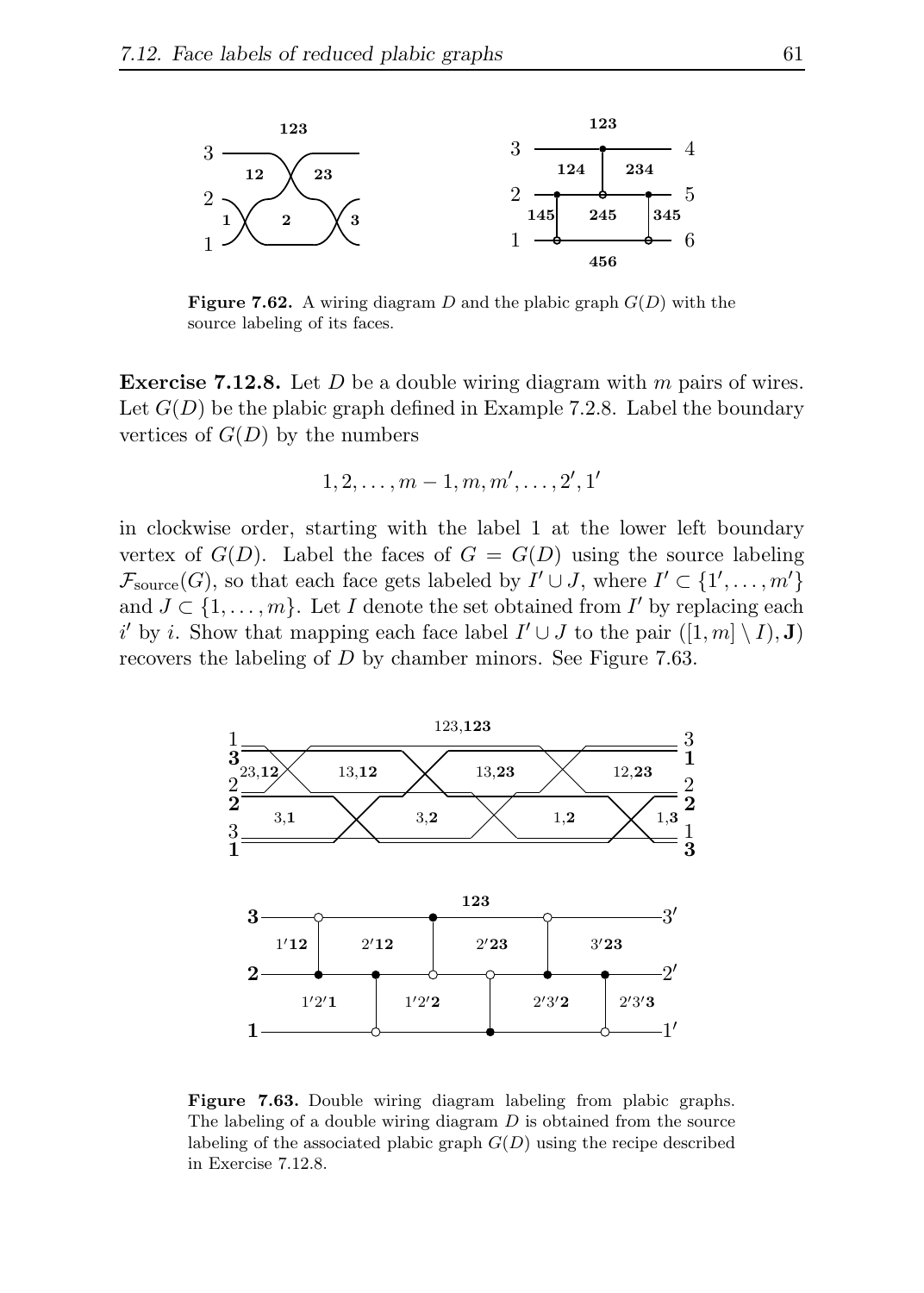

**Figure 7.62.** A wiring diagram D and the plabic graph  $G(D)$  with the source labeling of its faces.

**Exercise 7.12.8.** Let  $D$  be a double wiring diagram with  $m$  pairs of wires. Let  $G(D)$  be the plabic graph defined in Example 7.2.8. Label the boundary vertices of  $G(D)$  by the numbers

$$
1, 2, \ldots, m-1, m, m', \ldots, 2', 1'
$$

in clockwise order, starting with the label 1 at the lower left boundary vertex of  $G(D)$ . Label the faces of  $G = G(D)$  using the source labeling  $\mathcal{F}_{\text{source}}(G)$ , so that each face gets labeled by  $I' \cup J$ , where  $I' \subset \{1', \ldots, m'\}$ and  $J \subset \{1, \ldots, m\}$ . Let I denote the set obtained from I' by replacing each i' by i. Show that mapping each face label  $I' \cup J$  to the pair  $([1, m] \setminus I), J$ recovers the labeling of D by chamber minors. See Figure 7.63.



Figure 7.63. Double wiring diagram labeling from plabic graphs. The labeling of a double wiring diagram  $D$  is obtained from the source labeling of the associated plabic graph  $G(D)$  using the recipe described in Exercise 7.12.8.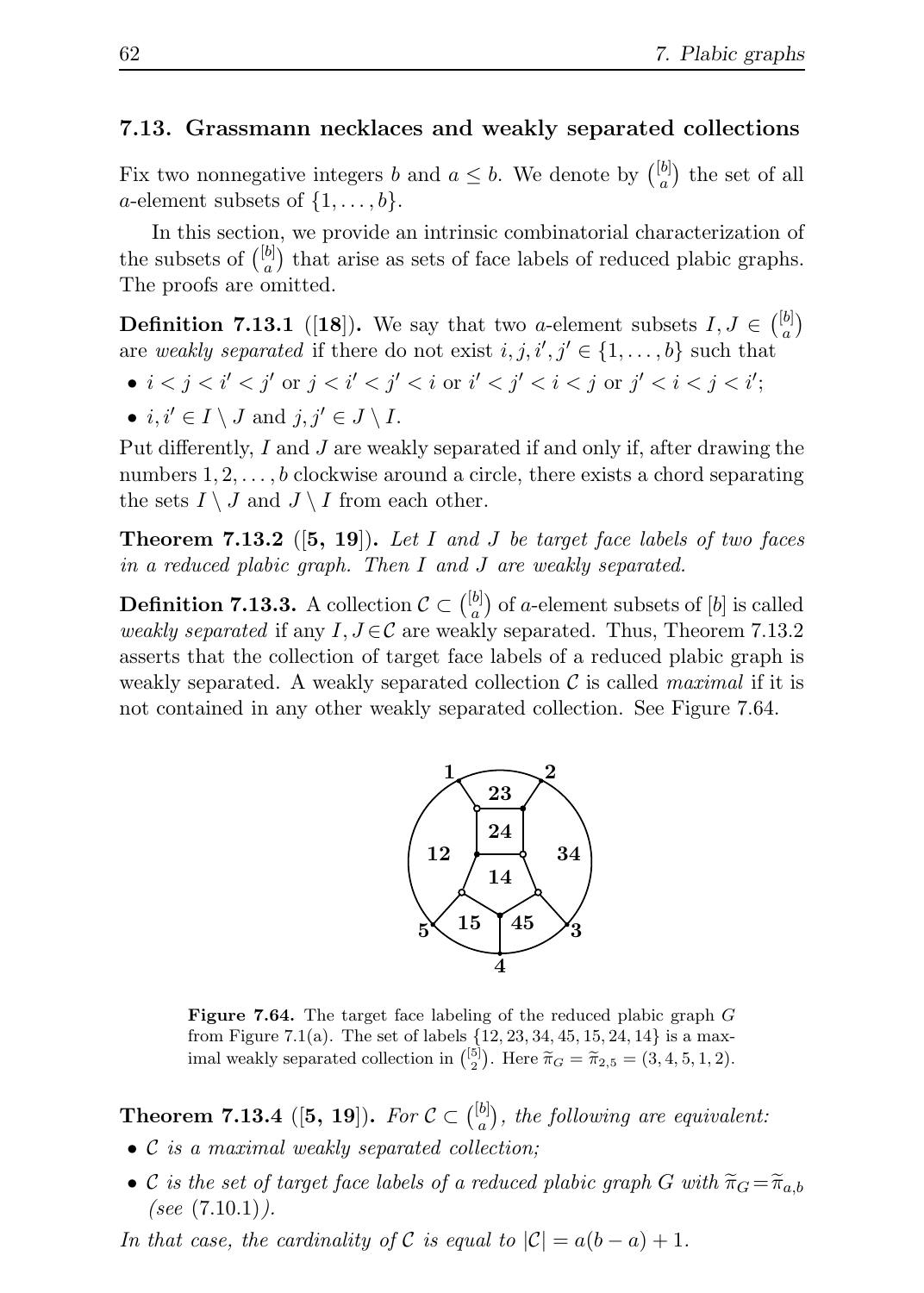### 7.13. Grassmann necklaces and weakly separated collections

Fix two nonnegative integers b and  $a \leq b$ . We denote by  $\binom{[b]}{a}$  $a^{[b]}$  the set of all a-element subsets of  $\{1, \ldots, b\}$ .

In this section, we provide an intrinsic combinatorial characterization of the subsets of  $\binom{[b]}{a}$  $\binom{b}{a}$  that arise as sets of face labels of reduced plabic graphs. The proofs are omitted.

**Definition 7.13.1** ([18]). We say that two *a*-element subsets  $I, J \in \binom{[b]}{a}$  $\binom{b}{a}$ are weakly separated if there do not exist  $i, j, i', j' \in \{1, \ldots, b\}$  such that

- $i < j < i' < j'$  or  $j < i' < j' < i$  or  $i' < j' < i < j$  or  $j' < i < j < i'$ ;
- $i, i' \in I \setminus J$  and  $j, j' \in J \setminus I$ .

Put differently, I and J are weakly separated if and only if, after drawing the numbers  $1, 2, \ldots, b$  clockwise around a circle, there exists a chord separating the sets  $I \setminus J$  and  $J \setminus I$  from each other.

**Theorem 7.13.2** ([5, 19]). Let I and J be target face labels of two faces in a reduced plabic graph. Then I and J are weakly separated.

**Definition 7.13.3.** A collection  $\mathcal{C} \subset \binom{[b]}{a}$  $a_a^{[b]}$ ) of a-element subsets of [b] is called weakly separated if any  $I, J \in \mathcal{C}$  are weakly separated. Thus, Theorem 7.13.2 asserts that the collection of target face labels of a reduced plabic graph is weakly separated. A weakly separated collection  $\mathcal C$  is called *maximal* if it is not contained in any other weakly separated collection. See Figure 7.64.



Figure 7.64. The target face labeling of the reduced plabic graph G from Figure 7.1(a). The set of labels  $\{12, 23, 34, 45, 15, 24, 14\}$  is a maximal weakly separated collection in  $\binom{5}{2}$ . Here  $\tilde{\pi}_G = \tilde{\pi}_{2,5} = (3, 4, 5, 1, 2)$ .

**Theorem 7.13.4** ([5, 19]). For  $C \subset \binom{[b]}{a}$  $a_a^{[b]}$ , the following are equivalent:

- C is a maximal weakly separated collection;
- C is the set of target face labels of a reduced plabic graph G with  $\widetilde{\pi}_G = \widetilde{\pi}_{a,b}$ (see  $(7.10.1)$ ).

In that case, the cardinality of C is equal to  $|\mathcal{C}| = a(b-a) + 1$ .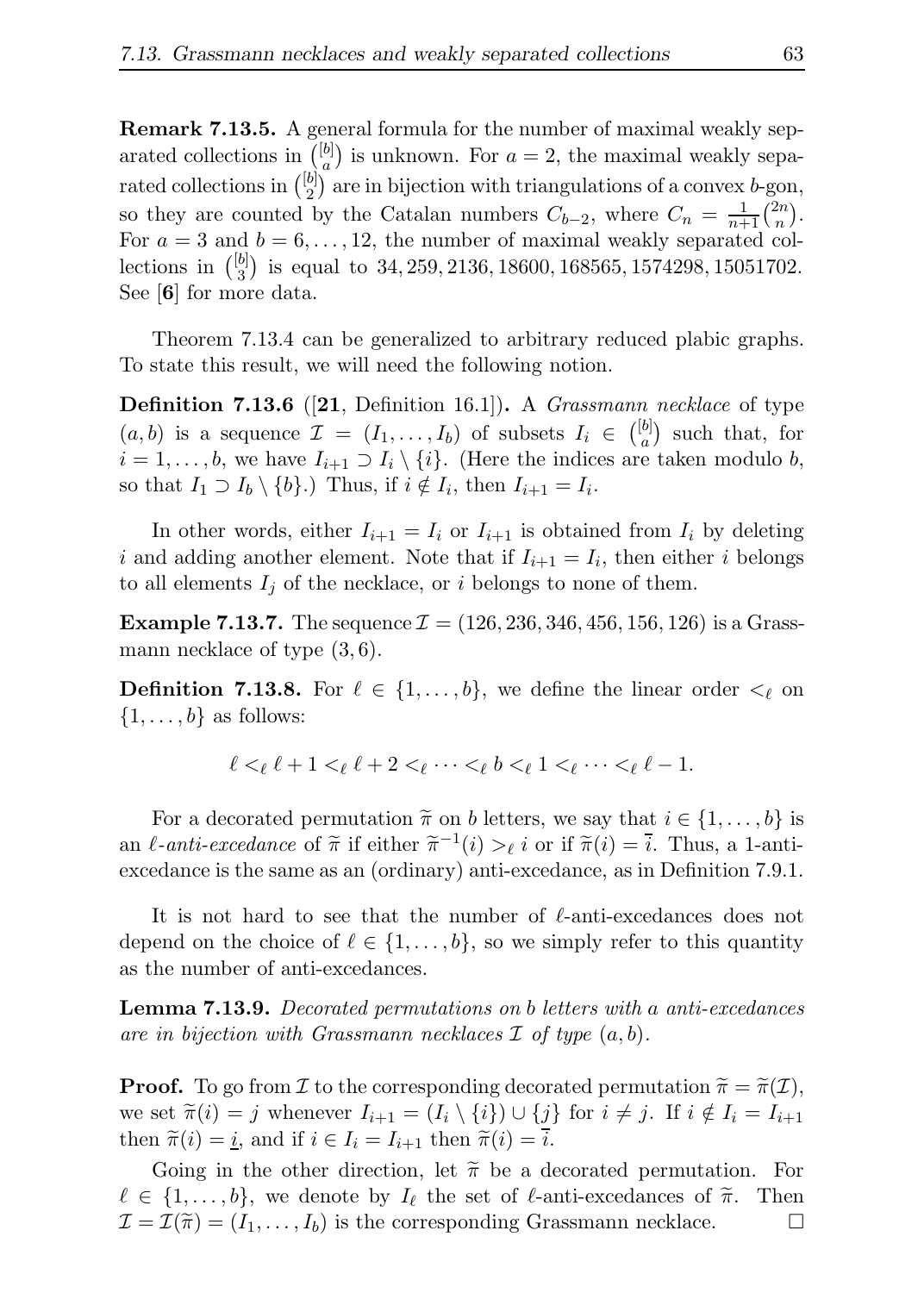Remark 7.13.5. A general formula for the number of maximal weakly separated collections in  $\binom{[b]}{a}$  $\binom{b}{a}$  is unknown. For  $a=2$ , the maximal weakly separated collections in  $\binom{[b]}{2}$  $\binom{b}{2}$  are in bijection with triangulations of a convex *b*-gon, so they are counted by the Catalan numbers  $C_{b-2}$ , where  $C_n = \frac{1}{n+1} {2n \choose n}$  $\binom{2n}{n}$ . For  $a = 3$  and  $b = 6, \ldots, 12$ , the number of maximal weakly separated collections in  $\binom{[b]}{3}$  $\binom{b}{3}$  is equal to 34, 259, 2136, 18600, 168565, 1574298, 15051702. See [6] for more data.

Theorem 7.13.4 can be generalized to arbitrary reduced plabic graphs. To state this result, we will need the following notion.

**Definition 7.13.6** ([21, Definition 16.1]). A *Grassmann necklace* of type  $(a, b)$  is a sequence  $\mathcal{I} = (I_1, \ldots, I_b)$  of subsets  $I_i \in \binom{[b]}{a}$  $a^{[b]}$  such that, for  $i = 1, \ldots, b$ , we have  $I_{i+1} \supset I_i \setminus \{i\}$ . (Here the indices are taken modulo b, so that  $I_1 \supset I_b \setminus \{b\}$ .) Thus, if  $i \notin I_i$ , then  $I_{i+1} = I_i$ .

In other words, either  $I_{i+1} = I_i$  or  $I_{i+1}$  is obtained from  $I_i$  by deleting i and adding another element. Note that if  $I_{i+1} = I_i$ , then either i belongs to all elements  $I_j$  of the necklace, or i belongs to none of them.

**Example 7.13.7.** The sequence  $\mathcal{I} = (126, 236, 346, 456, 156, 126)$  is a Grassmann necklace of type  $(3,6)$ .

**Definition 7.13.8.** For  $\ell \in \{1, \ldots, b\}$ , we define the linear order  $\lt_{\ell}$  on  $\{1, \ldots, b\}$  as follows:

$$
\ell <_{\ell} \ell + 1 <_{\ell} \ell + 2 <_{\ell} \cdots <_{\ell} b <_{\ell} 1 <_{\ell} \cdots <_{\ell} \ell - 1.
$$

For a decorated permutation  $\tilde{\pi}$  on b letters, we say that  $i \in \{1, \ldots, b\}$  is an  $\ell$ -anti-excedance of  $\tilde{\pi}$  if either  $\tilde{\pi}^{-1}(i) >_{\ell} i$  or if  $\tilde{\pi}(i) = \tilde{i}$ . Thus, a 1-antiexcedance is the same as an (ordinary) anti-excedance, as in Definition 7.9.1.

It is not hard to see that the number of ℓ-anti-excedances does not depend on the choice of  $\ell \in \{1, \ldots, b\}$ , so we simply refer to this quantity as the number of anti-excedances.

Lemma 7.13.9. Decorated permutations on b letters with a anti-excedances are in bijection with Grassmann necklaces  $\mathcal I$  of type  $(a, b)$ .

**Proof.** To go from I to the corresponding decorated permutation  $\tilde{\pi} = \tilde{\pi}(I)$ , we set  $\tilde{\pi}(i) = j$  whenever  $I_{i+1} = (I_i \setminus \{i\}) \cup \{j\}$  for  $i \neq j$ . If  $i \notin I_i = I_{i+1}$ then  $\tilde{\pi}(i) = \underline{i}$ , and if  $i \in I_i = I_{i+1}$  then  $\tilde{\pi}(i) = \overline{i}$ .

Going in the other direction, let  $\tilde{\pi}$  be a decorated permutation. For  $\{1,\ldots,b\}$ , we denote by  $I_{\ell}$  the set of  $\ell$ -anti-excedances of  $\tilde{\pi}$ . Then  $\ell \in \{1, \ldots, b\}$ , we denote by  $I_{\ell}$  the set of  $\ell$ -anti-excedances of  $\tilde{\pi}$ . Then  $\mathcal{I} = \mathcal{I}(\tilde{\pi}) = (I_1, \ldots, I_b)$  is the corresponding Grassmann necklace.  $\mathcal{I} = \mathcal{I}(\widetilde{\pi}) = (I_1, \ldots, I_b)$  is the corresponding Grassmann necklace.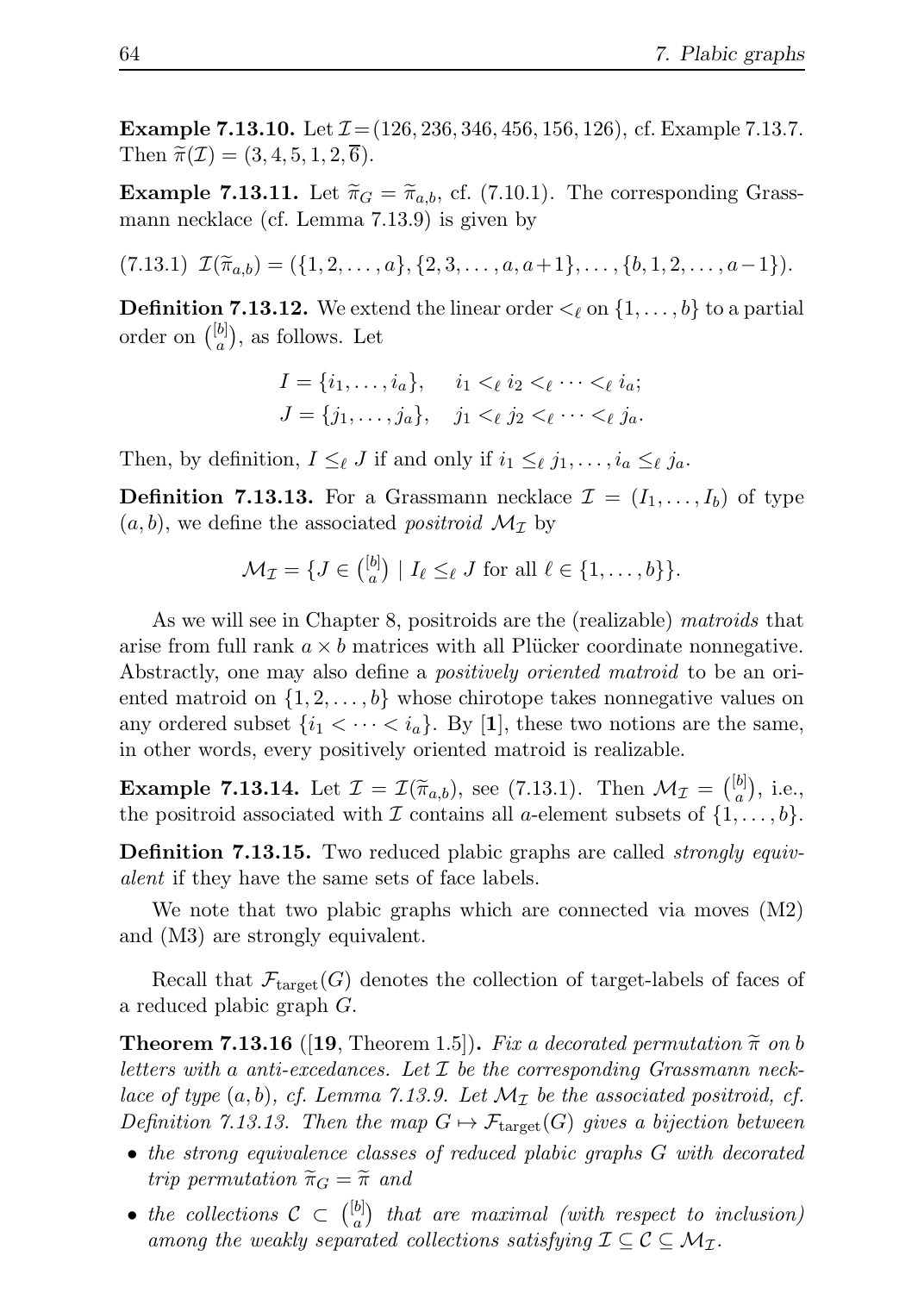**Example 7.13.10.** Let  $\mathcal{I} = (126, 236, 346, 456, 156, 126)$ , cf. Example 7.13.7. Then  $\widetilde{\pi}(\mathcal{I}) = (3, 4, 5, 1, 2, \overline{6}).$ 

**Example 7.13.11.** Let  $\tilde{\pi}_G = \tilde{\pi}_{a,b}$ , cf. (7.10.1). The corresponding Grassmann necklace (cf. Lemma 7.13.9) is given by

 $(T.13.1) \mathcal{I}(\widetilde{\pi}_{a,b}) = (\{1, 2, \ldots, a\}, \{2, 3, \ldots, a, a+1\}, \ldots, \{b, 1, 2, \ldots, a-1\}).$ 

**Definition 7.13.12.** We extend the linear order  $\langle \ell \rangle$  on  $\{1, \ldots, b\}$  to a partial order on  $\binom{[b]}{a}$  $\binom{[b]}{a}$ , as follows. Let

$$
I = \{i_1, \dots, i_a\}, \quad i_1 <_{\ell} i_2 <_{\ell} \dots <_{\ell} i_a; J = \{j_1, \dots, j_a\}, \quad j_1 <_{\ell} j_2 <_{\ell} \dots <_{\ell} j_a.
$$

Then, by definition,  $I \leq_{\ell} J$  if and only if  $i_1 \leq_{\ell} j_1, \ldots, i_a \leq_{\ell} j_a$ .

**Definition 7.13.13.** For a Grassmann necklace  $\mathcal{I} = (I_1, \ldots, I_b)$  of type  $(a, b)$ , we define the associated *positroid*  $\mathcal{M}_{\mathcal{I}}$  by

$$
\mathcal{M}_{\mathcal{I}} = \{ J \in \binom{[b]}{a} \mid I_{\ell} \leq_{\ell} J \text{ for all } \ell \in \{1, \ldots, b\} \}.
$$

As we will see in Chapter 8, positroids are the (realizable) matroids that arise from full rank  $a \times b$  matrices with all Plücker coordinate nonnegative. Abstractly, one may also define a *positively oriented matroid* to be an oriented matroid on  $\{1, 2, \ldots, b\}$  whose chirotope takes nonnegative values on any ordered subset  $\{i_1 < \cdots < i_a\}$ . By [1], these two notions are the same, in other words, every positively oriented matroid is realizable.

**Example 7.13.14.** Let  $\mathcal{I} = \mathcal{I}(\widetilde{\pi}_{a,b})$ , see (7.13.1). Then  $\mathcal{M}_{\mathcal{I}} = \begin{pmatrix} [b] \\ a \end{pmatrix}$  $\binom{b]}{a}$ , i.e., the positroid associated with  $\mathcal I$  contains all a-element subsets of  $\{1,\ldots,b\}$ .

**Definition 7.13.15.** Two reduced plabic graphs are called *strongly equiv*alent if they have the same sets of face labels.

We note that two plabic graphs which are connected via moves (M2) and (M3) are strongly equivalent.

Recall that  $\mathcal{F}_{\text{target}}(G)$  denotes the collection of target-labels of faces of a reduced plabic graph G.

**Theorem 7.13.16** ([19, Theorem 1.5]). Fix a decorated permutation  $\tilde{\pi}$  on b letters with a anti-excedances. Let  $\mathcal I$  be the corresponding Grassmann necklace of type  $(a, b)$ , cf. Lemma 7.13.9. Let  $\mathcal{M}_{\mathcal{I}}$  be the associated positroid, cf. Definition 7.13.13. Then the map  $G \mapsto \mathcal{F}_{\text{target}}(G)$  gives a bijection between

- the strong equivalence classes of reduced plabic graphs G with decorated trip permutation  $\widetilde{\pi}_G = \widetilde{\pi}$  and
- the collections  $C \subset \binom{[b]}{a}$  $\binom{[b]}{a}$  that are maximal (with respect to inclusion) among the weakly separated collections satisfying  $\mathcal{I} \subseteq \mathcal{C} \subseteq \mathcal{M}_{\mathcal{I}}$ .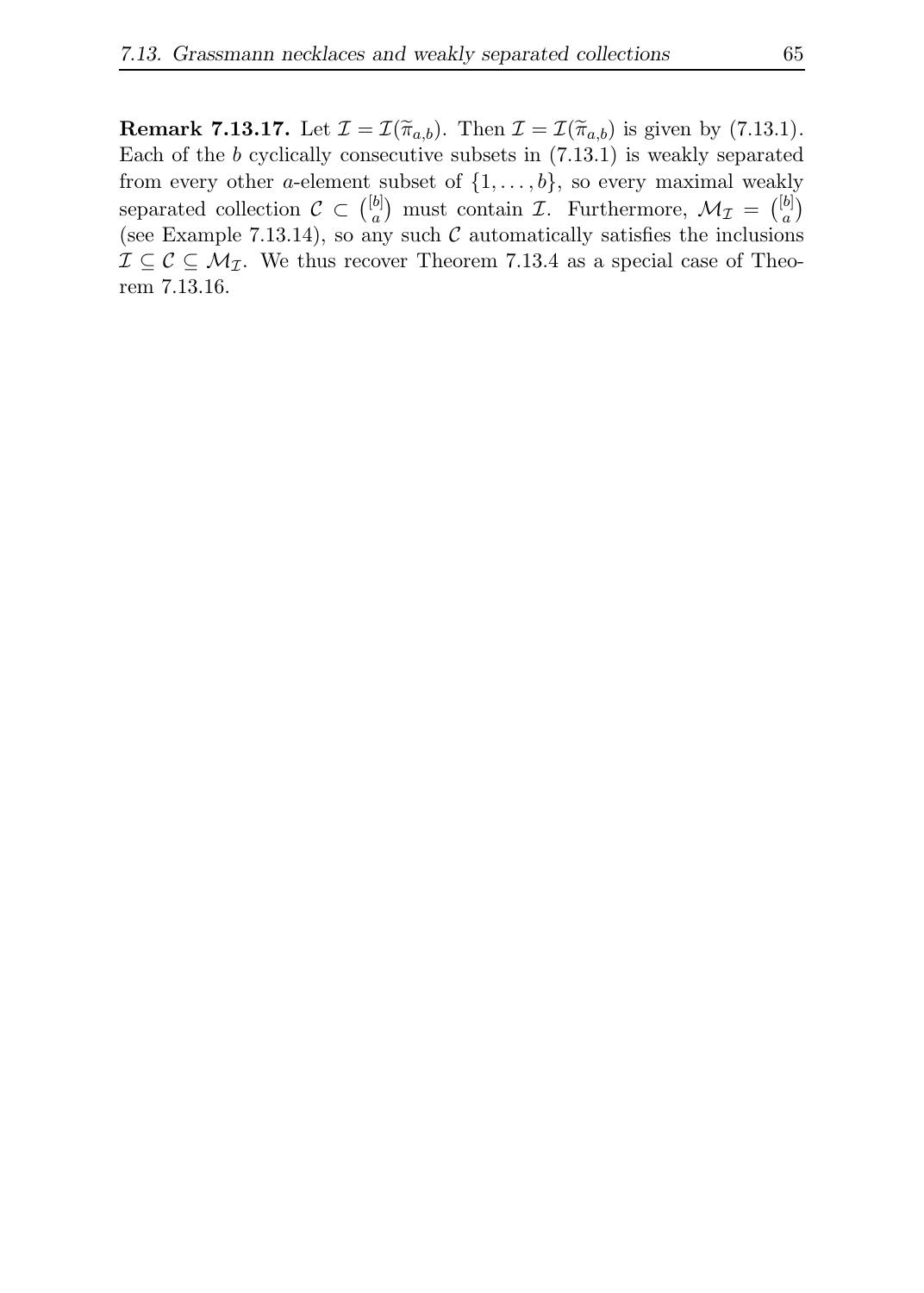**Remark 7.13.17.** Let  $\mathcal{I} = \mathcal{I}(\widetilde{\pi}_{a,b})$ . Then  $\mathcal{I} = \mathcal{I}(\widetilde{\pi}_{a,b})$  is given by (7.13.1). Each of the b cyclically consecutive subsets in (7.13.1) is weakly separated from every other a-element subset of  $\{1, \ldots, b\}$ , so every maximal weakly separated collection  $\mathcal{C} \subset \binom{[b]}{a}$  $\binom{[b]}{a}$  must contain *I*. Furthermore,  $\mathcal{M}_{\mathcal{I}} = \binom{[b]}{a}$  $\binom{b}{a}$ (see Example 7.13.14), so any such  $\mathcal C$  automatically satisfies the inclusions  $\mathcal{I} \subseteq \mathcal{C} \subseteq \mathcal{M}_{\mathcal{I}}$ . We thus recover Theorem 7.13.4 as a special case of Theorem 7.13.16.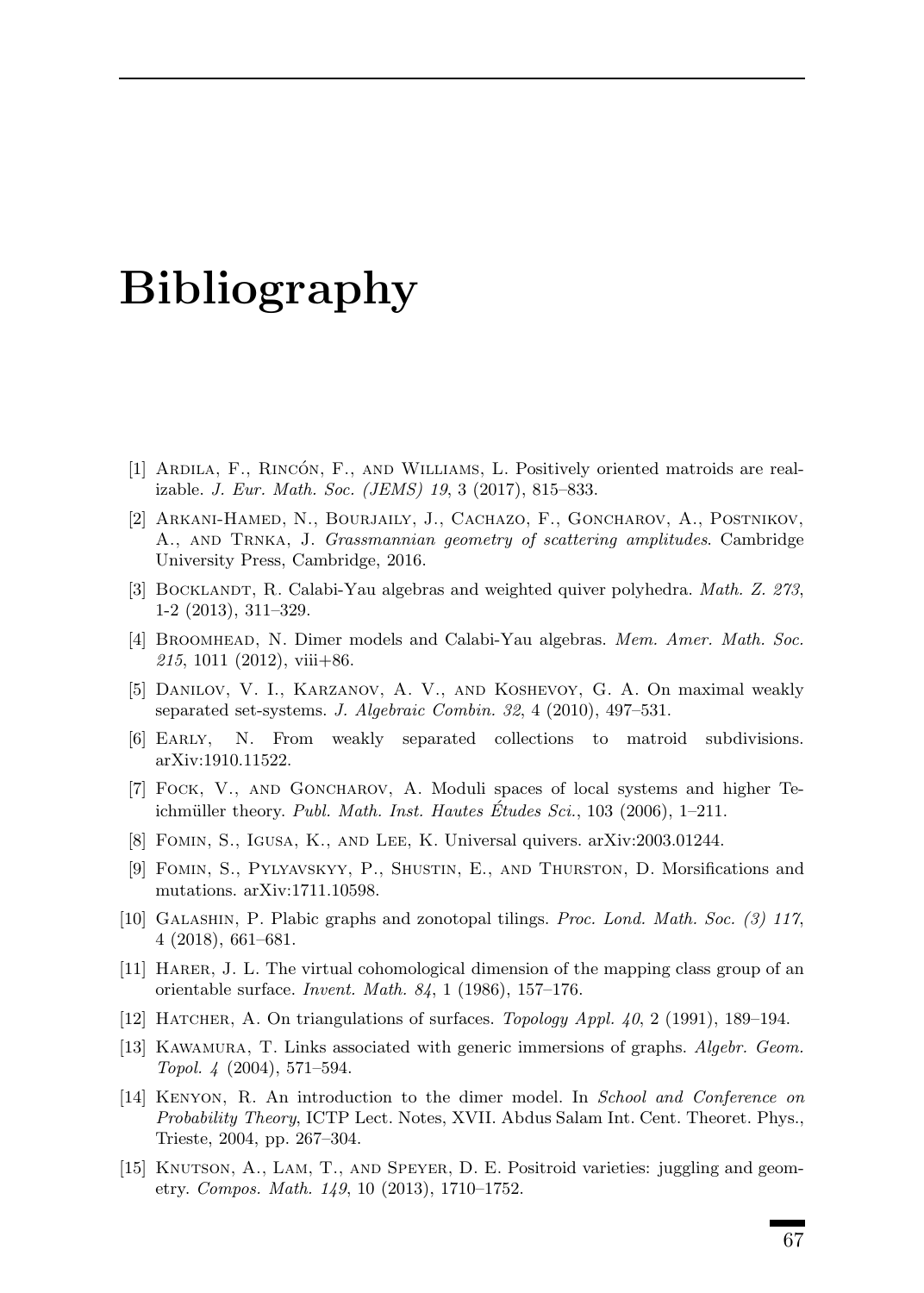# Bibliography

- [1] ARDILA, F., RINCÓN, F., AND WILLIAMS, L. Positively oriented matroids are realizable. J. Eur. Math. Soc. (JEMS) 19, 3 (2017), 815–833.
- [2] Arkani-Hamed, N., Bourjaily, J., Cachazo, F., Goncharov, A., Postnikov, A., and Trnka, J. Grassmannian geometry of scattering amplitudes. Cambridge University Press, Cambridge, 2016.
- [3] BOCKLANDT, R. Calabi-Yau algebras and weighted quiver polyhedra. Math. Z. 273, 1-2 (2013), 311–329.
- [4] BROOMHEAD, N. Dimer models and Calabi-Yau algebras. Mem. Amer. Math. Soc.  $215, 1011$  (2012), viii+86.
- [5] Danilov, V. I., Karzanov, A. V., and Koshevoy, G. A. On maximal weakly separated set-systems. J. Algebraic Combin. 32, 4 (2010), 497–531.
- [6] Early, N. From weakly separated collections to matroid subdivisions. arXiv:1910.11522.
- [7] Fock, V., and Goncharov, A. Moduli spaces of local systems and higher Teichmüller theory. Publ. Math. Inst. Hautes Etudes Sci.,  $103$  (2006),  $1-211$ .
- [8] Fomin, S., Igusa, K., and Lee, K. Universal quivers. arXiv:2003.01244.
- [9] Fomin, S., Pylyavskyy, P., Shustin, E., and Thurston, D. Morsifications and mutations. arXiv:1711.10598.
- [10] Galashin, P. Plabic graphs and zonotopal tilings. Proc. Lond. Math. Soc. (3) 117, 4 (2018), 661–681.
- [11] Harer, J. L. The virtual cohomological dimension of the mapping class group of an orientable surface. Invent. Math. 84, 1 (1986), 157–176.
- [12] HATCHER, A. On triangulations of surfaces. *Topology Appl. 40*, 2 (1991), 189–194.
- [13] Kawamura, T. Links associated with generic immersions of graphs. Algebr. Geom. Topol. 4 (2004), 571–594.
- [14] Kenyon, R. An introduction to the dimer model. In School and Conference on Probability Theory, ICTP Lect. Notes, XVII. Abdus Salam Int. Cent. Theoret. Phys., Trieste, 2004, pp. 267–304.
- [15] Knutson, A., Lam, T., and Speyer, D. E. Positroid varieties: juggling and geometry. Compos. Math. 149, 10 (2013), 1710–1752.